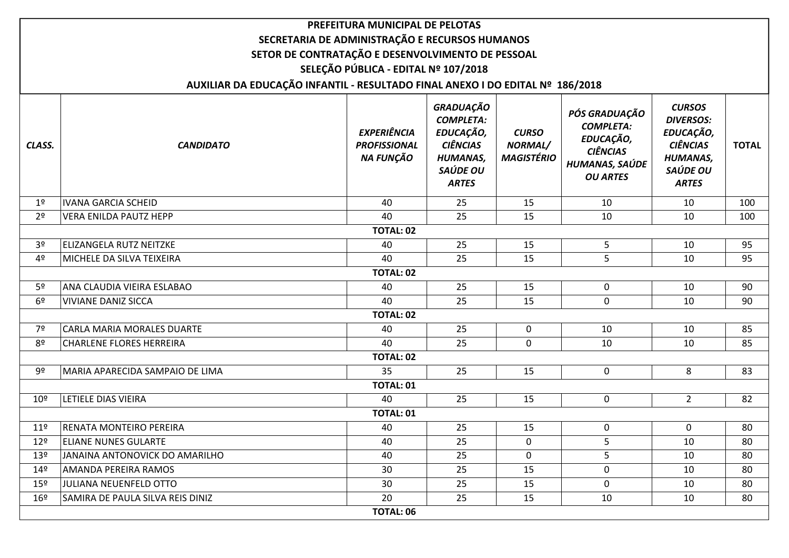|                  |                                                                               | PREFEITURA MUNICIPAL DE PELOTAS                        |                                                                                                              |                                              |                                                                                                        |                                                                                                                  |              |  |  |  |  |
|------------------|-------------------------------------------------------------------------------|--------------------------------------------------------|--------------------------------------------------------------------------------------------------------------|----------------------------------------------|--------------------------------------------------------------------------------------------------------|------------------------------------------------------------------------------------------------------------------|--------------|--|--|--|--|
|                  | SECRETARIA DE ADMINISTRAÇÃO E RECURSOS HUMANOS                                |                                                        |                                                                                                              |                                              |                                                                                                        |                                                                                                                  |              |  |  |  |  |
|                  | SETOR DE CONTRATAÇÃO E DESENVOLVIMENTO DE PESSOAL                             |                                                        |                                                                                                              |                                              |                                                                                                        |                                                                                                                  |              |  |  |  |  |
|                  | SELEÇÃO PÚBLICA - EDITAL Nº 107/2018                                          |                                                        |                                                                                                              |                                              |                                                                                                        |                                                                                                                  |              |  |  |  |  |
|                  | AUXILIAR DA EDUCAÇÃO INFANTIL - RESULTADO FINAL ANEXO I DO EDITAL Nº 186/2018 |                                                        |                                                                                                              |                                              |                                                                                                        |                                                                                                                  |              |  |  |  |  |
| CLASS.           | <b>CANDIDATO</b>                                                              | <b>EXPERIÊNCIA</b><br><b>PROFISSIONAL</b><br>NA FUNÇÃO | GRADUAÇÃO<br><b>COMPLETA:</b><br>EDUCAÇÃO,<br><b>CIÊNCIAS</b><br><b>HUMANAS,</b><br>SAÚDE OU<br><b>ARTES</b> | <b>CURSO</b><br>NORMAL/<br><b>MAGISTÉRIO</b> | PÓS GRADUAÇÃO<br><b>COMPLETA:</b><br>EDUCAÇÃO,<br><b>CIÊNCIAS</b><br>HUMANAS, SAÚDE<br><b>OU ARTES</b> | <b>CURSOS</b><br><b>DIVERSOS:</b><br>EDUCAÇÃO,<br><b>CIÊNCIAS</b><br><b>HUMANAS,</b><br>SAÚDE OU<br><b>ARTES</b> | <b>TOTAL</b> |  |  |  |  |
| 1 <sup>°</sup>   | <b>IVANA GARCIA SCHEID</b>                                                    | 40                                                     | 25                                                                                                           | 15                                           | 10                                                                                                     | 10                                                                                                               | 100          |  |  |  |  |
| 2 <sup>o</sup>   | <b>VERA ENILDA PAUTZ HEPP</b>                                                 | 40                                                     | 25                                                                                                           | 15                                           | 10                                                                                                     | 10                                                                                                               | 100          |  |  |  |  |
|                  | <b>TOTAL: 02</b>                                                              |                                                        |                                                                                                              |                                              |                                                                                                        |                                                                                                                  |              |  |  |  |  |
| 3 <sup>o</sup>   | <b>ELIZANGELA RUTZ NEITZKE</b>                                                | 40                                                     | 25                                                                                                           | 15                                           | 5                                                                                                      | 10                                                                                                               | 95           |  |  |  |  |
| 4 <sup>°</sup>   | MICHELE DA SILVA TEIXEIRA                                                     | 40                                                     | 25                                                                                                           | 15                                           | 5                                                                                                      | 10                                                                                                               | 95           |  |  |  |  |
| <b>TOTAL: 02</b> |                                                                               |                                                        |                                                                                                              |                                              |                                                                                                        |                                                                                                                  |              |  |  |  |  |
| 5 <sup>o</sup>   | ANA CLAUDIA VIEIRA ESLABAO                                                    | 40                                                     | 25                                                                                                           | 15                                           | $\mathbf 0$                                                                                            | 10                                                                                                               | 90           |  |  |  |  |
| 6 <sup>9</sup>   | <b>VIVIANE DANIZ SICCA</b>                                                    | 40                                                     | 25                                                                                                           | 15                                           | 0                                                                                                      | 10                                                                                                               | 90           |  |  |  |  |
|                  |                                                                               | <b>TOTAL: 02</b>                                       |                                                                                                              |                                              |                                                                                                        |                                                                                                                  |              |  |  |  |  |
| 7º               | CARLA MARIA MORALES DUARTE                                                    | 40                                                     | 25                                                                                                           | 0                                            | 10                                                                                                     | 10                                                                                                               | 85           |  |  |  |  |
| 8º               | <b>CHARLENE FLORES HERREIRA</b>                                               | 40                                                     | 25                                                                                                           | $\mathbf 0$                                  | 10                                                                                                     | 10                                                                                                               | 85           |  |  |  |  |
|                  |                                                                               | <b>TOTAL: 02</b>                                       |                                                                                                              |                                              |                                                                                                        |                                                                                                                  |              |  |  |  |  |
| 9º               | MARIA APARECIDA SAMPAIO DE LIMA                                               | 35                                                     | 25                                                                                                           | 15                                           | $\mathbf 0$                                                                                            | 8                                                                                                                | 83           |  |  |  |  |
|                  |                                                                               | <b>TOTAL: 01</b>                                       |                                                                                                              |                                              |                                                                                                        |                                                                                                                  |              |  |  |  |  |
| 10 <sup>°</sup>  | LETIELE DIAS VIEIRA                                                           | 40                                                     | 25                                                                                                           | 15                                           | $\mathbf 0$                                                                                            | $2^{\circ}$                                                                                                      | 82           |  |  |  |  |
|                  |                                                                               | <b>TOTAL: 01</b>                                       |                                                                                                              |                                              |                                                                                                        |                                                                                                                  |              |  |  |  |  |
| 11 <sup>°</sup>  | RENATA MONTEIRO PEREIRA                                                       | 40                                                     | 25                                                                                                           | 15                                           | $\mathbf 0$                                                                                            | 0                                                                                                                | 80           |  |  |  |  |
| $12^{\circ}$     | <b>ELIANE NUNES GULARTE</b>                                                   | 40                                                     | 25                                                                                                           | $\mathbf 0$                                  | 5                                                                                                      | 10                                                                                                               | 80           |  |  |  |  |
| $13^{\circ}$     | JANAINA ANTONOVICK DO AMARILHO                                                | 40                                                     | 25                                                                                                           | 0                                            | 5 <sup>1</sup>                                                                                         | 10                                                                                                               | 80           |  |  |  |  |
| $14^{\circ}$     | AMANDA PEREIRA RAMOS                                                          | 30                                                     | 25                                                                                                           | 15                                           | 0                                                                                                      | 10                                                                                                               | 80           |  |  |  |  |
| $15^{\circ}$     | JULIANA NEUENFELD OTTO                                                        | 30                                                     | 25                                                                                                           | 15                                           | 0                                                                                                      | 10                                                                                                               | 80           |  |  |  |  |
| 16 <sup>°</sup>  | SAMIRA DE PAULA SILVA REIS DINIZ                                              | 20                                                     | 25                                                                                                           | 15                                           | 10                                                                                                     | 10                                                                                                               | 80           |  |  |  |  |
|                  |                                                                               | <b>TOTAL: 06</b>                                       |                                                                                                              |                                              |                                                                                                        |                                                                                                                  |              |  |  |  |  |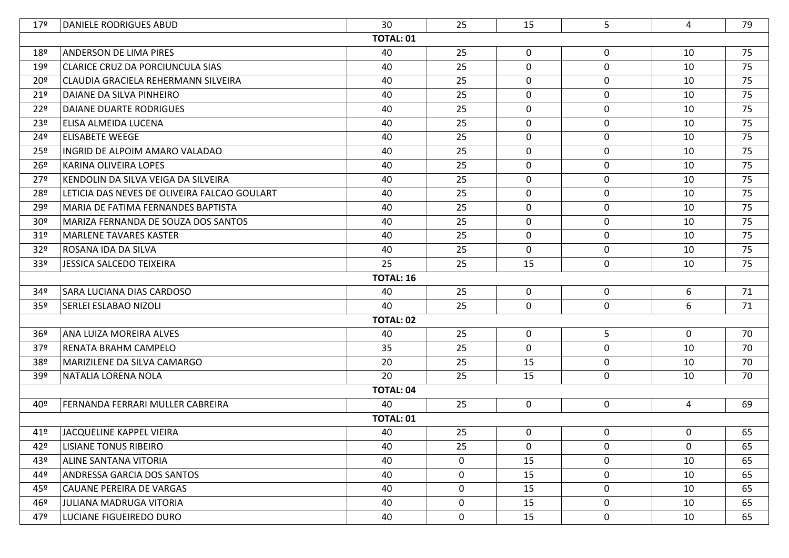| 17 <sup>°</sup> | DANIELE RODRIGUES ABUD                       | 30               | 25 | 15           | 5                | 4            | 79 |
|-----------------|----------------------------------------------|------------------|----|--------------|------------------|--------------|----|
|                 |                                              | <b>TOTAL: 01</b> |    |              |                  |              |    |
| 18 <sup>°</sup> | <b>ANDERSON DE LIMA PIRES</b>                | 40               | 25 | $\mathbf 0$  | $\mathbf 0$      | 10           | 75 |
| $19^{\circ}$    | CLARICE CRUZ DA PORCIUNCULA SIAS             | 40               | 25 | $\mathbf 0$  | $\boldsymbol{0}$ | 10           | 75 |
| 20 <sup>°</sup> | CLAUDIA GRACIELA REHERMANN SILVEIRA          | 40               | 25 | $\mathbf 0$  | 0                | 10           | 75 |
| 21 <sup>°</sup> | DAIANE DA SILVA PINHEIRO                     | 40               | 25 | $\mathbf 0$  | $\mathbf 0$      | 10           | 75 |
| 22 <sup>°</sup> | <b>DAIANE DUARTE RODRIGUES</b>               | 40               | 25 | $\mathbf 0$  | 0                | 10           | 75 |
| 23 <sup>°</sup> | ELISA ALMEIDA LUCENA                         | 40               | 25 | $\mathbf 0$  | $\mathbf 0$      | 10           | 75 |
| 24º             | <b>ELISABETE WEEGE</b>                       | 40               | 25 | $\mathbf 0$  | 0                | 10           | 75 |
| 25 <sup>°</sup> | INGRID DE ALPOIM AMARO VALADAO               | 40               | 25 | $\mathbf 0$  | $\mathbf 0$      | 10           | 75 |
| 26 <sup>°</sup> | KARINA OLIVEIRA LOPES                        | 40               | 25 | $\mathbf 0$  | $\boldsymbol{0}$ | 10           | 75 |
| 27 <sup>°</sup> | KENDOLIN DA SILVA VEIGA DA SILVEIRA          | 40               | 25 | $\mathbf 0$  | $\mathbf 0$      | 10           | 75 |
| 28º             | LETICIA DAS NEVES DE OLIVEIRA FALCAO GOULART | 40               | 25 | $\mathbf 0$  | $\mathbf 0$      | 10           | 75 |
| 29º             | MARIA DE FATIMA FERNANDES BAPTISTA           | 40               | 25 | $\mathbf 0$  | $\mathbf 0$      | 10           | 75 |
| 30 <sup>°</sup> | MARIZA FERNANDA DE SOUZA DOS SANTOS          | 40               | 25 | $\mathbf 0$  | 0                | 10           | 75 |
| 31 <sup>°</sup> | MARLENE TAVARES KASTER                       | 40               | 25 | $\mathbf 0$  | $\mathbf 0$      | 10           | 75 |
| 32 <sup>o</sup> | ROSANA IDA DA SILVA                          | 40               | 25 | $\mathbf 0$  | $\boldsymbol{0}$ | 10           | 75 |
| 33 <sup>°</sup> | JESSICA SALCEDO TEIXEIRA                     | 25               | 25 | 15           | $\mathbf 0$      | 10           | 75 |
|                 |                                              | <b>TOTAL: 16</b> |    |              |                  |              |    |
| 34º             | SARA LUCIANA DIAS CARDOSO                    | 40               | 25 | $\mathbf 0$  | $\mathbf 0$      | 6            | 71 |
| 35 <sup>°</sup> | <b>SERLEI ESLABAO NIZOLI</b>                 | 40               | 25 | $\mathbf 0$  | 0                | 6            | 71 |
|                 |                                              | <b>TOTAL: 02</b> |    |              |                  |              |    |
| 36 <sup>°</sup> | ANA LUIZA MOREIRA ALVES                      | 40               | 25 | $\mathbf 0$  | 5                | $\mathbf 0$  | 70 |
| 37 <sup>°</sup> | RENATA BRAHM CAMPELO                         | 35               | 25 | $\mathbf 0$  | $\mathbf 0$      | 10           | 70 |
| 38º             | MARIZILENE DA SILVA CAMARGO                  | 20               | 25 | 15           | 0                | 10           | 70 |
| 39º             | NATALIA LORENA NOLA                          | 20               | 25 | 15           | $\mathbf 0$      | 10           | 70 |
|                 |                                              | <b>TOTAL: 04</b> |    |              |                  |              |    |
| 40º             | FERNANDA FERRARI MULLER CABREIRA             | 40               | 25 | $\mathbf 0$  | $\boldsymbol{0}$ | 4            | 69 |
|                 |                                              | <b>TOTAL: 01</b> |    |              |                  |              |    |
| 41º             | JACOUELINE KAPPEL VIEIRA                     | 40               | 25 | $\mathbf{0}$ | 0                | $\mathbf{0}$ | 65 |
| 42º             | LISIANE TONUS RIBEIRO                        | 40               | 25 | $\mathbf 0$  | $\mathbf{0}$     | $\mathbf 0$  | 65 |
| 43º             | <b>ALINE SANTANA VITORIA</b>                 | 40               | 0  | 15           | $\mathbf 0$      | 10           | 65 |
| 44º             | <b>ANDRESSA GARCIA DOS SANTOS</b>            | 40               | 0  | 15           | 0                | 10           | 65 |
| 45º             | <b>CAUANE PEREIRA DE VARGAS</b>              | 40               | 0  | 15           | $\mathbf 0$      | 10           | 65 |
| 46º             | JULIANA MADRUGA VITORIA                      | 40               | 0  | 15           | 0                | 10           | 65 |
| 47º             | LUCIANE FIGUEIREDO DURO                      | 40               | 0  | 15           | $\mathbf 0$      | 10           | 65 |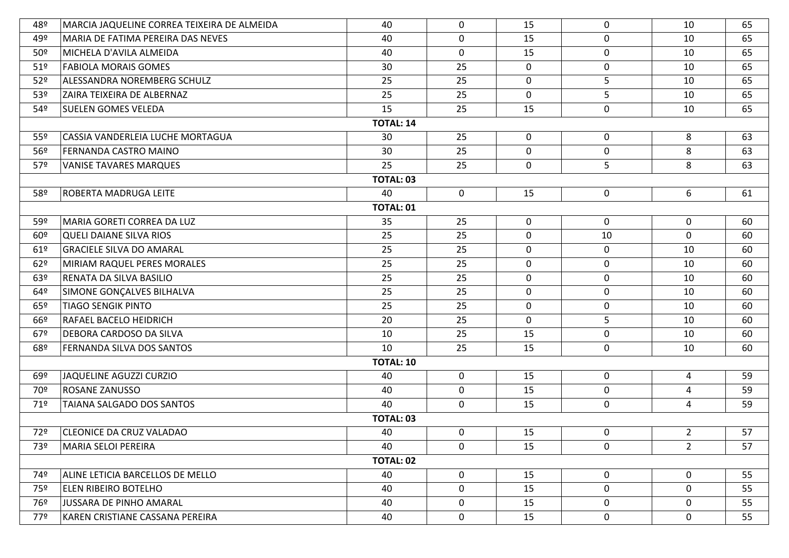| 48º             | MARCIA JAQUELINE CORREA TEIXEIRA DE ALMEIDA | 40               | 0              | 15          | 0                | 10             | 65 |  |  |  |
|-----------------|---------------------------------------------|------------------|----------------|-------------|------------------|----------------|----|--|--|--|
| 49º             | MARIA DE FATIMA PEREIRA DAS NEVES           | 40               | 0              | 15          | 0                | 10             | 65 |  |  |  |
| 50 <sup>°</sup> | MICHELA D'AVILA ALMEIDA                     | 40               | $\mathbf 0$    | 15          | $\mathbf 0$      | 10             | 65 |  |  |  |
| 51 <sup>°</sup> | <b>FABIOLA MORAIS GOMES</b>                 | 30               | 25             | $\mathbf 0$ | $\mathbf 0$      | 10             | 65 |  |  |  |
| 52 <sup>o</sup> | ALESSANDRA NOREMBERG SCHULZ                 | 25               | 25             | $\mathbf 0$ | 5                | 10             | 65 |  |  |  |
| 53º             | <b>ZAIRA TEIXEIRA DE ALBERNAZ</b>           | 25               | 25             | $\mathbf 0$ | 5                | 10             | 65 |  |  |  |
| 54º             | <b>SUELEN GOMES VELEDA</b>                  | 15               | 25             | 15          | $\mathbf 0$      | 10             | 65 |  |  |  |
|                 | <b>TOTAL: 14</b>                            |                  |                |             |                  |                |    |  |  |  |
| 55 <sup>°</sup> | CASSIA VANDERLEIA LUCHE MORTAGUA            | 30               | 25             | $\mathbf 0$ | $\mathbf 0$      | 8              | 63 |  |  |  |
| 56º             | <b>FERNANDA CASTRO MAINO</b>                | 30               | 25             | $\mathbf 0$ | $\mathbf 0$      | 8              | 63 |  |  |  |
| 57º             | <b>VANISE TAVARES MARQUES</b>               | 25               | 25             | $\mathbf 0$ | 5                | 8              | 63 |  |  |  |
|                 |                                             | <b>TOTAL: 03</b> |                |             |                  |                |    |  |  |  |
| 58º             | <b>ROBERTA MADRUGA LEITE</b>                | 40               | $\overline{0}$ | 15          | $\mathbf 0$      | 6              | 61 |  |  |  |
|                 |                                             | <b>TOTAL: 01</b> |                |             |                  |                |    |  |  |  |
| 59º             | MARIA GORETI CORREA DA LUZ                  | 35               | 25             | $\mathbf 0$ | $\mathbf 0$      | $\mathbf 0$    | 60 |  |  |  |
| $60^{\circ}$    | QUELI DAIANE SILVA RIOS                     | 25               | 25             | $\mathbf 0$ | 10               | $\mathbf 0$    | 60 |  |  |  |
| 61 <sup>°</sup> | <b>GRACIELE SILVA DO AMARAL</b>             | 25               | 25             | 0           | $\mathbf 0$      | 10             | 60 |  |  |  |
| 62°             | MIRIAM RAQUEL PERES MORALES                 | 25               | 25             | $\mathbf 0$ | $\boldsymbol{0}$ | 10             | 60 |  |  |  |
| 63º             | RENATA DA SILVA BASILIO                     | 25               | 25             | $\mathbf 0$ | $\boldsymbol{0}$ | 10             | 60 |  |  |  |
| $64^{\circ}$    | SIMONE GONÇALVES BILHALVA                   | 25               | 25             | $\mathbf 0$ | $\boldsymbol{0}$ | 10             | 60 |  |  |  |
| 65º             | <b>TIAGO SENGIK PINTO</b>                   | 25               | 25             | $\mathbf 0$ | $\mathbf 0$      | 10             | 60 |  |  |  |
| 66º             | RAFAEL BACELO HEIDRICH                      | 20               | 25             | $\mathbf 0$ | 5                | 10             | 60 |  |  |  |
| 679             | DEBORA CARDOSO DA SILVA                     | 10               | 25             | 15          | $\boldsymbol{0}$ | 10             | 60 |  |  |  |
| 68º             | <b>FERNANDA SILVA DOS SANTOS</b>            | 10               | 25             | 15          | 0                | 10             | 60 |  |  |  |
|                 |                                             | <b>TOTAL: 10</b> |                |             |                  |                |    |  |  |  |
| $69^{\circ}$    | JAQUELINE AGUZZI CURZIO                     | 40               | 0              | 15          | 0                | 4              | 59 |  |  |  |
| 70º             | ROSANE ZANUSSO                              | 40               | 0              | 15          | $\mathbf 0$      | 4              | 59 |  |  |  |
| 71º             | TAIANA SALGADO DOS SANTOS                   | 40               | 0              | 15          | 0                | 4              | 59 |  |  |  |
|                 |                                             | <b>TOTAL: 03</b> |                |             |                  |                |    |  |  |  |
| 72º             | <b>CLEONICE DA CRUZ VALADAO</b>             | 40               | 0              | 15          | 0                | $\overline{2}$ | 57 |  |  |  |
| 73º             | <b>MARIA SELOI PEREIRA</b>                  | 40               | 0              | 15          | 0                | $\overline{2}$ | 57 |  |  |  |
|                 |                                             | TOTAL: 02        |                |             |                  |                |    |  |  |  |
| 74º             | ALINE LETICIA BARCELLOS DE MELLO            | 40               | 0              | 15          | $\mathbf 0$      | $\mathbf 0$    | 55 |  |  |  |
| 75º             | <b>ELEN RIBEIRO BOTELHO</b>                 | 40               | 0              | 15          | 0                | $\mathbf 0$    | 55 |  |  |  |
| 76º             | JUSSARA DE PINHO AMARAL                     | 40               | 0              | 15          | $\boldsymbol{0}$ | $\mathbf 0$    | 55 |  |  |  |
| 77º             | KAREN CRISTIANE CASSANA PEREIRA             | 40               | 0              | 15          | $\pmb{0}$        | $\mathbf 0$    | 55 |  |  |  |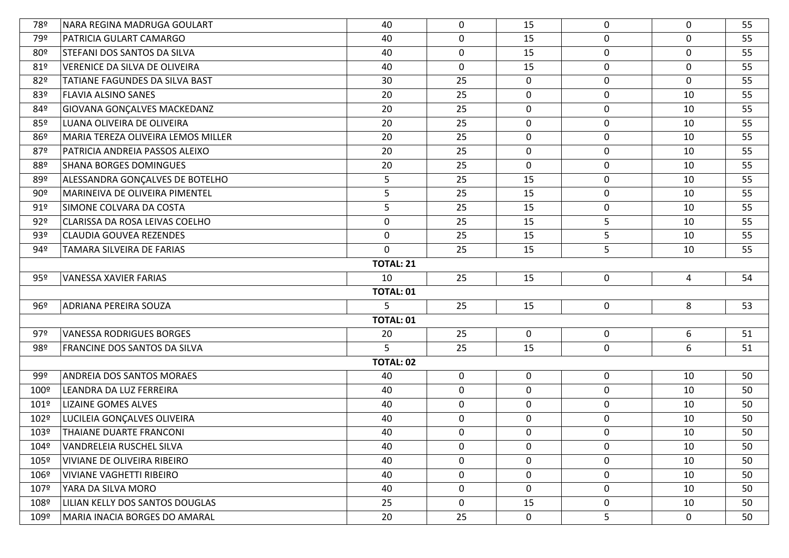| 78º                                                                      | NARA REGINA MADRUGA GOULART        | 40               | 0           | 15          | 0                | 0           | 55 |  |  |  |
|--------------------------------------------------------------------------|------------------------------------|------------------|-------------|-------------|------------------|-------------|----|--|--|--|
| 79º                                                                      | PATRICIA GULART CAMARGO            | 40               | 0           | 15          | $\boldsymbol{0}$ | 0           | 55 |  |  |  |
| 80º                                                                      | STEFANI DOS SANTOS DA SILVA        | 40               | 0           | 15          | $\boldsymbol{0}$ | $\mathbf 0$ | 55 |  |  |  |
| 81°                                                                      | VERENICE DA SILVA DE OLIVEIRA      | 40               | 0           | 15          | $\boldsymbol{0}$ | $\mathbf 0$ | 55 |  |  |  |
| 82º                                                                      | TATIANE FAGUNDES DA SILVA BAST     | 30               | 25          | $\mathbf 0$ | 0                | $\mathbf 0$ | 55 |  |  |  |
| 83º                                                                      | <b>FLAVIA ALSINO SANES</b>         | 20               | 25          | $\mathbf 0$ | $\pmb{0}$        | 10          | 55 |  |  |  |
| 84º                                                                      | GIOVANA GONÇALVES MACKEDANZ        | 20               | 25          | $\mathbf 0$ | $\mathbf 0$      | 10          | 55 |  |  |  |
| 85º                                                                      | LUANA OLIVEIRA DE OLIVEIRA         | 20               | 25          | $\mathbf 0$ | $\mathbf 0$      | 10          | 55 |  |  |  |
| 86º                                                                      | MARIA TEREZA OLIVEIRA LEMOS MILLER | 20               | 25          | $\mathbf 0$ | 0                | 10          | 55 |  |  |  |
| 87º                                                                      | PATRICIA ANDREIA PASSOS ALEIXO     | 20               | 25          | $\mathbf 0$ | $\pmb{0}$        | 10          | 55 |  |  |  |
| 88º                                                                      | <b>SHANA BORGES DOMINGUES</b>      | 20               | 25          | $\mathbf 0$ | $\boldsymbol{0}$ | 10          | 55 |  |  |  |
| 89º                                                                      | ALESSANDRA GONÇALVES DE BOTELHO    | 5                | 25          | 15          | $\boldsymbol{0}$ | 10          | 55 |  |  |  |
| $90^{\circ}$                                                             | MARINEIVA DE OLIVEIRA PIMENTEL     | 5                | 25          | 15          | $\boldsymbol{0}$ | 10          | 55 |  |  |  |
| 91°                                                                      | SIMONE COLVARA DA COSTA            | 5                | 25          | 15          | $\pmb{0}$        | 10          | 55 |  |  |  |
| 92°                                                                      | CLARISSA DA ROSA LEIVAS COELHO     | $\boldsymbol{0}$ | 25          | 15          | 5                | 10          | 55 |  |  |  |
| 93º                                                                      | <b>CLAUDIA GOUVEA REZENDES</b>     | $\boldsymbol{0}$ | 25          | 15          | 5                | 10          | 55 |  |  |  |
| 94º                                                                      | TAMARA SILVEIRA DE FARIAS          | $\mathbf 0$      | 25          | 15          | 5                | 10          | 55 |  |  |  |
| <b>TOTAL: 21</b>                                                         |                                    |                  |             |             |                  |             |    |  |  |  |
| $\mathbf 0$<br>95º<br>VANESSA XAVIER FARIAS<br>10<br>25<br>15<br>54<br>4 |                                    |                  |             |             |                  |             |    |  |  |  |
|                                                                          |                                    | <b>TOTAL: 01</b> |             |             |                  |             |    |  |  |  |
| 96º                                                                      | ADRIANA PEREIRA SOUZA              | 5                | 25          | 15          | 0                | 8           | 53 |  |  |  |
|                                                                          |                                    | <b>TOTAL: 01</b> |             |             |                  |             |    |  |  |  |
| 97º                                                                      | <b>VANESSA RODRIGUES BORGES</b>    | 20               | 25          | $\mathbf 0$ | $\boldsymbol{0}$ | 6           | 51 |  |  |  |
| 98º                                                                      | FRANCINE DOS SANTOS DA SILVA       | 5                | 25          | 15          | $\boldsymbol{0}$ | 6           | 51 |  |  |  |
|                                                                          |                                    | <b>TOTAL: 02</b> |             |             |                  |             |    |  |  |  |
| 99º                                                                      | <b>ANDREIA DOS SANTOS MORAES</b>   | 40               | $\mathbf 0$ | $\mathbf 0$ | 0                | 10          | 50 |  |  |  |
| 100º                                                                     | LEANDRA DA LUZ FERREIRA            | 40               | $\mathbf 0$ | $\mathbf 0$ | $\mathbf 0$      | 10          | 50 |  |  |  |
| 101º                                                                     | <b>LIZAINE GOMES ALVES</b>         | 40               | 0           | $\mathbf 0$ | $\boldsymbol{0}$ | 10          | 50 |  |  |  |
| 102º                                                                     | LUCILEIA GONÇALVES OLIVEIRA        | 40               | $\mathbf 0$ | $\mathbf 0$ | $\boldsymbol{0}$ | 10          | 50 |  |  |  |
| 103º                                                                     | THAIANE DUARTE FRANCONI            | 40               | 0           | $\mathbf 0$ | $\pmb{0}$        | 10          | 50 |  |  |  |
| 104º                                                                     | VANDRELEIA RUSCHEL SILVA           | 40               | 0           | $\Omega$    | $\mathbf 0$      | 10          | 50 |  |  |  |
| 105º                                                                     | VIVIANE DE OLIVEIRA RIBEIRO        | 40               | 0           | $\mathbf 0$ | 0                | 10          | 50 |  |  |  |
| 106º                                                                     | VIVIANE VAGHETTI RIBEIRO           | 40               | 0           | $\mathbf 0$ | 0                | 10          | 50 |  |  |  |
| 107º                                                                     | YARA DA SILVA MORO                 | 40               | 0           | $\mathbf 0$ | $\mathbf 0$      | 10          | 50 |  |  |  |
| 108º                                                                     | LILIAN KELLY DOS SANTOS DOUGLAS    | 25               | 0           | 15          | 0                | 10          | 50 |  |  |  |
| 109º                                                                     | MARIA INACIA BORGES DO AMARAL      | 20               | 25          | $\mathbf 0$ | 5                | 0           | 50 |  |  |  |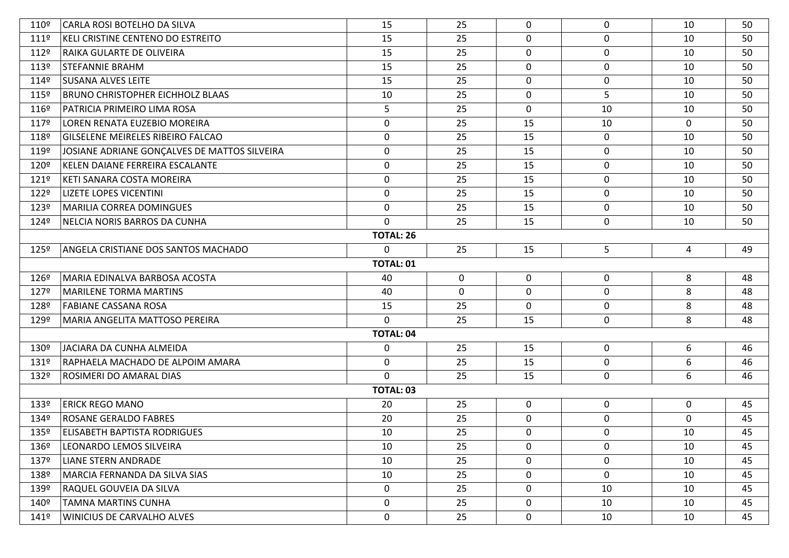| 110º             | CARLA ROSI BOTELHO DA SILVA                  | 15               | 25          | $\Omega$     | $\mathbf 0$      | 10          | 50 |  |
|------------------|----------------------------------------------|------------------|-------------|--------------|------------------|-------------|----|--|
| 1119             | KELI CRISTINE CENTENO DO ESTREITO            | 15               | 25          | $\Omega$     | $\mathbf 0$      | 10          | 50 |  |
| 112º             | RAIKA GULARTE DE OLIVEIRA                    | 15               | 25          | $\mathbf 0$  | $\mathbf 0$      | 10          | 50 |  |
| 1139             | <b>STEFANNIE BRAHM</b>                       | 15               | 25          | $\mathbf{0}$ | $\mathbf 0$      | 10          | 50 |  |
| 114º             | SUSANA ALVES LEITE                           | 15               | 25          | $\Omega$     | $\boldsymbol{0}$ | 10          | 50 |  |
| $115^{\circ}$    | <b>BRUNO CHRISTOPHER EICHHOLZ BLAAS</b>      | 10               | 25          | $\mathbf{0}$ | 5                | 10          | 50 |  |
| 116º             | PATRICIA PRIMEIRO LIMA ROSA                  | 5                | 25          | $\mathbf 0$  | 10               | 10          | 50 |  |
| 1179             | LOREN RENATA EUZEBIO MOREIRA                 | $\boldsymbol{0}$ | 25          | 15           | 10               | 0           | 50 |  |
| 118º             | <b>GILSELENE MEIRELES RIBEIRO FALCAO</b>     | 0                | 25          | 15           | $\mathbf{0}$     | 10          | 50 |  |
| 119º             | JOSIANE ADRIANE GONÇALVES DE MATTOS SILVEIRA | 0                | 25          | 15           | $\mathbf 0$      | 10          | 50 |  |
| 120º             | KELEN DAIANE FERREIRA ESCALANTE              | $\mathbf 0$      | 25          | 15           | $\mathbf 0$      | 10          | 50 |  |
| $121^{\circ}$    | KETI SANARA COSTA MOREIRA                    | $\mathbf 0$      | 25          | 15           | $\mathbf 0$      | 10          | 50 |  |
| 122º             | <b>LIZETE LOPES VICENTINI</b>                | 0                | 25          | 15           | $\mathbf{0}$     | 10          | 50 |  |
| 123º             | <b>MARILIA CORREA DOMINGUES</b>              | $\mathbf 0$      | 25          | 15           | $\mathbf 0$      | 10          | 50 |  |
| 124º             | NELCIA NORIS BARROS DA CUNHA                 | $\Omega$         | 25          | 15           | $\mathbf 0$      | 10          | 50 |  |
|                  |                                              | <b>TOTAL: 26</b> |             |              |                  |             |    |  |
| $125^{\circ}$    | ANGELA CRISTIANE DOS SANTOS MACHADO          | $\Omega$         | 25          | 15           | 5                | 4           | 49 |  |
| <b>TOTAL: 01</b> |                                              |                  |             |              |                  |             |    |  |
| 126º             | MARIA EDINALVA BARBOSA ACOSTA                | 40               | $\mathbf 0$ | $\mathbf 0$  | $\boldsymbol{0}$ | 8           | 48 |  |
| 127º             | MARILENE TORMA MARTINS                       | 40               | $\mathbf 0$ | $\mathbf{0}$ | $\mathbf{0}$     | 8           | 48 |  |
| 128º             | FABIANE CASSANA ROSA                         | 15               | 25          | $\Omega$     | $\boldsymbol{0}$ | 8           | 48 |  |
| 129º             | MARIA ANGELITA MATTOSO PEREIRA               | $\mathbf 0$      | 25          | 15           | 0                | 8           | 48 |  |
|                  |                                              | <b>TOTAL: 04</b> |             |              |                  |             |    |  |
| 130º             | JACIARA DA CUNHA ALMEIDA                     | 0                | 25          | 15           | $\mathbf 0$      | 6           | 46 |  |
| 131º             | RAPHAELA MACHADO DE ALPOIM AMARA             | 0                | 25          | 15           | $\mathbf 0$      | 6           | 46 |  |
| 132º             | <b>ROSIMERI DO AMARAL DIAS</b>               | $\Omega$         | 25          | 15           | $\mathbf 0$      | 6           | 46 |  |
|                  |                                              | <b>TOTAL: 03</b> |             |              |                  |             |    |  |
| 133º             | <b>ERICK REGO MANO</b>                       | 20               | 25          | $\mathbf 0$  | $\mathbf 0$      | 0           | 45 |  |
| 134º             | <b>ROSANE GERALDO FABRES</b>                 | 20               | 25          | $\Omega$     | $\boldsymbol{0}$ | $\mathbf 0$ | 45 |  |
| 135º             | <b>ELISABETH BAPTISTA RODRIGUES</b>          | 10               | 25          | $\mathbf{0}$ | 0                | 10          | 45 |  |
| 136º             | LEONARDO LEMOS SILVEIRA                      | 10               | 25          | $\Omega$     | $\mathbf{0}$     | 10          | 45 |  |
| 137º             | <b>LIANE STERN ANDRADE</b>                   | 10               | 25          | $\mathbf 0$  | $\mathbf 0$      | 10          | 45 |  |
| 138º             | MARCIA FERNANDA DA SILVA SIAS                | 10               | 25          | $\mathbf 0$  | $\mathbf 0$      | 10          | 45 |  |
| 139º             | <b>RAQUEL GOUVEIA DA SILVA</b>               | $\mathbf 0$      | 25          | $\mathbf 0$  | 10               | 10          | 45 |  |
| 140º             | <b>TAMNA MARTINS CUNHA</b>                   | 0                | 25          | $\mathbf 0$  | 10               | 10          | 45 |  |
| 141º             | WINICIUS DE CARVALHO ALVES                   | $\mathbf 0$      | 25          | $\mathbf{0}$ | 10               | 10          | 45 |  |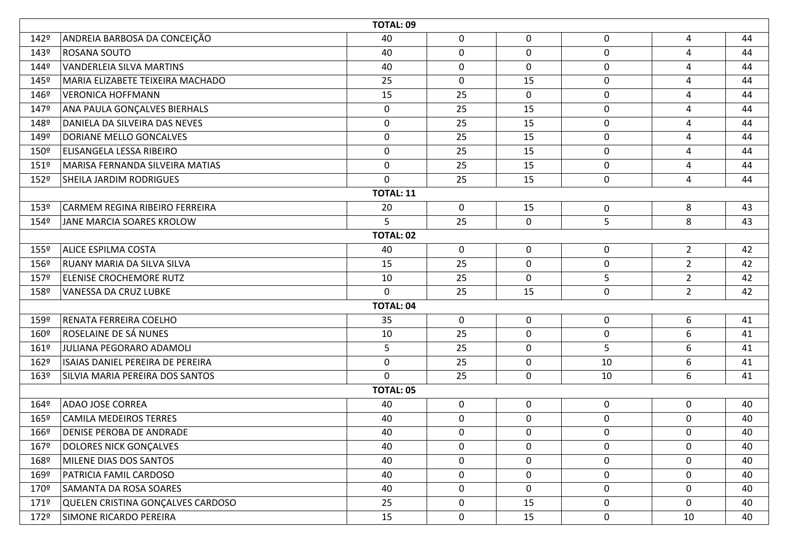|      | <b>TOTAL: 09</b>                  |                  |              |                |                  |                |    |  |  |  |  |
|------|-----------------------------------|------------------|--------------|----------------|------------------|----------------|----|--|--|--|--|
| 142º | ANDREIA BARBOSA DA CONCEIÇÃO      | 40               | 0            | 0              | $\mathbf 0$      | $\overline{4}$ | 44 |  |  |  |  |
| 143º | ROSANA SOUTO                      | 40               | 0            | 0              | 0                | $\overline{4}$ | 44 |  |  |  |  |
| 144º | <b>VANDERLEIA SILVA MARTINS</b>   | 40               | 0            | $\overline{0}$ | $\mathbf 0$      | $\overline{4}$ | 44 |  |  |  |  |
| 145º | MARIA ELIZABETE TEIXEIRA MACHADO  | 25               | 0            | 15             | $\mathbf 0$      | 4              | 44 |  |  |  |  |
| 146º | <b>VERONICA HOFFMANN</b>          | 15               | 25           | 0              | $\boldsymbol{0}$ | 4              | 44 |  |  |  |  |
| 147º | ANA PAULA GONÇALVES BIERHALS      | $\mathbf 0$      | 25           | 15             | $\boldsymbol{0}$ | $\overline{4}$ | 44 |  |  |  |  |
| 148º | DANIELA DA SILVEIRA DAS NEVES     | 0                | 25           | 15             | $\boldsymbol{0}$ | 4              | 44 |  |  |  |  |
| 149º | DORIANE MELLO GONCALVES           | $\mathbf 0$      | 25           | 15             | $\mathbf 0$      | 4              | 44 |  |  |  |  |
| 150º | ELISANGELA LESSA RIBEIRO          | 0                | 25           | 15             | $\mathbf 0$      | $\overline{4}$ | 44 |  |  |  |  |
| 151º | MARISA FERNANDA SILVEIRA MATIAS   | 0                | 25           | 15             | $\mathbf 0$      | 4              | 44 |  |  |  |  |
| 152º | <b>SHEILA JARDIM RODRIGUES</b>    | $\mathbf 0$      | 25           | 15             | $\mathbf 0$      | $\overline{4}$ | 44 |  |  |  |  |
|      | <b>TOTAL: 11</b>                  |                  |              |                |                  |                |    |  |  |  |  |
| 153º | CARMEM REGINA RIBEIRO FERREIRA    | 20               | $\mathbf 0$  | 15             | $\bf{0}$         | 8              | 43 |  |  |  |  |
| 154º | JANE MARCIA SOARES KROLOW         | 5                | 25           | $\mathbf 0$    | 5                | 8              | 43 |  |  |  |  |
|      | <b>TOTAL: 02</b>                  |                  |              |                |                  |                |    |  |  |  |  |
| 155º | <b>ALICE ESPILMA COSTA</b>        | 40               | $\mathbf{0}$ | 0              | $\boldsymbol{0}$ | $\overline{2}$ | 42 |  |  |  |  |
| 156º | RUANY MARIA DA SILVA SILVA        | 15               | 25           | $\mathbf 0$    | $\mathbf 0$      | $\overline{2}$ | 42 |  |  |  |  |
| 157º | <b>ELENISE CROCHEMORE RUTZ</b>    | 10               | 25           | 0              | 5                | $\overline{2}$ | 42 |  |  |  |  |
| 158º | <b>VANESSA DA CRUZ LUBKE</b>      | $\mathbf 0$      | 25           | 15             | $\mathbf 0$      | $\overline{2}$ | 42 |  |  |  |  |
|      |                                   | <b>TOTAL: 04</b> |              |                |                  |                |    |  |  |  |  |
| 159º | RENATA FERREIRA COELHO            | 35               | $\mathbf 0$  | $\mathbf 0$    | $\mathbf 0$      | 6              | 41 |  |  |  |  |
| 160º | ROSELAINE DE SÁ NUNES             | 10               | 25           | $\mathbf 0$    | $\mathbf 0$      | 6              | 41 |  |  |  |  |
| 1619 | JULIANA PEGORARO ADAMOLI          | 5                | 25           | $\mathbf 0$    | 5                | 6              | 41 |  |  |  |  |
| 162º | ISAIAS DANIEL PEREIRA DE PEREIRA  | 0                | 25           | 0              | 10               | 6              | 41 |  |  |  |  |
| 163º | SILVIA MARIA PEREIRA DOS SANTOS   | $\mathbf{0}$     | 25           | $\mathbf 0$    | 10               | 6              | 41 |  |  |  |  |
|      |                                   | <b>TOTAL: 05</b> |              |                |                  |                |    |  |  |  |  |
| 164º | <b>ADAO JOSE CORREA</b>           | 40               | $\mathbf 0$  | $\mathbf 0$    | $\mathbf 0$      | $\mathbf 0$    | 40 |  |  |  |  |
| 165º | <b>CAMILA MEDEIROS TERRES</b>     | 40               | $\mathbf 0$  | $\mathbf 0$    | $\mathbf 0$      | $\mathbf{0}$   | 40 |  |  |  |  |
| 166º | <b>DENISE PEROBA DE ANDRADE</b>   | 40               | 0            | 0              | $\mathbf 0$      | 0              | 40 |  |  |  |  |
| 167º | <b>DOLORES NICK GONÇALVES</b>     | 40               | 0            | $\mathbf 0$    | $\mathbf 0$      | 0              | 40 |  |  |  |  |
| 168º | MILENE DIAS DOS SANTOS            | 40               | 0            | $\mathbf 0$    | $\mathbf 0$      | $\mathbf 0$    | 40 |  |  |  |  |
| 169º | PATRICIA FAMIL CARDOSO            | 40               | 0            | 0              | $\boldsymbol{0}$ | 0              | 40 |  |  |  |  |
| 170º | <b>SAMANTA DA ROSA SOARES</b>     | 40               | 0            | $\mathbf 0$    | $\mathbf 0$      | $\mathbf 0$    | 40 |  |  |  |  |
| 171º | QUELEN CRISTINA GONÇALVES CARDOSO | 25               | $\mathbf 0$  | 15             | $\mathbf 0$      | $\mathbf 0$    | 40 |  |  |  |  |
| 172º | SIMONE RICARDO PEREIRA            | 15               | 0            | 15             | $\mathbf 0$      | 10             | 40 |  |  |  |  |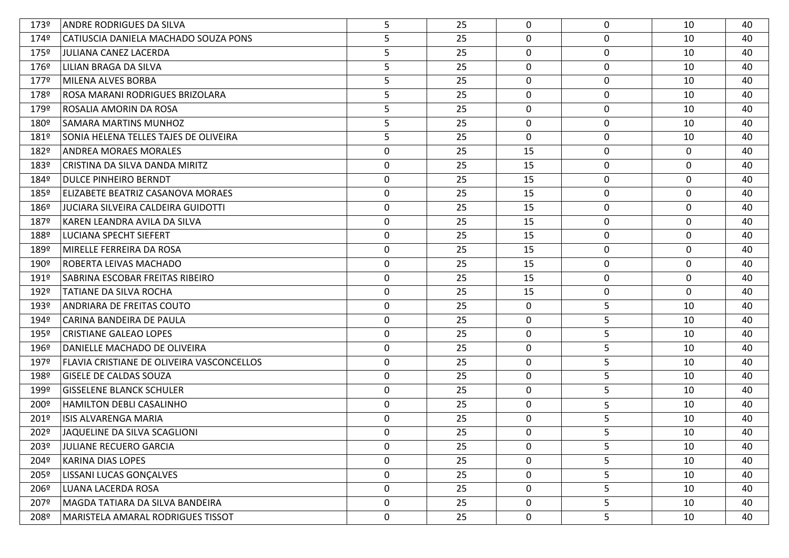| 173º | ANDRE RODRIGUES DA SILVA                  | 5                | 25 | $\Omega$     | $\mathbf 0$ | 10          | 40 |
|------|-------------------------------------------|------------------|----|--------------|-------------|-------------|----|
| 174º | CATIUSCIA DANIELA MACHADO SOUZA PONS      | 5                | 25 | 0            | 0           | 10          | 40 |
| 175º | <b>JULIANA CANEZ LACERDA</b>              | 5                | 25 | 0            | 0           | 10          | 40 |
| 176º | LILIAN BRAGA DA SILVA                     | 5                | 25 | 0            | $\mathbf 0$ | 10          | 40 |
| 1779 | MILENA ALVES BORBA                        | 5                | 25 | 0            | 0           | 10          | 40 |
| 178º | ROSA MARANI RODRIGUES BRIZOLARA           | 5                | 25 | 0            | 0           | 10          | 40 |
| 179º | ROSALIA AMORIN DA ROSA                    | 5                | 25 | 0            | 0           | 10          | 40 |
| 180º | SAMARA MARTINS MUNHOZ                     | 5                | 25 | 0            | $\mathbf 0$ | 10          | 40 |
| 181º | SONIA HELENA TELLES TAJES DE OLIVEIRA     | 5                | 25 | $\mathbf{0}$ | 0           | 10          | 40 |
| 182º | <b>ANDREA MORAES MORALES</b>              | $\boldsymbol{0}$ | 25 | 15           | 0           | 0           | 40 |
| 183º | CRISTINA DA SILVA DANDA MIRITZ            | 0                | 25 | 15           | 0           | $\mathbf 0$ | 40 |
| 184º | DULCE PINHEIRO BERNDT                     | $\mathbf 0$      | 25 | 15           | 0           | 0           | 40 |
| 185º | ELIZABETE BEATRIZ CASANOVA MORAES         | 0                | 25 | 15           | 0           | $\mathbf 0$ | 40 |
| 186º | JUCIARA SILVEIRA CALDEIRA GUIDOTTI        | 0                | 25 | 15           | 0           | 0           | 40 |
| 187º | KAREN LEANDRA AVILA DA SILVA              | $\mathbf 0$      | 25 | 15           | 0           | 0           | 40 |
| 188º | LUCIANA SPECHT SIEFERT                    | 0                | 25 | 15           | 0           | 0           | 40 |
| 189º | MIRELLE FERREIRA DA ROSA                  | $\mathbf 0$      | 25 | 15           | 0           | $\mathbf 0$ | 40 |
| 190º | ROBERTA LEIVAS MACHADO                    | $\boldsymbol{0}$ | 25 | 15           | 0           | 0           | 40 |
| 191º | SABRINA ESCOBAR FREITAS RIBEIRO           | 0                | 25 | 15           | 0           | $\mathbf 0$ | 40 |
| 192º | TATIANE DA SILVA ROCHA                    | $\boldsymbol{0}$ | 25 | 15           | 0           | 0           | 40 |
| 193º | ANDRIARA DE FREITAS COUTO                 | 0                | 25 | $\mathbf 0$  | 5           | 10          | 40 |
| 194º | CARINA BANDEIRA DE PAULA                  | 0                | 25 | 0            | 5           | 10          | 40 |
| 195º | <b>CRISTIANE GALEAO LOPES</b>             | 0                | 25 | $\mathbf 0$  | 5           | 10          | 40 |
| 196º | DANIELLE MACHADO DE OLIVEIRA              | 0                | 25 | $\mathbf 0$  | 5           | 10          | 40 |
| 197º | FLAVIA CRISTIANE DE OLIVEIRA VASCONCELLOS | $\mathbf 0$      | 25 | $\mathbf 0$  | 5           | 10          | 40 |
| 198º | <b>GISELE DE CALDAS SOUZA</b>             | 0                | 25 | $\mathbf 0$  | 5           | 10          | 40 |
| 199º | <b>GISSELENE BLANCK SCHULER</b>           | 0                | 25 | $\mathbf 0$  | 5           | 10          | 40 |
| 200º | <b>HAMILTON DEBLI CASALINHO</b>           | 0                | 25 | $\mathbf 0$  | 5           | 10          | 40 |
| 201º | <b>ISIS ALVARENGA MARIA</b>               | 0                | 25 | $\mathbf 0$  | 5           | 10          | 40 |
| 202º | JAQUELINE DA SILVA SCAGLIONI              | $\mathbf 0$      | 25 | $\Omega$     | 5           | 10          | 40 |
| 203º | <b>JULIANE RECUERO GARCIA</b>             | 0                | 25 | 0            | 5           | 10          | 40 |
| 204º | <b>KARINA DIAS LOPES</b>                  | $\boldsymbol{0}$ | 25 | $\mathbf 0$  | 5           | 10          | 40 |
| 205º | LISSANI LUCAS GONÇALVES                   | $\mathbf 0$      | 25 | $\mathbf 0$  | 5           | 10          | 40 |
| 206º | LUANA LACERDA ROSA                        | $\mathbf 0$      | 25 | $\mathbf 0$  | 5           | 10          | 40 |
| 207º | MAGDA TATIARA DA SILVA BANDEIRA           | $\mathbf 0$      | 25 | 0            | 5           | 10          | 40 |
| 208º | MARISTELA AMARAL RODRIGUES TISSOT         | $\mathbf 0$      | 25 | $\mathbf 0$  | 5           | 10          | 40 |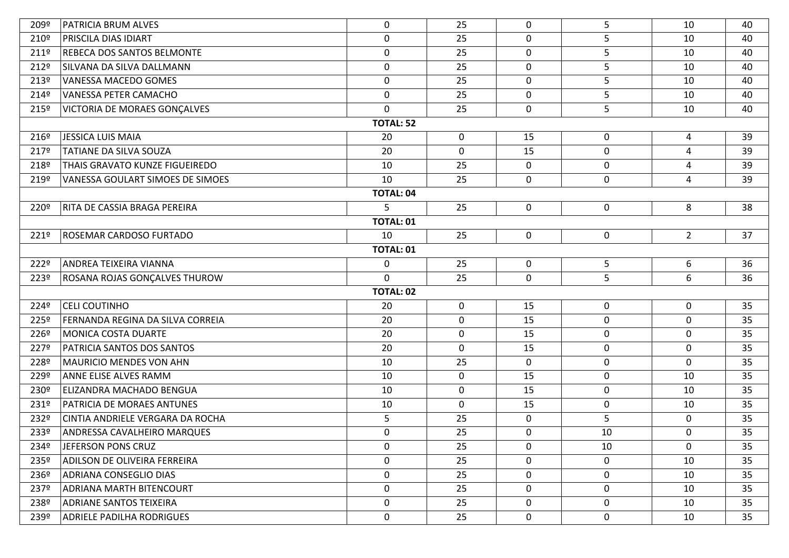| 209º             | PATRICIA BRUM ALVES                | $\mathbf 0$      | 25          | $\mathbf{0}$ | 5                | 10             | 40 |  |  |  |
|------------------|------------------------------------|------------------|-------------|--------------|------------------|----------------|----|--|--|--|
| 210º             | <b>PRISCILA DIAS IDIART</b>        | $\boldsymbol{0}$ | 25          | $\Omega$     | 5                | 10             | 40 |  |  |  |
| 211º             | REBECA DOS SANTOS BELMONTE         | $\boldsymbol{0}$ | 25          | 0            | 5                | 10             | 40 |  |  |  |
| 212º             | SILVANA DA SILVA DALLMANN          | $\mathbf 0$      | 25          | 0            | 5                | 10             | 40 |  |  |  |
| 213º             | <b>VANESSA MACEDO GOMES</b>        | 0                | 25          | 0            | 5                | 10             | 40 |  |  |  |
| 214º             | <b>VANESSA PETER CAMACHO</b>       | $\boldsymbol{0}$ | 25          | $\mathbf 0$  | 5                | 10             | 40 |  |  |  |
| 215º             | VICTORIA DE MORAES GONÇALVES       | $\mathbf 0$      | 25          | 0            | 5                | 10             | 40 |  |  |  |
|                  |                                    | <b>TOTAL: 52</b> |             |              |                  |                |    |  |  |  |
| 216º             | JESSICA LUIS MAIA                  | 20               | $\mathbf 0$ | 15           | $\mathbf 0$      | 4              | 39 |  |  |  |
| 217º             | TATIANE DA SILVA SOUZA             | 20               | $\mathbf 0$ | 15           | $\mathbf 0$      | $\overline{4}$ | 39 |  |  |  |
| 218º             | THAIS GRAVATO KUNZE FIGUEIREDO     | 10               | 25          | 0            | $\mathbf 0$      | 4              | 39 |  |  |  |
| 219º             | VANESSA GOULART SIMOES DE SIMOES   | 10               | 25          | 0            | $\mathbf 0$      | 4              | 39 |  |  |  |
|                  |                                    | <b>TOTAL: 04</b> |             |              |                  |                |    |  |  |  |
| 220º             | RITA DE CASSIA BRAGA PEREIRA       | 5                | 25          | 0            | $\mathbf 0$      | 8              | 38 |  |  |  |
|                  |                                    | <b>TOTAL: 01</b> |             |              |                  |                |    |  |  |  |
| 221º             | <b>ROSEMAR CARDOSO FURTADO</b>     | 10               | 25          | $\mathbf 0$  | $\mathbf 0$      | $2^{\circ}$    | 37 |  |  |  |
| <b>TOTAL: 01</b> |                                    |                  |             |              |                  |                |    |  |  |  |
| 222º             | ANDREA TEIXEIRA VIANNA             | $\boldsymbol{0}$ | 25          | $\mathbf 0$  | 5                | 6              | 36 |  |  |  |
| 223º             | ROSANA ROJAS GONÇALVES THUROW      | $\mathbf{0}$     | 25          | 0            | 5                | 6              | 36 |  |  |  |
|                  |                                    | <b>TOTAL: 02</b> |             |              |                  |                |    |  |  |  |
| 224º             | <b>CELI COUTINHO</b>               | 20               | $\mathbf 0$ | 15           | 0                | $\mathbf 0$    | 35 |  |  |  |
| 225º             | FERNANDA REGINA DA SILVA CORREIA   | 20               | $\mathbf 0$ | 15           | $\boldsymbol{0}$ | $\mathbf 0$    | 35 |  |  |  |
| 226º             | <b>MONICA COSTA DUARTE</b>         | 20               | $\mathbf 0$ | 15           | $\mathbf 0$      | $\mathbf 0$    | 35 |  |  |  |
| 227º             | PATRICIA SANTOS DOS SANTOS         | 20               | $\mathbf 0$ | 15           | $\mathbf 0$      | $\mathbf 0$    | 35 |  |  |  |
| 228º             | <b>MAURICIO MENDES VON AHN</b>     | 10               | 25          | $\mathbf{0}$ | $\mathbf 0$      | $\mathbf 0$    | 35 |  |  |  |
| 229º             | <b>ANNE ELISE ALVES RAMM</b>       | 10               | $\mathbf 0$ | 15           | $\boldsymbol{0}$ | 10             | 35 |  |  |  |
| 230º             | ELIZANDRA MACHADO BENGUA           | 10               | $\mathbf 0$ | 15           | $\mathbf 0$      | 10             | 35 |  |  |  |
| 231º             | PATRICIA DE MORAES ANTUNES         | 10               | $\mathbf 0$ | 15           | $\boldsymbol{0}$ | 10             | 35 |  |  |  |
| 232º             | CINTIA ANDRIELE VERGARA DA ROCHA   | 5                | 25          | 0            | 5                | $\mathbf 0$    | 35 |  |  |  |
| 233º             | <b>ANDRESSA CAVALHEIRO MARQUES</b> | $\mathbf 0$      | 25          | 0            | 10               | 0              | 35 |  |  |  |
| 234º             | JEFERSON PONS CRUZ                 | 0                | 25          | $\mathbf{0}$ | 10               | $\mathbf 0$    | 35 |  |  |  |
| 235º             | ADILSON DE OLIVEIRA FERREIRA       | $\mathbf 0$      | 25          | 0            | $\mathbf 0$      | 10             | 35 |  |  |  |
| 236º             | <b>ADRIANA CONSEGLIO DIAS</b>      | 0                | 25          | 0            | $\mathbf 0$      | 10             | 35 |  |  |  |
| 237º             | <b>ADRIANA MARTH BITENCOURT</b>    | $\mathbf 0$      | 25          | 0            | $\mathbf 0$      | 10             | 35 |  |  |  |
| 238º             | <b>ADRIANE SANTOS TEIXEIRA</b>     | 0                | 25          | 0            | 0                | 10             | 35 |  |  |  |
| 239º             | <b>ADRIELE PADILHA RODRIGUES</b>   | $\mathbf 0$      | 25          | 0            | $\mathbf 0$      | 10             | 35 |  |  |  |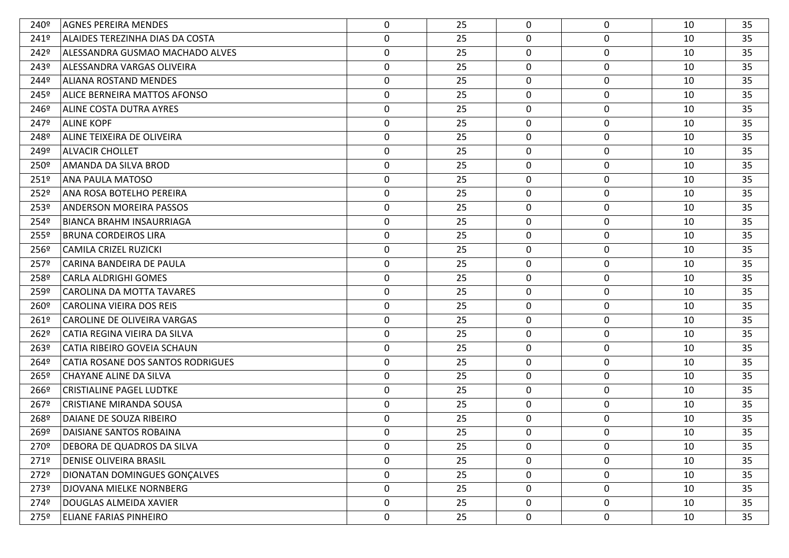| 240º             | <b>AGNES PEREIRA MENDES</b>         | $\mathbf{0}$     | 25 | 0           | $\mathbf 0$      | 10 | 35 |
|------------------|-------------------------------------|------------------|----|-------------|------------------|----|----|
| 241º             | ALAIDES TEREZINHA DIAS DA COSTA     | $\mathbf 0$      | 25 | 0           | $\mathbf 0$      | 10 | 35 |
| 242º             | ALESSANDRA GUSMAO MACHADO ALVES     | $\mathbf 0$      | 25 | 0           | $\mathbf 0$      | 10 | 35 |
| 243º             | ALESSANDRA VARGAS OLIVEIRA          | $\mathbf 0$      | 25 | 0           | $\mathbf 0$      | 10 | 35 |
| 244º             | ALIANA ROSTAND MENDES               | 0                | 25 | 0           | $\mathbf 0$      | 10 | 35 |
| 245º             | <b>ALICE BERNEIRA MATTOS AFONSO</b> | 0                | 25 | $\mathbf 0$ | $\boldsymbol{0}$ | 10 | 35 |
| 246º             | ALINE COSTA DUTRA AYRES             | $\mathbf 0$      | 25 | $\mathbf 0$ | $\mathbf 0$      | 10 | 35 |
| 247º             | <b>ALINE KOPF</b>                   | $\mathbf 0$      | 25 | 0           | $\mathbf 0$      | 10 | 35 |
| 248º             | ALINE TEIXEIRA DE OLIVEIRA          | $\mathbf 0$      | 25 | 0           | $\mathbf 0$      | 10 | 35 |
| 249º             | <b>ALVACIR CHOLLET</b>              | $\mathbf 0$      | 25 | $\mathbf 0$ | $\boldsymbol{0}$ | 10 | 35 |
| 250º             | AMANDA DA SILVA BROD                | 0                | 25 | 0           | $\mathbf 0$      | 10 | 35 |
| 251º             | <b>ANA PAULA MATOSO</b>             | $\boldsymbol{0}$ | 25 | $\mathbf 0$ | $\mathbf 0$      | 10 | 35 |
| 252º             | ANA ROSA BOTELHO PEREIRA            | 0                | 25 | 0           | $\mathbf 0$      | 10 | 35 |
| 253º             | <b>ANDERSON MOREIRA PASSOS</b>      | $\mathbf 0$      | 25 | 0           | $\mathbf 0$      | 10 | 35 |
| 254º             | <b>BIANCA BRAHM INSAURRIAGA</b>     | $\mathbf 0$      | 25 | 0           | $\mathbf 0$      | 10 | 35 |
| 255º             | <b>BRUNA CORDEIROS LIRA</b>         | $\mathbf 0$      | 25 | 0           | $\mathbf 0$      | 10 | 35 |
| 256º             | <b>CAMILA CRIZEL RUZICKI</b>        | 0                | 25 | 0           | $\mathbf 0$      | 10 | 35 |
| 257º             | CARINA BANDEIRA DE PAULA            | $\boldsymbol{0}$ | 25 | 0           | $\boldsymbol{0}$ | 10 | 35 |
| 258º             | <b>CARLA ALDRIGHI GOMES</b>         | $\mathbf 0$      | 25 | 0           | $\mathbf 0$      | 10 | 35 |
| 259º             | <b>CAROLINA DA MOTTA TAVARES</b>    | 0                | 25 | 0           | $\boldsymbol{0}$ | 10 | 35 |
| 260 <sup>o</sup> | <b>CAROLINA VIEIRA DOS REIS</b>     | 0                | 25 | 0           | $\mathbf 0$      | 10 | 35 |
| 261º             | CAROLINE DE OLIVEIRA VARGAS         | 0                | 25 | 0           | $\boldsymbol{0}$ | 10 | 35 |
| 262º             | CATIA REGINA VIEIRA DA SILVA        | 0                | 25 | $\mathbf 0$ | $\mathbf 0$      | 10 | 35 |
| 263º             | <b>CATIA RIBEIRO GOVEIA SCHAUN</b>  | 0                | 25 | 0           | $\mathbf 0$      | 10 | 35 |
| 264º             | CATIA ROSANE DOS SANTOS RODRIGUES   | $\mathbf 0$      | 25 | 0           | $\mathbf 0$      | 10 | 35 |
| 265º             | CHAYANE ALINE DA SILVA              | $\mathbf 0$      | 25 | $\mathbf 0$ | $\boldsymbol{0}$ | 10 | 35 |
| 266º             | <b>CRISTIALINE PAGEL LUDTKE</b>     | 0                | 25 | 0           | $\mathbf 0$      | 10 | 35 |
| 267º             | <b>CRISTIANE MIRANDA SOUSA</b>      | $\mathbf 0$      | 25 | 0           | $\mathbf 0$      | 10 | 35 |
| 268º             | DAIANE DE SOUZA RIBEIRO             | 0                | 25 | 0           | $\mathbf 0$      | 10 | 35 |
| 269º             | DAISIANE SANTOS ROBAINA             | $\mathbf 0$      | 25 | 0           | $\mathbf 0$      | 10 | 35 |
| 270º             | DEBORA DE QUADROS DA SILVA          | 0                | 25 | $\mathbf 0$ | 0                | 10 | 35 |
| 2719             | <b>DENISE OLIVEIRA BRASIL</b>       | $\mathbf 0$      | 25 | $\mathbf 0$ | $\mathbf 0$      | 10 | 35 |
| 272º             | DIONATAN DOMINGUES GONÇALVES        | $\mathbf 0$      | 25 | 0           | $\boldsymbol{0}$ | 10 | 35 |
| 273º             | DJOVANA MIELKE NORNBERG             | $\mathbf 0$      | 25 | $\mathbf 0$ | $\mathbf 0$      | 10 | 35 |
| 274º             | DOUGLAS ALMEIDA XAVIER              | $\mathbf 0$      | 25 | 0           | $\mathbf 0$      | 10 | 35 |
| 275º             | <b>ELIANE FARIAS PINHEIRO</b>       | 0                | 25 | 0           | $\boldsymbol{0}$ | 10 | 35 |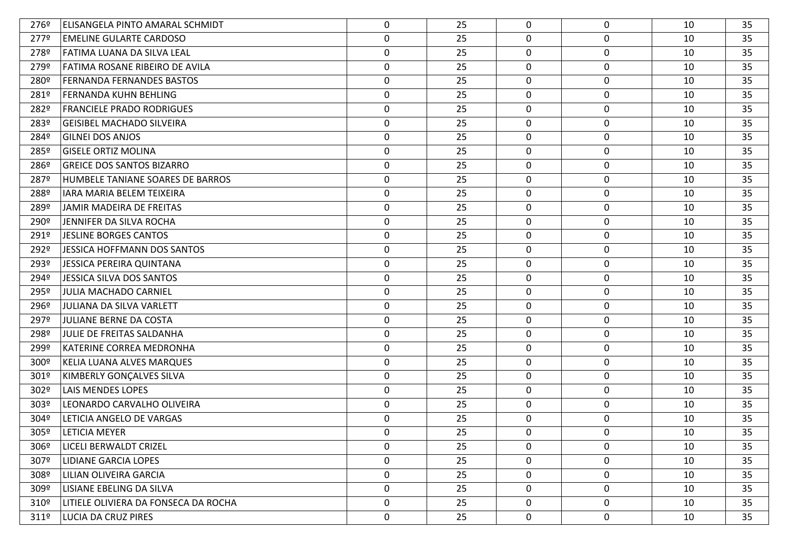| 276º             | ELISANGELA PINTO AMARAL SCHMIDT      | $\mathbf 0$      | 25 | $\mathbf{0}$ | 0                | 10 | 35 |
|------------------|--------------------------------------|------------------|----|--------------|------------------|----|----|
| 277º             | <b>EMELINE GULARTE CARDOSO</b>       | 0                | 25 | $\mathbf{0}$ | $\mathbf 0$      | 10 | 35 |
| 278º             | FATIMA LUANA DA SILVA LEAL           | $\boldsymbol{0}$ | 25 | 0            | $\pmb{0}$        | 10 | 35 |
| 279º             | FATIMA ROSANE RIBEIRO DE AVILA       | $\boldsymbol{0}$ | 25 | 0            | $\mathbf 0$      | 10 | 35 |
| 280º             | <b>FERNANDA FERNANDES BASTOS</b>     | $\boldsymbol{0}$ | 25 | 0            | $\mathbf 0$      | 10 | 35 |
| 281º             | FERNANDA KUHN BEHLING                | 0                | 25 | 0            | $\pmb{0}$        | 10 | 35 |
| 282º             | <b>FRANCIELE PRADO RODRIGUES</b>     | 0                | 25 | $\mathbf 0$  | $\mathbf 0$      | 10 | 35 |
| 283º             | <b>GEISIBEL MACHADO SILVEIRA</b>     | $\boldsymbol{0}$ | 25 | 0            | $\pmb{0}$        | 10 | 35 |
| 284º             | <b>GILNEI DOS ANJOS</b>              | 0                | 25 | 0            | $\mathbf 0$      | 10 | 35 |
| 285º             | <b>GISELE ORTIZ MOLINA</b>           | $\boldsymbol{0}$ | 25 | 0            | $\pmb{0}$        | 10 | 35 |
| 286º             | <b>GREICE DOS SANTOS BIZARRO</b>     | $\boldsymbol{0}$ | 25 | $\mathbf 0$  | $\boldsymbol{0}$ | 10 | 35 |
| 287º             | HUMBELE TANIANE SOARES DE BARROS     | $\boldsymbol{0}$ | 25 | 0            | $\pmb{0}$        | 10 | 35 |
| 288º             | IARA MARIA BELEM TEIXEIRA            | 0                | 25 | 0            | $\mathbf 0$      | 10 | 35 |
| 289º             | JAMIR MADEIRA DE FREITAS             | $\boldsymbol{0}$ | 25 | 0            | $\pmb{0}$        | 10 | 35 |
| 290º             | JENNIFER DA SILVA ROCHA              | $\boldsymbol{0}$ | 25 | $\mathbf 0$  | $\pmb{0}$        | 10 | 35 |
| 291º             | <b>JESLINE BORGES CANTOS</b>         | $\boldsymbol{0}$ | 25 | 0            | $\mathbf 0$      | 10 | 35 |
| 292º             | <b>JESSICA HOFFMANN DOS SANTOS</b>   | $\boldsymbol{0}$ | 25 | 0            | $\pmb{0}$        | 10 | 35 |
| 293º             | <b>JESSICA PEREIRA QUINTANA</b>      | $\boldsymbol{0}$ | 25 | 0            | $\pmb{0}$        | 10 | 35 |
| 294º             | <b>JESSICA SILVA DOS SANTOS</b>      | $\boldsymbol{0}$ | 25 | 0            | $\pmb{0}$        | 10 | 35 |
| 295º             | <b>JULIA MACHADO CARNIEL</b>         | $\boldsymbol{0}$ | 25 | 0            | $\pmb{0}$        | 10 | 35 |
| 296º             | <b>JULIANA DA SILVA VARLETT</b>      | 0                | 25 | 0            | $\mathbf 0$      | 10 | 35 |
| 297º             | JULIANE BERNE DA COSTA               | 0                | 25 | 0            | $\mathbf 0$      | 10 | 35 |
| 298º             | JULIE DE FREITAS SALDANHA            | 0                | 25 | 0            | $\mathbf 0$      | 10 | 35 |
| 299º             | KATERINE CORREA MEDRONHA             | 0                | 25 | 0            | $\mathbf 0$      | 10 | 35 |
| 300º             | KELIA LUANA ALVES MARQUES            | 0                | 25 | 0            | $\mathbf 0$      | 10 | 35 |
| 301º             | KIMBERLY GONÇALVES SILVA             | 0                | 25 | 0            | $\mathbf 0$      | 10 | 35 |
| 302º             | <b>LAIS MENDES LOPES</b>             | 0                | 25 | 0            | $\mathbf 0$      | 10 | 35 |
| 303º             | LEONARDO CARVALHO OLIVEIRA           | 0                | 25 | 0            | $\mathbf 0$      | 10 | 35 |
| 304º             | LETICIA ANGELO DE VARGAS             | 0                | 25 | 0            | $\mathbf 0$      | 10 | 35 |
| 305º             | LETICIA MEYER                        | 0                | 25 | 0            | 0                | 10 | 35 |
| 306º             | LICELI BERWALDT CRIZEL               | $\mathbf{0}$     | 25 | 0            | 0                | 10 | 35 |
| 307º             | <b>LIDIANE GARCIA LOPES</b>          | 0                | 25 | 0            | 0                | 10 | 35 |
| 308º             | LILIAN OLIVEIRA GARCIA               | $\mathbf 0$      | 25 | $\mathbf 0$  | 0                | 10 | 35 |
| 309º             | LISIANE EBELING DA SILVA             | $\mathbf 0$      | 25 | $\mathbf 0$  | 0                | 10 | 35 |
| 310º             | LITIELE OLIVIERA DA FONSECA DA ROCHA | $\mathbf 0$      | 25 | $\mathbf 0$  | $\boldsymbol{0}$ | 10 | 35 |
| 311 <sup>°</sup> | LUCIA DA CRUZ PIRES                  | 0                | 25 | 0            | $\boldsymbol{0}$ | 10 | 35 |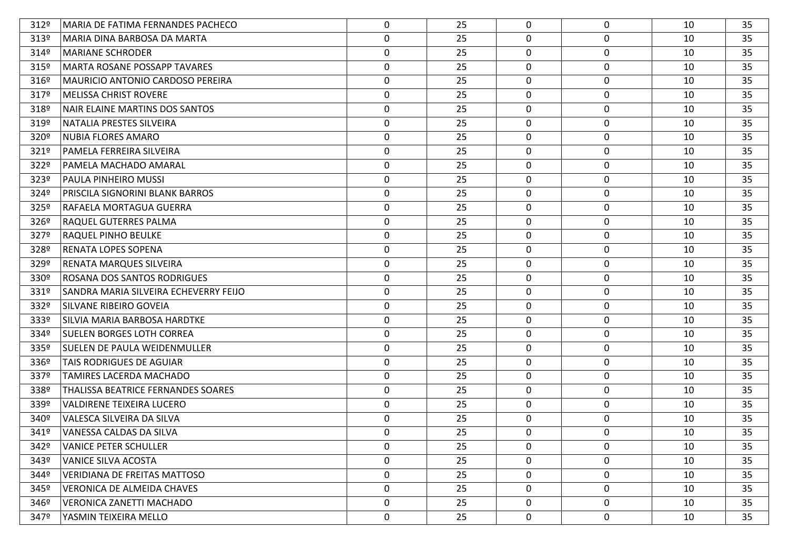| 312º | MARIA DE FATIMA FERNANDES PACHECO     | 0                | 25 | $\Omega$     | 0                | 10 | 35 |
|------|---------------------------------------|------------------|----|--------------|------------------|----|----|
| 313º | MARIA DINA BARBOSA DA MARTA           | 0                | 25 | $\mathbf{0}$ | 0                | 10 | 35 |
| 314º | <b>MARIANE SCHRODER</b>               | 0                | 25 | $\mathbf 0$  | $\mathbf 0$      | 10 | 35 |
| 315º | <b>MARTA ROSANE POSSAPP TAVARES</b>   | 0                | 25 | 0            | $\mathbf 0$      | 10 | 35 |
| 316º | MAURICIO ANTONIO CARDOSO PEREIRA      | 0                | 25 | 0            | $\mathbf 0$      | 10 | 35 |
| 317º | <b>MELISSA CHRIST ROVERE</b>          | 0                | 25 | 0            | $\mathbf 0$      | 10 | 35 |
| 318º | NAIR ELAINE MARTINS DOS SANTOS        | 0                | 25 | 0            | $\mathbf 0$      | 10 | 35 |
| 319º | NATALIA PRESTES SILVEIRA              | $\boldsymbol{0}$ | 25 | 0            | $\mathbf 0$      | 10 | 35 |
| 320º | <b>NUBIA FLORES AMARO</b>             | 0                | 25 | 0            | $\mathbf 0$      | 10 | 35 |
| 321º | PAMELA FERREIRA SILVEIRA              | $\boldsymbol{0}$ | 25 | 0            | $\mathbf 0$      | 10 | 35 |
| 322º | PAMELA MACHADO AMARAL                 | 0                | 25 | $\mathbf 0$  | $\mathbf 0$      | 10 | 35 |
| 323º | PAULA PINHEIRO MUSSI                  | $\boldsymbol{0}$ | 25 | 0            | $\mathbf 0$      | 10 | 35 |
| 324º | PRISCILA SIGNORINI BLANK BARROS       | 0                | 25 | 0            | $\mathbf 0$      | 10 | 35 |
| 325º | RAFAELA MORTAGUA GUERRA               | $\boldsymbol{0}$ | 25 | 0            | $\mathbf 0$      | 10 | 35 |
| 326º | RAQUEL GUTERRES PALMA                 | 0                | 25 | $\mathbf 0$  | $\mathbf 0$      | 10 | 35 |
| 327º | RAQUEL PINHO BEULKE                   | 0                | 25 | 0            | $\mathbf 0$      | 10 | 35 |
| 328º | <b>RENATA LOPES SOPENA</b>            | 0                | 25 | 0            | $\mathbf 0$      | 10 | 35 |
| 329º | RENATA MARQUES SILVEIRA               | 0                | 25 | 0            | $\pmb{0}$        | 10 | 35 |
| 330º | ROSANA DOS SANTOS RODRIGUES           | $\boldsymbol{0}$ | 25 | $\mathbf 0$  | $\mathbf 0$      | 10 | 35 |
| 331º | SANDRA MARIA SILVEIRA ECHEVERRY FEIJO | 0                | 25 | 0            | $\mathbf 0$      | 10 | 35 |
| 332º | SILVANE RIBEIRO GOVEIA                | 0                | 25 | 0            | $\mathbf 0$      | 10 | 35 |
| 333º | SILVIA MARIA BARBOSA HARDTKE          | 0                | 25 | 0            | $\mathbf 0$      | 10 | 35 |
| 334º | <b>SUELEN BORGES LOTH CORREA</b>      | 0                | 25 | 0            | $\mathbf 0$      | 10 | 35 |
| 335º | SUELEN DE PAULA WEIDENMULLER          | 0                | 25 | 0            | 0                | 10 | 35 |
| 336º | TAIS RODRIGUES DE AGUIAR              | $\mathbf 0$      | 25 | 0            | 0                | 10 | 35 |
| 337º | TAMIRES LACERDA MACHADO               | 0                | 25 | 0            | $\mathbf 0$      | 10 | 35 |
| 338º | THALISSA BEATRICE FERNANDES SOARES    | 0                | 25 | 0            | $\mathbf 0$      | 10 | 35 |
| 339º | VALDIRENE TEIXEIRA LUCERO             | 0                | 25 | 0            | 0                | 10 | 35 |
| 340º | VALESCA SILVEIRA DA SILVA             | $\mathbf 0$      | 25 | 0            | $\mathbf 0$      | 10 | 35 |
| 341º | VANESSA CALDAS DA SILVA               | $\Omega$         | 25 | 0            | $\Omega$         | 10 | 35 |
| 342º | <b>VANICE PETER SCHULLER</b>          | $\mathbf 0$      | 25 | 0            | 0                | 10 | 35 |
| 343º | VANICE SILVA ACOSTA                   | 0                | 25 | 0            | 0                | 10 | 35 |
| 344º | <b>VERIDIANA DE FREITAS MATTOSO</b>   | $\mathbf 0$      | 25 | $\mathbf 0$  | 0                | 10 | 35 |
| 345º | <b>VERONICA DE ALMEIDA CHAVES</b>     | 0                | 25 | 0            | 0                | 10 | 35 |
| 346º | <b>VERONICA ZANETTI MACHADO</b>       | $\mathbf 0$      | 25 | $\mathbf 0$  | 0                | 10 | 35 |
| 347º | YASMIN TEIXEIRA MELLO                 | 0                | 25 | $\mathbf 0$  | $\boldsymbol{0}$ | 10 | 35 |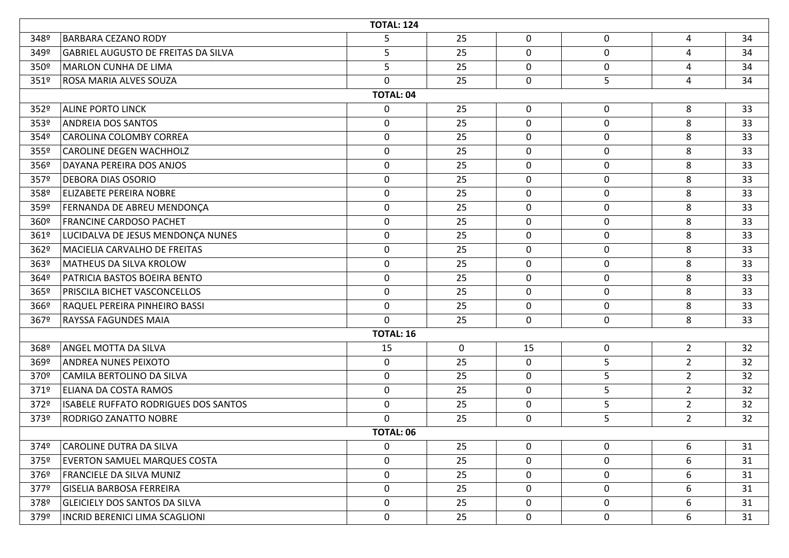|                  | <b>TOTAL: 124</b>                          |                  |    |              |                  |                |    |  |  |  |  |
|------------------|--------------------------------------------|------------------|----|--------------|------------------|----------------|----|--|--|--|--|
| 348º             | <b>BARBARA CEZANO RODY</b>                 | 5                | 25 | 0            | $\mathbf 0$      | 4              | 34 |  |  |  |  |
| 349º             | <b>GABRIEL AUGUSTO DE FREITAS DA SILVA</b> | 5                | 25 | 0            | 0                | 4              | 34 |  |  |  |  |
| 350 <sup>o</sup> | MARLON CUNHA DE LIMA                       | 5                | 25 | 0            | $\mathbf 0$      | 4              | 34 |  |  |  |  |
| 351 <sup>°</sup> | <b>ROSA MARIA ALVES SOUZA</b>              | 0                | 25 | 0            | 5                | 4              | 34 |  |  |  |  |
|                  | <b>TOTAL: 04</b>                           |                  |    |              |                  |                |    |  |  |  |  |
| 352º             | <b>ALINE PORTO LINCK</b>                   | $\mathbf 0$      | 25 | 0            | 0                | 8              | 33 |  |  |  |  |
| 353º             | <b>ANDREIA DOS SANTOS</b>                  | $\mathbf 0$      | 25 | 0            | $\boldsymbol{0}$ | 8              | 33 |  |  |  |  |
| 354º             | CAROLINA COLOMBY CORREA                    | $\mathbf 0$      | 25 | 0            | 0                | 8              | 33 |  |  |  |  |
| 355º             | <b>CAROLINE DEGEN WACHHOLZ</b>             | $\mathbf 0$      | 25 | 0            | 0                | 8              | 33 |  |  |  |  |
| 356º             | DAYANA PEREIRA DOS ANJOS                   | $\boldsymbol{0}$ | 25 | 0            | 0                | 8              | 33 |  |  |  |  |
| 357º             | <b>DEBORA DIAS OSORIO</b>                  | $\mathbf 0$      | 25 | 0            | $\mathbf 0$      | 8              | 33 |  |  |  |  |
| 358º             | <b>ELIZABETE PEREIRA NOBRE</b>             | $\boldsymbol{0}$ | 25 | 0            | 0                | 8              | 33 |  |  |  |  |
| 359º             | FERNANDA DE ABREU MENDONÇA                 | $\mathbf 0$      | 25 | 0            | $\pmb{0}$        | 8              | 33 |  |  |  |  |
| 360º             | <b>FRANCINE CARDOSO PACHET</b>             | 0                | 25 | 0            | 0                | 8              | 33 |  |  |  |  |
| 361º             | LUCIDALVA DE JESUS MENDONÇA NUNES          | $\mathbf 0$      | 25 | 0            | $\mathbf 0$      | 8              | 33 |  |  |  |  |
| 362º             | MACIELIA CARVALHO DE FREITAS               | 0                | 25 | 0            | 0                | 8              | 33 |  |  |  |  |
| 363º             | MATHEUS DA SILVA KROLOW                    | $\mathbf 0$      | 25 | $\mathbf 0$  | $\mathbf 0$      | 8              | 33 |  |  |  |  |
| 364º             | PATRICIA BASTOS BOEIRA BENTO               | $\boldsymbol{0}$ | 25 | 0            | 0                | 8              | 33 |  |  |  |  |
| 365º             | <b>PRISCILA BICHET VASCONCELLOS</b>        | $\mathbf 0$      | 25 | 0            | $\mathbf 0$      | 8              | 33 |  |  |  |  |
| 366º             | RAQUEL PEREIRA PINHEIRO BASSI              | $\mathbf 0$      | 25 | 0            | 0                | 8              | 33 |  |  |  |  |
| 367º             | <b>RAYSSA FAGUNDES MAIA</b>                | $\mathbf 0$      | 25 | 0            | 0                | 8              | 33 |  |  |  |  |
|                  |                                            | <b>TOTAL: 16</b> |    |              |                  |                |    |  |  |  |  |
| 368º             | ANGEL MOTTA DA SILVA                       | 15               | 0  | 15           | $\mathbf 0$      | $\overline{2}$ | 32 |  |  |  |  |
| 369º             | <b>ANDREA NUNES PEIXOTO</b>                | $\mathbf 0$      | 25 | 0            | 5                | $\overline{2}$ | 32 |  |  |  |  |
| 370º             | CAMILA BERTOLINO DA SILVA                  | $\boldsymbol{0}$ | 25 | 0            | 5                | $\overline{2}$ | 32 |  |  |  |  |
| 371º             | <b>ELIANA DA COSTA RAMOS</b>               | $\mathbf 0$      | 25 | 0            | 5                | $\overline{2}$ | 32 |  |  |  |  |
| 372º             | ISABELE RUFFATO RODRIGUES DOS SANTOS       | $\mathbf 0$      | 25 | 0            | 5                | $\overline{2}$ | 32 |  |  |  |  |
| 373º             | <b>RODRIGO ZANATTO NOBRE</b>               | $\mathbf 0$      | 25 | 0            | 5                | $\overline{2}$ | 32 |  |  |  |  |
|                  |                                            | <b>TOTAL: 06</b> |    |              |                  |                |    |  |  |  |  |
| 374º             | CAROLINE DUTRA DA SILVA                    | $\mathbf{0}$     | 25 | $\mathbf 0$  | 0                | 6              | 31 |  |  |  |  |
| 375º             | <b>EVERTON SAMUEL MARQUES COSTA</b>        | $\mathbf 0$      | 25 | 0            | 0                | 6              | 31 |  |  |  |  |
| 376º             | <b>FRANCIELE DA SILVA MUNIZ</b>            | $\boldsymbol{0}$ | 25 | $\mathbf{0}$ | 0                | 6              | 31 |  |  |  |  |
| 377º             | <b>GISELIA BARBOSA FERREIRA</b>            | $\mathbf 0$      | 25 | 0            | 0                | 6              | 31 |  |  |  |  |
| 378º             | <b>GLEICIELY DOS SANTOS DA SILVA</b>       | $\mathbf 0$      | 25 | 0            | 0                | 6              | 31 |  |  |  |  |
| 379º             | INCRID BERENICI LIMA SCAGLIONI             | $\boldsymbol{0}$ | 25 | 0            | 0                | 6              | 31 |  |  |  |  |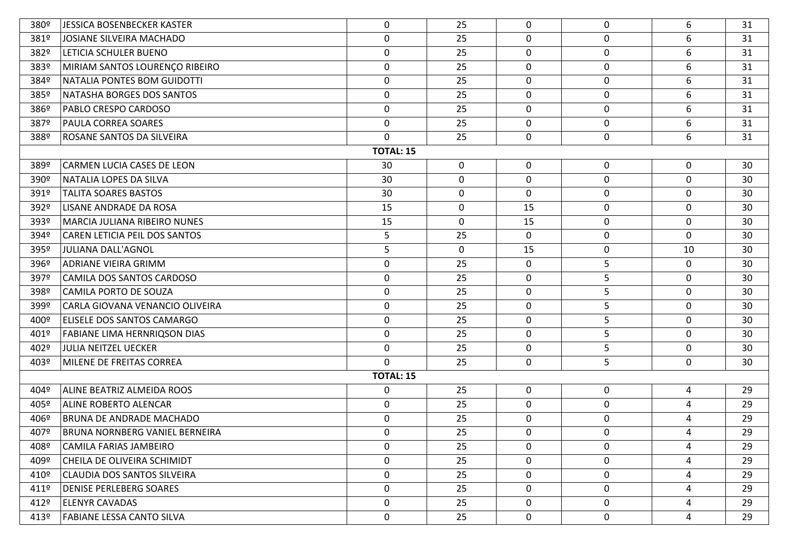| 380º             | JESSICA BOSENBECKER KASTER           | 0                | 25          | 0           | 0                | 6              | 31 |
|------------------|--------------------------------------|------------------|-------------|-------------|------------------|----------------|----|
| 381º             | JOSIANE SILVEIRA MACHADO             | 0                | 25          | 0           | 0                | 6              | 31 |
| 382º             | LETICIA SCHULER BUENO                | $\mathbf 0$      | 25          | $\mathbf 0$ | $\mathbf 0$      | 6              | 31 |
| 383º             | MIRIAM SANTOS LOURENÇO RIBEIRO       | 0                | 25          | 0           | $\mathbf 0$      | 6              | 31 |
| 384º             | NATALIA PONTES BOM GUIDOTTI          | 0                | 25          | 0           | $\mathbf 0$      | 6              | 31 |
| 385º             | NATASHA BORGES DOS SANTOS            | 0                | 25          | $\mathbf 0$ | 0                | 6              | 31 |
| 386 <sup>o</sup> | <b>PABLO CRESPO CARDOSO</b>          | $\mathbf 0$      | 25          | $\mathbf 0$ | $\mathbf 0$      | 6              | 31 |
| 387º             | <b>PAULA CORREA SOARES</b>           | $\mathbf 0$      | 25          | $\mathbf 0$ | $\mathbf 0$      | 6              | 31 |
| 388º             | ROSANE SANTOS DA SILVEIRA            | $\mathbf 0$      | 25          | $\mathbf 0$ | 0                | 6              | 31 |
|                  |                                      | <b>TOTAL: 15</b> |             |             |                  |                |    |
| 389º             | CARMEN LUCIA CASES DE LEON           | 30               | 0           | $\mathbf 0$ | 0                | $\mathbf 0$    | 30 |
| 390°             | NATALIA LOPES DA SILVA               | 30               | 0           | $\mathbf 0$ | $\mathbf 0$      | $\mathbf 0$    | 30 |
| 391º             | <b>TALITA SOARES BASTOS</b>          | 30               | $\mathbf 0$ | 0           | 0                | 0              | 30 |
| 392º             | LISANE ANDRADE DA ROSA               | 15               | 0           | 15          | 0                | $\mathbf 0$    | 30 |
| 393º             | <b>MARCIA JULIANA RIBEIRO NUNES</b>  | 15               | 0           | 15          | $\mathbf 0$      | 0              | 30 |
| 394º             | <b>CAREN LETICIA PEIL DOS SANTOS</b> | 5                | 25          | 0           | $\mathbf 0$      | $\mathbf 0$    | 30 |
| 395º             | JULIANA DALL'AGNOL                   | 5                | 0           | 15          | 0                | 10             | 30 |
| 396º             | <b>ADRIANE VIEIRA GRIMM</b>          | 0                | 25          | $\mathbf 0$ | 5                | $\mathbf 0$    | 30 |
| 397º             | CAMILA DOS SANTOS CARDOSO            | $\mathbf 0$      | 25          | $\mathbf 0$ | 5                | $\mathbf 0$    | 30 |
| 398º             | CAMILA PORTO DE SOUZA                | 0                | 25          | 0           | 5                | $\mathbf 0$    | 30 |
| 399º             | CARLA GIOVANA VENANCIO OLIVEIRA      | 0                | 25          | 0           | 5                | 0              | 30 |
| 400º             | <b>ELISELE DOS SANTOS CAMARGO</b>    | 0                | 25          | $\mathbf 0$ | 5                | $\mathbf 0$    | 30 |
| 401º             | <b>FABIANE LIMA HERNRIQSON DIAS</b>  | 0                | 25          | $\mathbf 0$ | 5                | $\mathbf 0$    | 30 |
| 402º             | JULIA NEITZEL UECKER                 | 0                | 25          | $\mathbf 0$ | 5                | $\mathbf 0$    | 30 |
| 403º             | MILENE DE FREITAS CORREA             | $\Omega$         | 25          | $\mathbf 0$ | 5                | 0              | 30 |
|                  |                                      | <b>TOTAL: 15</b> |             |             |                  |                |    |
| 404º             | ALINE BEATRIZ ALMEIDA ROOS           | 0                | 25          | $\mathbf 0$ | $\mathbf 0$      | $\overline{4}$ | 29 |
| 405º             | <b>ALINE ROBERTO ALENCAR</b>         | $\mathbf 0$      | 25          | $\mathbf 0$ | $\boldsymbol{0}$ | 4              | 29 |
| 406º             | <b>BRUNA DE ANDRADE MACHADO</b>      | 0                | 25          | 0           | 0                | 4              | 29 |
| 407º             | BRUNA NORNBERG VANIEL BERNEIRA       | $\boldsymbol{0}$ | 25          | 0           | $\boldsymbol{0}$ | 4              | 29 |
| 408º             | CAMILA FARIAS JAMBEIRO               | 0                | 25          | 0           | 0                | 4              | 29 |
| 409º             | CHEILA DE OLIVEIRA SCHIMIDT          | $\mathbf 0$      | 25          | $\mathbf 0$ | 0                | $\overline{4}$ | 29 |
| 410º             | CLAUDIA DOS SANTOS SILVEIRA          | 0                | 25          | $\mathbf 0$ | 0                | 4              | 29 |
| 411º             | <b>DENISE PERLEBERG SOARES</b>       | 0                | 25          | $\mathbf 0$ | 0                | 4              | 29 |
| 412º             | <b>ELENYR CAVADAS</b>                | 0                | 25          | $\mathbf 0$ | 0                | 4              | 29 |
| 413º             | <b>FABIANE LESSA CANTO SILVA</b>     | 0                | 25          | $\mathbf 0$ | 0                | 4              | 29 |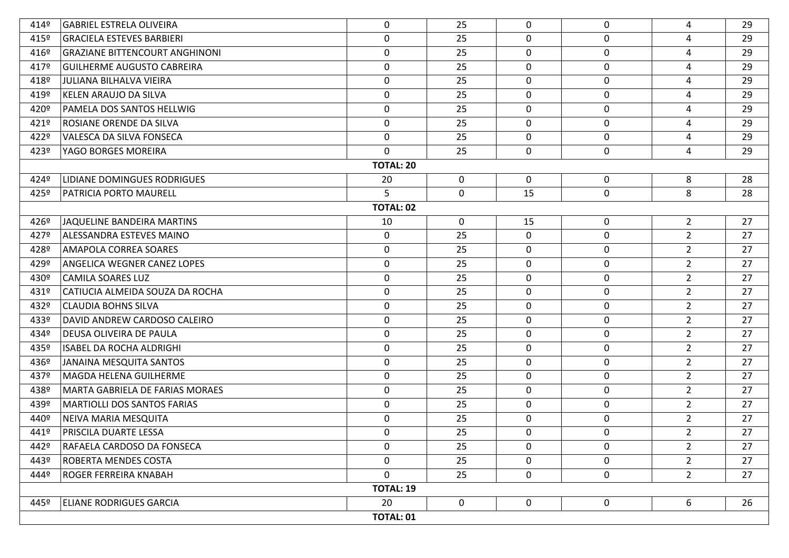| 414º | <b>GABRIEL ESTRELA OLIVEIRA</b>        | 0                | 25          | $\mathbf{0}$ | 0                | 4              | 29 |  |  |
|------|----------------------------------------|------------------|-------------|--------------|------------------|----------------|----|--|--|
| 415º | <b>GRACIELA ESTEVES BARBIERI</b>       | 0                | 25          | 0            | 0                | 4              | 29 |  |  |
| 416º | <b>GRAZIANE BITTENCOURT ANGHINONI</b>  | $\boldsymbol{0}$ | 25          | 0            | $\mathbf 0$      | 4              | 29 |  |  |
| 417º | <b>GUILHERME AUGUSTO CABREIRA</b>      | $\boldsymbol{0}$ | 25          | $\mathbf 0$  | $\mathbf 0$      | 4              | 29 |  |  |
| 418º | <b>JULIANA BILHALVA VIEIRA</b>         | 0                | 25          | 0            | $\mathbf 0$      | 4              | 29 |  |  |
| 419º | KELEN ARAUJO DA SILVA                  | $\boldsymbol{0}$ | 25          | $\mathbf 0$  | $\mathbf 0$      | 4              | 29 |  |  |
| 420º | PAMELA DOS SANTOS HELLWIG              | 0                | 25          | $\mathbf 0$  | $\boldsymbol{0}$ | 4              | 29 |  |  |
| 421º | ROSIANE ORENDE DA SILVA                | $\boldsymbol{0}$ | 25          | $\mathbf 0$  | $\mathbf 0$      | 4              | 29 |  |  |
| 422º | VALESCA DA SILVA FONSECA               | $\mathbf 0$      | 25          | $\mathbf 0$  | $\mathbf 0$      | 4              | 29 |  |  |
| 423º | YAGO BORGES MOREIRA                    | $\mathbf 0$      | 25          | $\mathbf 0$  | $\boldsymbol{0}$ | 4              | 29 |  |  |
|      | <b>TOTAL: 20</b>                       |                  |             |              |                  |                |    |  |  |
| 4249 | <b>LIDIANE DOMINGUES RODRIGUES</b>     | 20               | $\mathbf 0$ | $\mathbf 0$  | $\mathbf 0$      | 8              | 28 |  |  |
| 425º | <b>PATRICIA PORTO MAURELL</b>          | 5                | $\mathbf 0$ | 15           | $\mathbf 0$      | 8              | 28 |  |  |
|      |                                        | <b>TOTAL: 02</b> |             |              |                  |                |    |  |  |
| 426º | JAQUELINE BANDEIRA MARTINS             | 10               | 0           | 15           | 0                | $\overline{2}$ | 27 |  |  |
| 427º | ALESSANDRA ESTEVES MAINO               | 0                | 25          | $\mathbf 0$  | $\mathbf 0$      | $2^{\circ}$    | 27 |  |  |
| 428º | <b>AMAPOLA CORREA SOARES</b>           | 0                | 25          | $\mathbf 0$  | 0                | $2^{\circ}$    | 27 |  |  |
| 429º | <b>ANGELICA WEGNER CANEZ LOPES</b>     | $\boldsymbol{0}$ | 25          | $\mathbf 0$  | $\boldsymbol{0}$ | $2^{\circ}$    | 27 |  |  |
| 430º | <b>CAMILA SOARES LUZ</b>               | 0                | 25          | $\mathbf 0$  | $\mathbf 0$      | $2^{\circ}$    | 27 |  |  |
| 431º | CATIUCIA ALMEIDA SOUZA DA ROCHA        | $\boldsymbol{0}$ | 25          | 0            | $\mathbf 0$      | $2^{\circ}$    | 27 |  |  |
| 432º | CLAUDIA BOHNS SILVA                    | $\mathbf 0$      | 25          | $\mathbf 0$  | $\mathbf 0$      | $\overline{2}$ | 27 |  |  |
| 433º | DAVID ANDREW CARDOSO CALEIRO           | 0                | 25          | 0            | $\mathbf 0$      | $2^{\circ}$    | 27 |  |  |
| 434º | DEUSA OLIVEIRA DE PAULA                | $\boldsymbol{0}$ | 25          | 0            | 0                | $2^{\circ}$    | 27 |  |  |
| 435º | ISABEL DA ROCHA ALDRIGHI               | 0                | 25          | 0            | $\mathbf 0$      | $2^{\circ}$    | 27 |  |  |
| 436º | JANAINA MESQUITA SANTOS                | 0                | 25          | 0            | $\mathbf 0$      | $\overline{2}$ | 27 |  |  |
| 437º | MAGDA HELENA GUILHERME                 | 0                | 25          | 0            | $\mathbf 0$      | $2^{\circ}$    | 27 |  |  |
| 438º | <b>MARTA GABRIELA DE FARIAS MORAES</b> | 0                | 25          | 0            | $\mathbf 0$      | $2^{\circ}$    | 27 |  |  |
| 439º | MARTIOLLI DOS SANTOS FARIAS            | $\boldsymbol{0}$ | 25          | 0            | 0                | $2^{\circ}$    | 27 |  |  |
| 440º | NEIVA MARIA MESQUITA                   | 0                | 25          | $\mathbf 0$  | $\mathbf 0$      | $2^{\circ}$    | 27 |  |  |
| 441º | <b>PRISCILA DUARTE LESSA</b>           | $\mathbf 0$      | 25          | $\Omega$     | $\mathbf 0$      | $2^{\circ}$    | 27 |  |  |
| 442º | RAFAELA CARDOSO DA FONSECA             | 0                | 25          | 0            | 0                | $\overline{2}$ | 27 |  |  |
| 443º | ROBERTA MENDES COSTA                   | 0                | 25          | $\mathbf 0$  | 0                | $2^{\circ}$    | 27 |  |  |
| 444º | <b>ROGER FERREIRA KNABAH</b>           | 0                | 25          | $\mathbf 0$  | $\mathbf 0$      | $2^{\circ}$    | 27 |  |  |
|      |                                        | <b>TOTAL: 19</b> |             |              |                  |                |    |  |  |
| 445° | <b>ELIANE RODRIGUES GARCIA</b>         | 20               | 0           | $\mathbf 0$  | $\mathbf 0$      | 6              | 26 |  |  |
|      |                                        | TOTAL: 01        |             |              |                  |                |    |  |  |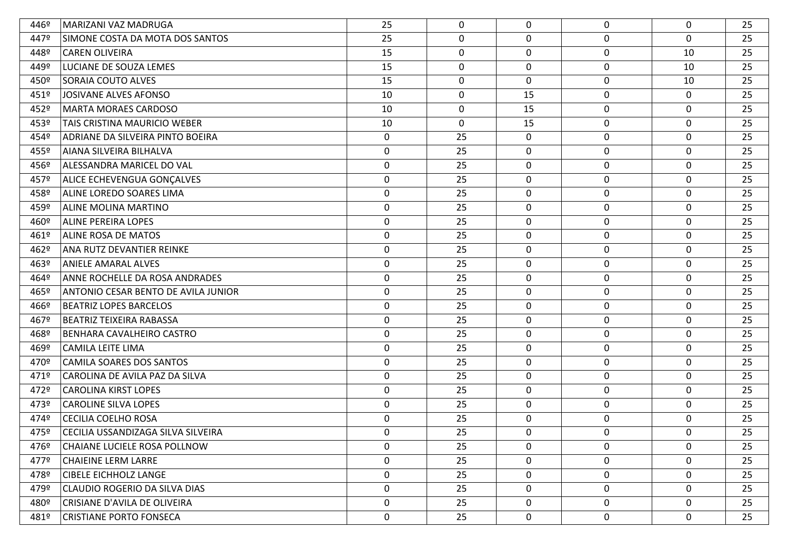| 446º | MARIZANI VAZ MADRUGA                | 25          | 0           | $\mathbf{0}$     | 0                | $\mathbf 0$ | 25 |
|------|-------------------------------------|-------------|-------------|------------------|------------------|-------------|----|
| 447º | SIMONE COSTA DA MOTA DOS SANTOS     | 25          | 0           | $\mathbf 0$      | $\mathbf 0$      | 0           | 25 |
| 448º | <b>CAREN OLIVEIRA</b>               | 15          | 0           | $\mathbf 0$      | $\boldsymbol{0}$ | 10          | 25 |
| 449º | LUCIANE DE SOUZA LEMES              | 15          | 0           | 0                | $\mathbf 0$      | 10          | 25 |
| 450º | <b>SORAIA COUTO ALVES</b>           | 15          | $\mathbf 0$ | $\mathbf{0}$     | $\mathbf 0$      | 10          | 25 |
| 451º | JOSIVANE ALVES AFONSO               | 10          | 0           | 15               | $\boldsymbol{0}$ | 0           | 25 |
| 452º | <b>MARTA MORAES CARDOSO</b>         | 10          | $\mathbf 0$ | 15               | 0                | 0           | 25 |
| 453º | TAIS CRISTINA MAURICIO WEBER        | 10          | 0           | 15               | $\mathbf 0$      | 0           | 25 |
| 454º | ADRIANE DA SILVEIRA PINTO BOEIRA    | 0           | 25          | $\mathbf 0$      | 0                | 0           | 25 |
| 455º | AIANA SILVEIRA BILHALVA             | 0           | 25          | $\boldsymbol{0}$ | $\mathbf 0$      | $\mathbf 0$ | 25 |
| 456º | ALESSANDRA MARICEL DO VAL           | 0           | 25          | 0                | 0                | 0           | 25 |
| 457º | <b>ALICE ECHEVENGUA GONÇALVES</b>   | 0           | 25          | 0                | $\mathbf 0$      | $\mathbf 0$ | 25 |
| 458º | ALINE LOREDO SOARES LIMA            | $\mathbf 0$ | 25          | 0                | $\mathbf 0$      | 0           | 25 |
| 459º | ALINE MOLINA MARTINO                | 0           | 25          | 0                | $\boldsymbol{0}$ | $\mathbf 0$ | 25 |
| 460º | <b>ALINE PEREIRA LOPES</b>          | $\mathbf 0$ | 25          | $\mathbf 0$      | $\boldsymbol{0}$ | 0           | 25 |
| 461º | <b>ALINE ROSA DE MATOS</b>          | 0           | 25          | 0                | $\mathbf 0$      | 0           | 25 |
| 462º | ANA RUTZ DEVANTIER REINKE           | 0           | 25          | 0                | 0                | 0           | 25 |
| 463º | <b>ANIELE AMARAL ALVES</b>          | 0           | 25          | $\boldsymbol{0}$ | $\mathbf 0$      | $\mathbf 0$ | 25 |
| 464º | ANNE ROCHELLE DA ROSA ANDRADES      | 0           | 25          | 0                | 0                | $\mathbf 0$ | 25 |
| 465º | ANTONIO CESAR BENTO DE AVILA JUNIOR | $\mathbf 0$ | 25          | $\mathbf 0$      | $\mathbf 0$      | 0           | 25 |
| 466º | <b>BEATRIZ LOPES BARCELOS</b>       | 0           | 25          | 0                | 0                | 0           | 25 |
| 467º | <b>BEATRIZ TEIXEIRA RABASSA</b>     | 0           | 25          | $\mathbf 0$      | $\boldsymbol{0}$ | $\mathbf 0$ | 25 |
| 468º | BENHARA CAVALHEIRO CASTRO           | 0           | 25          | 0                | $\mathbf 0$      | $\mathbf 0$ | 25 |
| 469º | <b>CAMILA LEITE LIMA</b>            | 0           | 25          | 0                | $\mathbf 0$      | 0           | 25 |
| 470º | <b>CAMILA SOARES DOS SANTOS</b>     | 0           | 25          | 0                | $\mathbf 0$      | 0           | 25 |
| 471º | CAROLINA DE AVILA PAZ DA SILVA      | 0           | 25          | $\mathbf 0$      | $\boldsymbol{0}$ | $\mathbf 0$ | 25 |
| 472º | <b>CAROLINA KIRST LOPES</b>         | $\mathbf 0$ | 25          | 0                | $\mathbf 0$      | $\mathbf 0$ | 25 |
| 473º | <b>CAROLINE SILVA LOPES</b>         | 0           | 25          | 0                | $\mathbf 0$      | $\mathbf 0$ | 25 |
| 474º | <b>CECILIA COELHO ROSA</b>          | 0           | 25          | 0                | $\mathbf 0$      | $\mathbf 0$ | 25 |
| 475º | CECILIA USSANDIZAGA SILVA SILVEIRA  | $\mathbf 0$ | 25          | $\mathbf 0$      | $\mathbf 0$      | $\mathbf 0$ | 25 |
| 476º | CHAIANE LUCIELE ROSA POLLNOW        | 0           | 25          | $\Omega$         | $\mathbf 0$      | $\mathbf 0$ | 25 |
| 477º | <b>CHAIEINE LERM LARRE</b>          | 0           | 25          | $\mathbf 0$      | $\boldsymbol{0}$ | 0           | 25 |
| 478º | <b>CIBELE EICHHOLZ LANGE</b>        | 0           | 25          | $\mathbf{0}$     | $\mathbf 0$      | 0           | 25 |
| 479º | CLAUDIO ROGERIO DA SILVA DIAS       | 0           | 25          | $\mathbf 0$      | $\mathbf 0$      | 0           | 25 |
| 480º | <b>CRISIANE D'AVILA DE OLIVEIRA</b> | 0           | 25          | $\mathbf 0$      | $\mathbf 0$      | $\mathbf 0$ | 25 |
| 481º | <b>CRISTIANE PORTO FONSECA</b>      | 0           | 25          | 0                | $\boldsymbol{0}$ | 0           | 25 |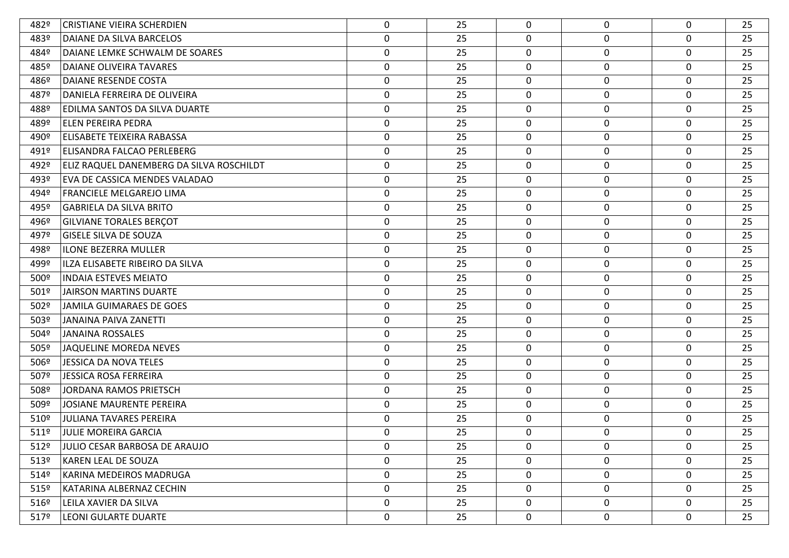| 482º             | <b>CRISTIANE VIEIRA SCHERDIEN</b>        | 0                | 25 | $\Omega$    | $\mathbf 0$      | $\mathbf 0$ | 25 |
|------------------|------------------------------------------|------------------|----|-------------|------------------|-------------|----|
| 483º             | DAIANE DA SILVA BARCELOS                 | $\pmb{0}$        | 25 | 0           | $\mathbf 0$      | 0           | 25 |
| 484º             | DAIANE LEMKE SCHWALM DE SOARES           | $\boldsymbol{0}$ | 25 | 0           | $\mathbf 0$      | 0           | 25 |
| 485º             | DAIANE OLIVEIRA TAVARES                  | $\pmb{0}$        | 25 | 0           | $\mathbf 0$      | 0           | 25 |
| 486º             | <b>DAIANE RESENDE COSTA</b>              | $\mathbf 0$      | 25 | 0           | 0                | 0           | 25 |
| 487º             | DANIELA FERREIRA DE OLIVEIRA             | $\pmb{0}$        | 25 | 0           | $\boldsymbol{0}$ | 0           | 25 |
| 488º             | EDILMA SANTOS DA SILVA DUARTE            | $\boldsymbol{0}$ | 25 | 0           | 0                | 0           | 25 |
| 489º             | <b>ELEN PEREIRA PEDRA</b>                | $\boldsymbol{0}$ | 25 | 0           | $\mathbf 0$      | 0           | 25 |
| 490º             | ELISABETE TEIXEIRA RABASSA               | 0                | 25 | 0           | 0                | 0           | 25 |
| 491º             | ELISANDRA FALCAO PERLEBERG               | $\pmb{0}$        | 25 | 0           | $\mathbf 0$      | 0           | 25 |
| 492º             | ELIZ RAQUEL DANEMBERG DA SILVA ROSCHILDT | 0                | 25 | 0           | $\mathbf 0$      | 0           | 25 |
| 493º             | EVA DE CASSICA MENDES VALADAO            | $\pmb{0}$        | 25 | 0           | $\mathbf 0$      | 0           | 25 |
| 494º             | FRANCIELE MELGAREJO LIMA                 | $\boldsymbol{0}$ | 25 | 0           | $\mathbf 0$      | 0           | 25 |
| 495º             | <b>GABRIELA DA SILVA BRITO</b>           | $\pmb{0}$        | 25 | 0           | $\boldsymbol{0}$ | 0           | 25 |
| 496º             | <b>GILVIANE TORALES BERÇOT</b>           | $\boldsymbol{0}$ | 25 | 0           | $\mathbf 0$      | 0           | 25 |
| 497º             | <b>GISELE SILVA DE SOUZA</b>             | $\boldsymbol{0}$ | 25 | 0           | $\mathbf 0$      | 0           | 25 |
| 498º             | <b>ILONE BEZERRA MULLER</b>              | 0                | 25 | 0           | 0                | 0           | 25 |
| 499º             | ILZA ELISABETE RIBEIRO DA SILVA          | $\pmb{0}$        | 25 | 0           | $\mathbf 0$      | $\mathbf 0$ | 25 |
| 500 <sup>o</sup> | <b>INDAIA ESTEVES MEIATO</b>             | 0                | 25 | 0           | 0                | 0           | 25 |
| 501º             | <b>JAIRSON MARTINS DUARTE</b>            | $\boldsymbol{0}$ | 25 | 0           | $\mathbf 0$      | 0           | 25 |
| 502º             | <b>JAMILA GUIMARAES DE GOES</b>          | 0                | 25 | 0           | $\mathbf 0$      | 0           | 25 |
| 503º             | <b>JANAINA PAIVA ZANETTI</b>             | $\pmb{0}$        | 25 | $\mathbf 0$ | $\mathbf 0$      | 0           | 25 |
| 504º             | <b>JANAINA ROSSALES</b>                  | $\boldsymbol{0}$ | 25 | 0           | $\mathbf 0$      | 0           | 25 |
| 505º             | JAQUELINE MOREDA NEVES                   | $\boldsymbol{0}$ | 25 | 0           | $\mathbf 0$      | 0           | 25 |
| 506º             | <b>JESSICA DA NOVA TELES</b>             | $\mathbf 0$      | 25 | 0           | $\mathbf 0$      | 0           | 25 |
| 507º             | <b>JESSICA ROSA FERREIRA</b>             | $\pmb{0}$        | 25 | 0           | $\boldsymbol{0}$ | 0           | 25 |
| 508º             | <b>JORDANA RAMOS PRIETSCH</b>            | $\boldsymbol{0}$ | 25 | 0           | $\mathbf 0$      | 0           | 25 |
| 509º             | <b>JOSIANE MAURENTE PEREIRA</b>          | $\boldsymbol{0}$ | 25 | 0           | $\mathbf 0$      | 0           | 25 |
| 510º             | <b>JULIANA TAVARES PEREIRA</b>           | $\mathbf 0$      | 25 | 0           | $\mathbf 0$      | 0           | 25 |
| 511º             | <b>JULIE MOREIRA GARCIA</b>              | $\mathbf 0$      | 25 | 0           | $\mathbf 0$      | $\mathbf 0$ | 25 |
| 512º             | JULIO CESAR BARBOSA DE ARAUJO            | $\mathbf 0$      | 25 | $\Omega$    | $\mathbf{0}$     | $\mathbf 0$ | 25 |
| 513°             | KAREN LEAL DE SOUZA                      | $\mathbf 0$      | 25 | 0           | $\mathbf 0$      | 0           | 25 |
| 514º             | KARINA MEDEIROS MADRUGA                  | $\mathbf 0$      | 25 | $\mathbf 0$ | $\mathbf 0$      | 0           | 25 |
| $515^{\circ}$    | KATARINA ALBERNAZ CECHIN                 | $\mathbf 0$      | 25 | $\mathbf 0$ | $\mathbf 0$      | 0           | 25 |
| 516º             | LEILA XAVIER DA SILVA                    | $\mathbf 0$      | 25 | 0           | 0                | $\mathbf 0$ | 25 |
| 5179             | <b>LEONI GULARTE DUARTE</b>              | $\boldsymbol{0}$ | 25 | 0           | $\mathbf 0$      | 0           | 25 |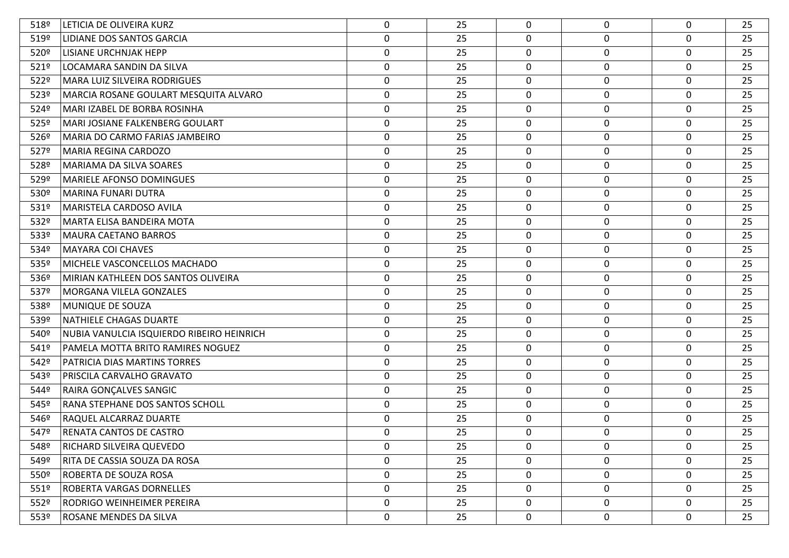| 518º | LETICIA DE OLIVEIRA KURZ                  | 0                | 25 | $\mathbf{0}$ | $\mathbf 0$      | 0           | 25 |
|------|-------------------------------------------|------------------|----|--------------|------------------|-------------|----|
| 519º | LIDIANE DOS SANTOS GARCIA                 | $\boldsymbol{0}$ | 25 | 0            | $\mathbf 0$      | 0           | 25 |
| 520º | LISIANE URCHNJAK HEPP                     | $\boldsymbol{0}$ | 25 | $\mathbf 0$  | 0                | 0           | 25 |
| 521º | LOCAMARA SANDIN DA SILVA                  | $\boldsymbol{0}$ | 25 | 0            | $\mathbf 0$      | 0           | 25 |
| 522º | <b>MARA LUIZ SILVEIRA RODRIGUES</b>       | 0                | 25 | 0            | $\mathbf 0$      | $\mathbf 0$ | 25 |
| 523º | MARCIA ROSANE GOULART MESQUITA ALVARO     | $\boldsymbol{0}$ | 25 | 0            | $\mathbf 0$      | 0           | 25 |
| 524º | MARI IZABEL DE BORBA ROSINHA              | 0                | 25 | 0            | $\mathbf 0$      | 0           | 25 |
| 525º | MARI JOSIANE FALKENBERG GOULART           | 0                | 25 | 0            | $\mathbf 0$      | 0           | 25 |
| 526º | MARIA DO CARMO FARIAS JAMBEIRO            | 0                | 25 | 0            | $\mathbf 0$      | $\mathbf 0$ | 25 |
| 527º | MARIA REGINA CARDOZO                      | $\boldsymbol{0}$ | 25 | 0            | $\mathbf 0$      | 0           | 25 |
| 528º | MARIAMA DA SILVA SOARES                   | $\boldsymbol{0}$ | 25 | 0            | $\mathbf 0$      | 0           | 25 |
| 529º | MARIELE AFONSO DOMINGUES                  | $\boldsymbol{0}$ | 25 | 0            | $\mathbf 0$      | 0           | 25 |
| 530º | <b>MARINA FUNARI DUTRA</b>                | 0                | 25 | $\mathbf 0$  | 0                | $\mathbf 0$ | 25 |
| 531º | MARISTELA CARDOSO AVILA                   | $\pmb{0}$        | 25 | 0            | $\mathbf 0$      | 0           | 25 |
| 532º | MARTA ELISA BANDEIRA MOTA                 | 0                | 25 | 0            | $\mathbf 0$      | 0           | 25 |
| 533º | MAURA CAETANO BARROS                      | $\pmb{0}$        | 25 | 0            | $\mathbf 0$      | 0           | 25 |
| 534º | <b>MAYARA COI CHAVES</b>                  | $\boldsymbol{0}$ | 25 | 0            | $\mathbf 0$      | 0           | 25 |
| 535º | MICHELE VASCONCELLOS MACHADO              | $\boldsymbol{0}$ | 25 | 0            | $\boldsymbol{0}$ | $\mathbf 0$ | 25 |
| 536º | MIRIAN KATHLEEN DOS SANTOS OLIVEIRA       | 0                | 25 | 0            | $\mathbf 0$      | 0           | 25 |
| 537º | MORGANA VILELA GONZALES                   | $\boldsymbol{0}$ | 25 | 0            | $\mathbf 0$      | 0           | 25 |
| 538º | MUNIQUE DE SOUZA                          | $\mathbf 0$      | 25 | $\mathbf 0$  | 0                | $\mathbf 0$ | 25 |
| 539º | NATHIELE CHAGAS DUARTE                    | $\pmb{0}$        | 25 | 0            | $\boldsymbol{0}$ | 0           | 25 |
| 540º | NUBIA VANULCIA ISQUIERDO RIBEIRO HEINRICH | $\boldsymbol{0}$ | 25 | $\mathbf 0$  | $\mathbf 0$      | 0           | 25 |
| 541º | PAMELA MOTTA BRITO RAMIRES NOGUEZ         | $\boldsymbol{0}$ | 25 | 0            | $\mathbf 0$      | 0           | 25 |
| 542º | PATRICIA DIAS MARTINS TORRES              | $\mathbf 0$      | 25 | 0            | $\boldsymbol{0}$ | $\mathbf 0$ | 25 |
| 543º | PRISCILA CARVALHO GRAVATO                 | $\boldsymbol{0}$ | 25 | 0            | $\mathbf 0$      | 0           | 25 |
| 544º | RAIRA GONÇALVES SANGIC                    | $\boldsymbol{0}$ | 25 | 0            | $\mathbf 0$      | 0           | 25 |
| 545º | RANA STEPHANE DOS SANTOS SCHOLL           | $\boldsymbol{0}$ | 25 | 0            | $\mathbf 0$      | 0           | 25 |
| 546º | RAQUEL ALCARRAZ DUARTE                    | 0                | 25 | $\mathbf{0}$ | $\mathbf 0$      | $\mathbf 0$ | 25 |
| 547º | RENATA CANTOS DE CASTRO                   | 0                | 25 | $\Omega$     | 0                | 0           | 25 |
| 548º | RICHARD SILVEIRA QUEVEDO                  | $\mathbf 0$      | 25 | $\Omega$     | $\mathbf 0$      | $\mathbf 0$ | 25 |
| 549º | RITA DE CASSIA SOUZA DA ROSA              | 0                | 25 | 0            | $\mathbf 0$      | 0           | 25 |
| 550° | ROBERTA DE SOUZA ROSA                     | 0                | 25 | $\mathbf 0$  | $\boldsymbol{0}$ | 0           | 25 |
| 5519 | ROBERTA VARGAS DORNELLES                  | 0                | 25 | 0            | $\mathbf 0$      | 0           | 25 |
| 552º | RODRIGO WEINHEIMER PEREIRA                | 0                | 25 | 0            | $\mathbf 0$      | 0           | 25 |
| 553º | ROSANE MENDES DA SILVA                    | 0                | 25 | 0            | $\boldsymbol{0}$ | 0           | 25 |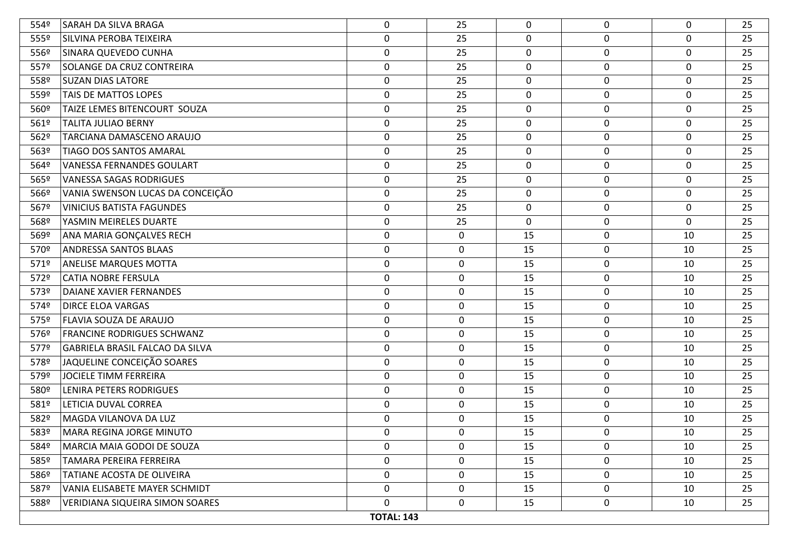| 554º | SARAH DA SILVA BRAGA                   | 0                 | 25           | $\mathbf{0}$ | $\mathbf 0$      | 0                | 25 |
|------|----------------------------------------|-------------------|--------------|--------------|------------------|------------------|----|
| 555º | SILVINA PEROBA TEIXEIRA                | $\boldsymbol{0}$  | 25           | 0            | $\mathbf 0$      | 0                | 25 |
| 556º | SINARA QUEVEDO CUNHA                   | 0                 | 25           | $\mathbf 0$  | $\mathbf 0$      | 0                | 25 |
| 557º | SOLANGE DA CRUZ CONTREIRA              | $\mathbf 0$       | 25           | 0            | $\mathbf 0$      | $\mathbf 0$      | 25 |
| 558º | <b>SUZAN DIAS LATORE</b>               | 0                 | 25           | 0            | $\mathbf 0$      | 0                | 25 |
| 559º | TAIS DE MATTOS LOPES                   | 0                 | 25           | $\mathbf 0$  | $\boldsymbol{0}$ | 0                | 25 |
| 560º | TAIZE LEMES BITENCOURT SOUZA           | 0                 | 25           | $\mathbf 0$  | $\mathbf 0$      | 0                | 25 |
| 561º | <b>TALITA JULIAO BERNY</b>             | $\mathbf 0$       | 25           | 0            | $\mathbf 0$      | $\boldsymbol{0}$ | 25 |
| 562º | TARCIANA DAMASCENO ARAUJO              | 0                 | 25           | 0            | $\mathbf 0$      | 0                | 25 |
| 563º | TIAGO DOS SANTOS AMARAL                | 0                 | 25           | $\mathbf 0$  | $\pmb{0}$        | $\mathbf 0$      | 25 |
| 564º | <b>VANESSA FERNANDES GOULART</b>       | 0                 | 25           | $\mathbf 0$  | $\mathbf 0$      | 0                | 25 |
| 565º | <b>VANESSA SAGAS RODRIGUES</b>         | 0                 | 25           | 0            | $\mathbf 0$      | $\mathbf 0$      | 25 |
| 566º | VANIA SWENSON LUCAS DA CONCEIÇÃO       | 0                 | 25           | 0            | $\mathbf 0$      | 0                | 25 |
| 567º | <b>VINICIUS BATISTA FAGUNDES</b>       | 0                 | 25           | $\mathbf 0$  | $\boldsymbol{0}$ | 0                | 25 |
| 568º | YASMIN MEIRELES DUARTE                 | 0                 | 25           | 0            | $\mathbf 0$      | 0                | 25 |
| 569º | ANA MARIA GONÇALVES RECH               | $\boldsymbol{0}$  | 0            | 15           | $\mathbf 0$      | 10               | 25 |
| 570º | ANDRESSA SANTOS BLAAS                  | 0                 | 0            | 15           | $\mathbf 0$      | 10               | 25 |
| 571º | <b>ANELISE MARQUES MOTTA</b>           | 0                 | 0            | 15           | $\mathbf 0$      | 10               | 25 |
| 572º | <b>CATIA NOBRE FERSULA</b>             | 0                 | $\mathbf 0$  | 15           | $\mathbf 0$      | 10               | 25 |
| 573º | DAIANE XAVIER FERNANDES                | 0                 | 0            | 15           | $\mathbf 0$      | 10               | 25 |
| 574º | <b>DIRCE ELOA VARGAS</b>               | $\mathbf 0$       | $\mathbf 0$  | 15           | $\mathbf 0$      | 10               | 25 |
| 575º | <b>FLAVIA SOUZA DE ARAUJO</b>          | 0                 | 0            | 15           | $\pmb{0}$        | 10               | 25 |
| 576º | FRANCINE RODRIGUES SCHWANZ             | 0                 | $\mathbf 0$  | 15           | $\mathbf 0$      | 10               | 25 |
| 577º | GABRIELA BRASIL FALCAO DA SILVA        | $\boldsymbol{0}$  | 0            | 15           | $\mathbf 0$      | 10               | 25 |
| 578º | JAQUELINE CONCEIÇÃO SOARES             | 0                 | 0            | 15           | $\mathbf 0$      | 10               | 25 |
| 579º | JOCIELE TIMM FERREIRA                  | 0                 | 0            | 15           | $\pmb{0}$        | 10               | 25 |
| 580º | <b>LENIRA PETERS RODRIGUES</b>         | 0                 | $\mathbf 0$  | 15           | $\mathbf 0$      | 10               | 25 |
| 581º | LETICIA DUVAL CORREA                   | $\boldsymbol{0}$  | 0            | 15           | $\mathbf 0$      | 10               | 25 |
| 582º | MAGDA VILANOVA DA LUZ                  | $\mathbf 0$       | $\mathbf 0$  | 15           | $\mathbf 0$      | 10               | 25 |
| 583º | MARA REGINA JORGE MINUTO               | 0                 | 0            | 15           | $\mathbf 0$      | 10               | 25 |
| 584º | MARCIA MAIA GODOI DE SOUZA             | 0                 | 0            | 15           | $\mathbf 0$      | 10               | 25 |
| 585º | TAMARA PEREIRA FERREIRA                | 0                 | 0            | 15           | $\mathbf 0$      | 10               | 25 |
| 586º | TATIANE ACOSTA DE OLIVEIRA             | 0                 | 0            | 15           | 0                | 10               | 25 |
| 587º | VANIA ELISABETE MAYER SCHMIDT          | 0                 | 0            | 15           | $\mathbf 0$      | 10               | 25 |
| 588º | <b>VERIDIANA SIQUEIRA SIMON SOARES</b> | 0                 | $\mathbf{0}$ | 15           | $\mathbf 0$      | 10               | 25 |
|      |                                        | <b>TOTAL: 143</b> |              |              |                  |                  |    |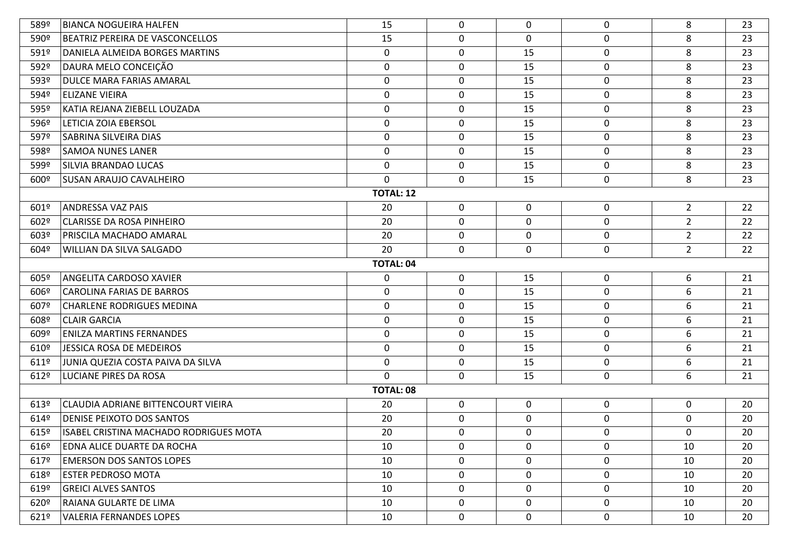| 589º             | <b>BIANCA NOGUEIRA HALFEN</b>          | 15               | 0           | 0           | 0                | 8              | 23 |  |  |  |
|------------------|----------------------------------------|------------------|-------------|-------------|------------------|----------------|----|--|--|--|
| 590 <sup>o</sup> | BEATRIZ PEREIRA DE VASCONCELLOS        | 15               | $\mathbf 0$ | $\mathbf 0$ | 0                | 8              | 23 |  |  |  |
| 591º             | DANIELA ALMEIDA BORGES MARTINS         | $\mathbf 0$      | $\mathbf 0$ | 15          | $\mathbf 0$      | 8              | 23 |  |  |  |
| 592º             | DAURA MELO CONCEIÇÃO                   | $\mathbf 0$      | $\mathbf 0$ | 15          | $\mathbf 0$      | 8              | 23 |  |  |  |
| 593º             | DULCE MARA FARIAS AMARAL               | $\mathbf 0$      | $\mathbf 0$ | 15          | $\mathbf 0$      | 8              | 23 |  |  |  |
| 594º             | <b>ELIZANE VIEIRA</b>                  | $\mathbf 0$      | $\mathbf 0$ | 15          | $\mathbf 0$      | 8              | 23 |  |  |  |
| 595º             | KATIA REJANA ZIEBELL LOUZADA           | $\mathbf 0$      | $\mathbf 0$ | 15          | 0                | 8              | 23 |  |  |  |
| 596º             | <b>LETICIA ZOIA EBERSOL</b>            | $\pmb{0}$        | $\mathbf 0$ | 15          | $\mathbf 0$      | 8              | 23 |  |  |  |
| 597º             | SABRINA SILVEIRA DIAS                  | 0                | $\mathbf 0$ | 15          | 0                | 8              | 23 |  |  |  |
| 598º             | <b>SAMOA NUNES LANER</b>               | $\mathbf 0$      | $\mathbf 0$ | 15          | 0                | 8              | 23 |  |  |  |
| 599º             | SILVIA BRANDAO LUCAS                   | $\mathbf 0$      | $\mathbf 0$ | 15          | $\mathbf 0$      | 8              | 23 |  |  |  |
| 600º             | <b>SUSAN ARAUJO CAVALHEIRO</b>         | $\mathbf 0$      | $\mathbf 0$ | 15          | $\pmb{0}$        | 8              | 23 |  |  |  |
|                  |                                        | <b>TOTAL: 12</b> |             |             |                  |                |    |  |  |  |
| 601º             | <b>ANDRESSA VAZ PAIS</b>               | 20               | $\mathbf 0$ | $\mathbf 0$ | 0                | $2^{\circ}$    | 22 |  |  |  |
| 602º             | <b>CLARISSE DA ROSA PINHEIRO</b>       | 20               | $\mathbf 0$ | $\mathbf 0$ | $\mathbf 0$      | $2^{\circ}$    | 22 |  |  |  |
| 603º             | PRISCILA MACHADO AMARAL                | 20               | $\mathbf 0$ | $\mathbf 0$ | $\mathbf 0$      | $2^{\circ}$    | 22 |  |  |  |
| 604º             | WILLIAN DA SILVA SALGADO               | 20               | $\mathbf 0$ | 0           | 0                | $\overline{2}$ | 22 |  |  |  |
| <b>TOTAL: 04</b> |                                        |                  |             |             |                  |                |    |  |  |  |
| 605º             | ANGELITA CARDOSO XAVIER                | $\mathbf 0$      | $\mathbf 0$ | 15          | $\mathbf 0$      | 6              | 21 |  |  |  |
| 606º             | <b>CAROLINA FARIAS DE BARROS</b>       | $\boldsymbol{0}$ | $\mathbf 0$ | 15          | $\mathbf 0$      | 6              | 21 |  |  |  |
| 607º             | <b>CHARLENE RODRIGUES MEDINA</b>       | 0                | $\mathbf 0$ | 15          | 0                | 6              | 21 |  |  |  |
| 608º             | <b>CLAIR GARCIA</b>                    | $\mathbf 0$      | $\mathbf 0$ | 15          | 0                | 6              | 21 |  |  |  |
| 609º             | <b>ENILZA MARTINS FERNANDES</b>        | $\mathbf 0$      | $\mathbf 0$ | 15          | 0                | 6              | 21 |  |  |  |
| 610º             | JESSICA ROSA DE MEDEIROS               | $\mathbf 0$      | $\mathbf 0$ | 15          | $\mathbf 0$      | 6              | 21 |  |  |  |
| 6119             | JUNIA QUEZIA COSTA PAIVA DA SILVA      | $\mathbf 0$      | $\mathbf 0$ | 15          | 0                | 6              | 21 |  |  |  |
| 612º             | LUCIANE PIRES DA ROSA                  | $\mathbf{0}$     | $\mathbf 0$ | 15          | 0                | 6              | 21 |  |  |  |
|                  |                                        | <b>TOTAL: 08</b> |             |             |                  |                |    |  |  |  |
| 613º             | CLAUDIA ADRIANE BITTENCOURT VIEIRA     | 20               | $\mathbf 0$ | $\mathbf 0$ | 0                | $\mathbf 0$    | 20 |  |  |  |
| 614º             | <b>DENISE PEIXOTO DOS SANTOS</b>       | 20               | $\mathbf 0$ | $\mathbf 0$ | $\mathbf 0$      | 0              | 20 |  |  |  |
| $615^{\circ}$    | ISABEL CRISTINA MACHADO RODRIGUES MOTA | 20               | $\mathbf 0$ | 0           | $\boldsymbol{0}$ | 0              | 20 |  |  |  |
| 616º             | EDNA ALICE DUARTE DA ROCHA             | 10               | 0           | $\mathbf 0$ | 0                | 10             | 20 |  |  |  |
| 617º             | <b>EMERSON DOS SANTOS LOPES</b>        | 10               | 0           | $\mathbf 0$ | 0                | 10             | 20 |  |  |  |
| 618º             | <b>ESTER PEDROSO MOTA</b>              | 10               | 0           | $\mathbf 0$ | 0                | 10             | 20 |  |  |  |
| 619º             | <b>GREICI ALVES SANTOS</b>             | 10               | 0           | $\mathbf 0$ | 0                | 10             | 20 |  |  |  |
| 620º             | RAIANA GULARTE DE LIMA                 | 10               | 0           | $\mathbf 0$ | $\mathbf 0$      | 10             | 20 |  |  |  |
| 6219             | <b>VALERIA FERNANDES LOPES</b>         | 10               | $\mathbf 0$ | $\mathbf 0$ | $\mathbf 0$      | 10             | 20 |  |  |  |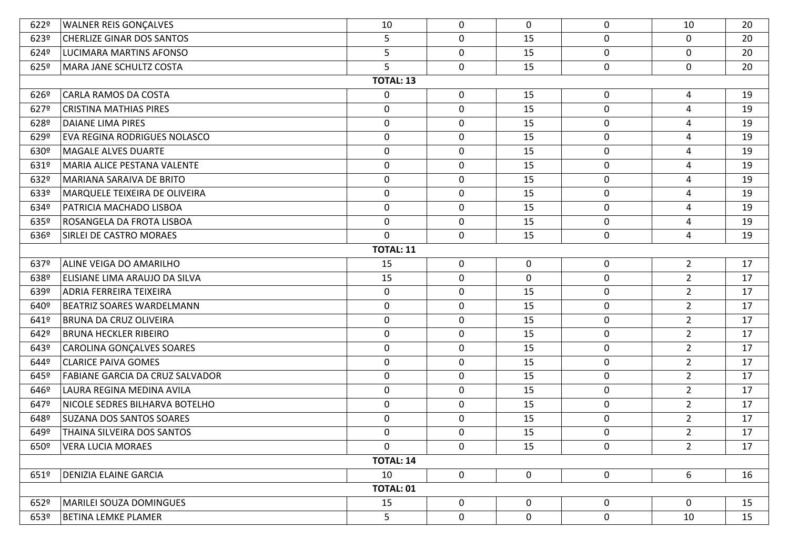| 622º          | <b>WALNER REIS GONÇALVES</b>           | 10               | $\mathbf 0$ | $\mathbf 0$ | $\mathbf 0$      | 10             | 20 |  |  |  |  |
|---------------|----------------------------------------|------------------|-------------|-------------|------------------|----------------|----|--|--|--|--|
| 623º          | <b>CHERLIZE GINAR DOS SANTOS</b>       | 5                | $\mathbf 0$ | 15          | $\mathbf 0$      | $\mathbf 0$    | 20 |  |  |  |  |
| 624º          | <b>LUCIMARA MARTINS AFONSO</b>         | 5                | $\mathbf 0$ | 15          | $\mathbf 0$      | $\mathbf 0$    | 20 |  |  |  |  |
| $625^{\circ}$ | MARA JANE SCHULTZ COSTA                | 5                | $\mathbf 0$ | 15          | $\mathbf 0$      | $\mathbf 0$    | 20 |  |  |  |  |
|               |                                        | <b>TOTAL: 13</b> |             |             |                  |                |    |  |  |  |  |
| 626º          | CARLA RAMOS DA COSTA                   | 0                | $\mathbf 0$ | 15          | $\boldsymbol{0}$ | 4              | 19 |  |  |  |  |
| 627º          | <b>CRISTINA MATHIAS PIRES</b>          | $\boldsymbol{0}$ | $\mathbf 0$ | 15          | $\mathbf 0$      | 4              | 19 |  |  |  |  |
| 628º          | <b>DAIANE LIMA PIRES</b>               | $\pmb{0}$        | $\mathbf 0$ | 15          | $\mathbf 0$      | 4              | 19 |  |  |  |  |
| 629º          | <b>EVA REGINA RODRIGUES NOLASCO</b>    | $\boldsymbol{0}$ | 0           | 15          | $\mathbf 0$      | 4              | 19 |  |  |  |  |
| 630º          | <b>MAGALE ALVES DUARTE</b>             | $\pmb{0}$        | $\mathbf 0$ | 15          | $\mathbf 0$      | $\overline{4}$ | 19 |  |  |  |  |
| 631º          | MARIA ALICE PESTANA VALENTE            | $\boldsymbol{0}$ | 0           | 15          | $\mathbf 0$      | 4              | 19 |  |  |  |  |
| 632º          | MARIANA SARAIVA DE BRITO               | $\boldsymbol{0}$ | $\mathbf 0$ | 15          | $\mathbf 0$      | $\overline{4}$ | 19 |  |  |  |  |
| 633º          | MARQUELE TEIXEIRA DE OLIVEIRA          | $\boldsymbol{0}$ | $\mathbf 0$ | 15          | 0                | 4              | 19 |  |  |  |  |
| 634º          | PATRICIA MACHADO LISBOA                | $\pmb{0}$        | $\mathbf 0$ | 15          | $\mathbf 0$      | 4              | 19 |  |  |  |  |
| 635º          | ROSANGELA DA FROTA LISBOA              | $\pmb{0}$        | $\mathbf 0$ | 15          | $\mathbf 0$      | 4              | 19 |  |  |  |  |
| 636º          | SIRLEI DE CASTRO MORAES                | $\mathbf 0$      | $\mathbf 0$ | 15          | $\mathbf 0$      | 4              | 19 |  |  |  |  |
|               | <b>TOTAL: 11</b>                       |                  |             |             |                  |                |    |  |  |  |  |
| 637º          | ALINE VEIGA DO AMARILHO                | 15               | $\mathbf 0$ | $\mathbf 0$ | $\mathbf 0$      | $2^{\circ}$    | 17 |  |  |  |  |
| 638º          | ELISIANE LIMA ARAUJO DA SILVA          | 15               | 0           | $\mathbf 0$ | $\mathbf 0$      | $2^{\circ}$    | 17 |  |  |  |  |
| 639º          | ADRIA FERREIRA TEIXEIRA                | $\boldsymbol{0}$ | $\mathbf 0$ | 15          | $\mathbf 0$      | $2^{\circ}$    | 17 |  |  |  |  |
| 640º          | <b>BEATRIZ SOARES WARDELMANN</b>       | $\boldsymbol{0}$ | 0           | 15          | 0                | $\overline{2}$ | 17 |  |  |  |  |
| 641º          | <b>BRUNA DA CRUZ OLIVEIRA</b>          | $\pmb{0}$        | $\mathbf 0$ | 15          | $\mathbf 0$      | $2^{\circ}$    | 17 |  |  |  |  |
| 642º          | <b>BRUNA HECKLER RIBEIRO</b>           | $\pmb{0}$        | 0           | 15          | $\mathbf 0$      | $2^{\circ}$    | 17 |  |  |  |  |
| 643º          | CAROLINA GONÇALVES SOARES              | $\boldsymbol{0}$ | $\mathbf 0$ | 15          | $\mathbf 0$      | $2^{\circ}$    | 17 |  |  |  |  |
| 644º          | <b>CLARICE PAIVA GOMES</b>             | $\boldsymbol{0}$ | $\mathbf 0$ | 15          | $\mathbf 0$      | $2^{\circ}$    | 17 |  |  |  |  |
| 645º          | <b>FABIANE GARCIA DA CRUZ SALVADOR</b> | $\pmb{0}$        | $\mathbf 0$ | 15          | $\mathbf 0$      | $2^{\circ}$    | 17 |  |  |  |  |
| 646º          | LAURA REGINA MEDINA AVILA              | $\pmb{0}$        | $\mathbf 0$ | 15          | $\mathbf 0$      | $2^{\circ}$    | 17 |  |  |  |  |
| 647º          | NICOLE SEDRES BILHARVA BOTELHO         | $\boldsymbol{0}$ | $\mathbf 0$ | 15          | $\mathbf 0$      | $2^{\circ}$    | 17 |  |  |  |  |
| 648º          | <b>SUZANA DOS SANTOS SOARES</b>        | $\boldsymbol{0}$ | 0           | 15          | $\mathbf 0$      | $2^{\circ}$    | 17 |  |  |  |  |
| 649º          | THAINA SILVEIRA DOS SANTOS             | $\boldsymbol{0}$ | $\mathbf 0$ | 15          | 0                | $2^{\circ}$    | 17 |  |  |  |  |
| 650º          | <b>VERA LUCIA MORAES</b>               | $\Omega$         | 0           | 15          | $\mathbf 0$      | $2^{\circ}$    | 17 |  |  |  |  |
|               |                                        | <b>TOTAL: 14</b> |             |             |                  |                |    |  |  |  |  |
| 6519          | <b>DENIZIA ELAINE GARCIA</b>           | 10               | 0           | $\mathbf 0$ | $\mathbf 0$      | 6              | 16 |  |  |  |  |
|               |                                        | TOTAL: 01        |             |             |                  |                |    |  |  |  |  |
| 652º          | <b>MARILEI SOUZA DOMINGUES</b>         | 15               | 0           | $\mathbf 0$ | $\mathbf 0$      | $\mathbf 0$    | 15 |  |  |  |  |
| 653º          | <b>BETINA LEMKE PLAMER</b>             | 5                | $\mathbf 0$ | $\mathbf 0$ | $\mathbf 0$      | 10             | 15 |  |  |  |  |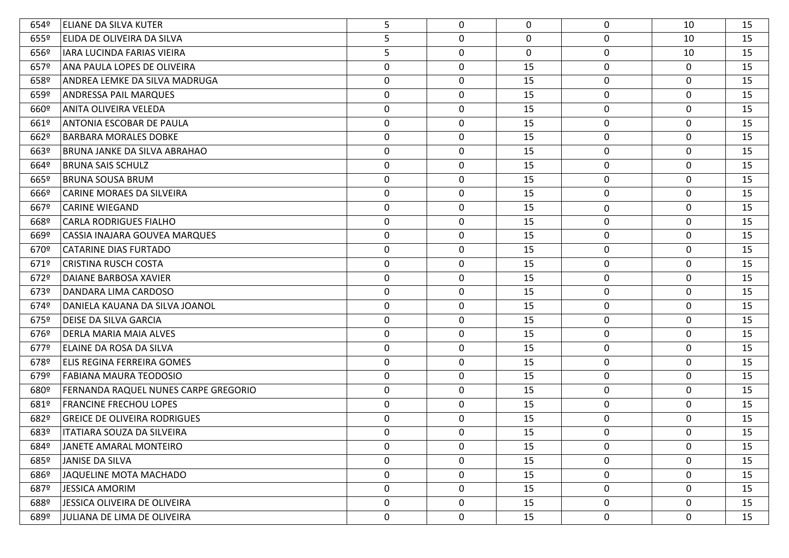| 654º | <b>ELIANE DA SILVA KUTER</b>         | 5                | 0           | $\mathbf{0}$ | 0                | 10           | 15 |
|------|--------------------------------------|------------------|-------------|--------------|------------------|--------------|----|
| 6559 | <b>ELIDA DE OLIVEIRA DA SILVA</b>    | 5                | 0           | 0            | $\mathbf 0$      | 10           | 15 |
| 656º | IARA LUCINDA FARIAS VIEIRA           | 5                | 0           | 0            | $\mathbf 0$      | 10           | 15 |
| 6579 | ANA PAULA LOPES DE OLIVEIRA          | $\boldsymbol{0}$ | $\mathbf 0$ | 15           | $\pmb{0}$        | $\mathbf 0$  | 15 |
| 658º | ANDREA LEMKE DA SILVA MADRUGA        | 0                | 0           | 15           | $\mathbf 0$      | $\mathbf 0$  | 15 |
| 659º | <b>ANDRESSA PAIL MARQUES</b>         | $\boldsymbol{0}$ | 0           | 15           | $\pmb{0}$        | $\mathbf 0$  | 15 |
| 660º | ANITA OLIVEIRA VELEDA                | $\boldsymbol{0}$ | 0           | 15           | 0                | $\mathbf 0$  | 15 |
| 661º | <b>ANTONIA ESCOBAR DE PAULA</b>      | $\boldsymbol{0}$ | 0           | 15           | $\mathbf 0$      | $\mathbf 0$  | 15 |
| 662º | BARBARA MORALES DOBKE                | 0                | 0           | 15           | 0                | $\mathbf 0$  | 15 |
| 663º | BRUNA JANKE DA SILVA ABRAHAO         | $\boldsymbol{0}$ | 0           | 15           | $\pmb{0}$        | $\mathbf 0$  | 15 |
| 664º | <b>BRUNA SAIS SCHULZ</b>             | 0                | 0           | 15           | 0                | $\mathbf 0$  | 15 |
| 665º | BRUNA SOUSA BRUM                     | $\boldsymbol{0}$ | 0           | 15           | $\pmb{0}$        | $\mathbf 0$  | 15 |
| 666º | CARINE MORAES DA SILVEIRA            | 0                | 0           | 15           | 0                | $\mathbf 0$  | 15 |
| 667º | <b>CARINE WIEGAND</b>                | $\boldsymbol{0}$ | 0           | 15           | $\boldsymbol{0}$ | $\mathbf 0$  | 15 |
| 668º | <b>CARLA RODRIGUES FIALHO</b>        | $\boldsymbol{0}$ | 0           | 15           | $\mathbf 0$      | $\mathbf 0$  | 15 |
| 669º | CASSIA INAJARA GOUVEA MARQUES        | $\boldsymbol{0}$ | 0           | 15           | $\mathbf 0$      | $\mathbf 0$  | 15 |
| 670º | CATARINE DIAS FURTADO                | $\boldsymbol{0}$ | 0           | 15           | $\boldsymbol{0}$ | $\mathbf 0$  | 15 |
| 671º | <b>CRISTINA RUSCH COSTA</b>          | $\boldsymbol{0}$ | 0           | 15           | $\pmb{0}$        | $\mathbf 0$  | 15 |
| 672º | DAIANE BARBOSA XAVIER                | $\boldsymbol{0}$ | 0           | 15           | 0                | $\mathbf 0$  | 15 |
| 673º | DANDARA LIMA CARDOSO                 | $\boldsymbol{0}$ | 0           | 15           | $\pmb{0}$        | $\mathbf 0$  | 15 |
| 674º | DANIELA KAUANA DA SILVA JOANOL       | 0                | 0           | 15           | 0                | $\mathbf 0$  | 15 |
| 6759 | DEISE DA SILVA GARCIA                | $\boldsymbol{0}$ | 0           | 15           | $\pmb{0}$        | 0            | 15 |
| 676º | DERLA MARIA MAIA ALVES               | 0                | 0           | 15           | $\mathbf 0$      | $\mathbf 0$  | 15 |
| 6779 | ELAINE DA ROSA DA SILVA              | $\boldsymbol{0}$ | 0           | 15           | $\mathbf 0$      | 0            | 15 |
| 678º | ELIS REGINA FERREIRA GOMES           | $\mathbf 0$      | 0           | 15           | $\mathbf 0$      | $\mathbf 0$  | 15 |
| 679º | <b>FABIANA MAURA TEODOSIO</b>        | $\boldsymbol{0}$ | 0           | 15           | 0                | 0            | 15 |
| 680º | FERNANDA RAQUEL NUNES CARPE GREGORIO | $\mathbf 0$      | 0           | 15           | $\mathbf 0$      | $\mathbf 0$  | 15 |
| 681º | <b>FRANCINE FRECHOU LOPES</b>        | 0                | 0           | 15           | $\mathbf 0$      | 0            | 15 |
| 682º | <b>GREICE DE OLIVEIRA RODRIGUES</b>  | 0                | 0           | 15           | 0                | $\Omega$     | 15 |
| 683º | <b>ITATIARA SOUZA DA SILVEIRA</b>    | 0                | 0           | 15           | 0                | $\Omega$     | 15 |
| 684º | JANETE AMARAL MONTEIRO               | 0                | 0           | 15           | $\mathbf 0$      | 0            | 15 |
| 685º | <b>JANISE DA SILVA</b>               | 0                | 0           | 15           | $\pmb{0}$        | 0            | 15 |
| 686º | JAQUELINE MOTA MACHADO               | 0                | 0           | 15           | $\boldsymbol{0}$ | 0            | 15 |
| 687º | <b>JESSICA AMORIM</b>                | $\mathbf 0$      | 0           | 15           | 0                | 0            | 15 |
| 688º | JESSICA OLIVEIRA DE OLIVEIRA         | 0                | 0           | 15           | $\pmb{0}$        | $\mathbf{0}$ | 15 |
| 689º | JULIANA DE LIMA DE OLIVEIRA          | 0                | 0           | 15           | 0                | 0            | 15 |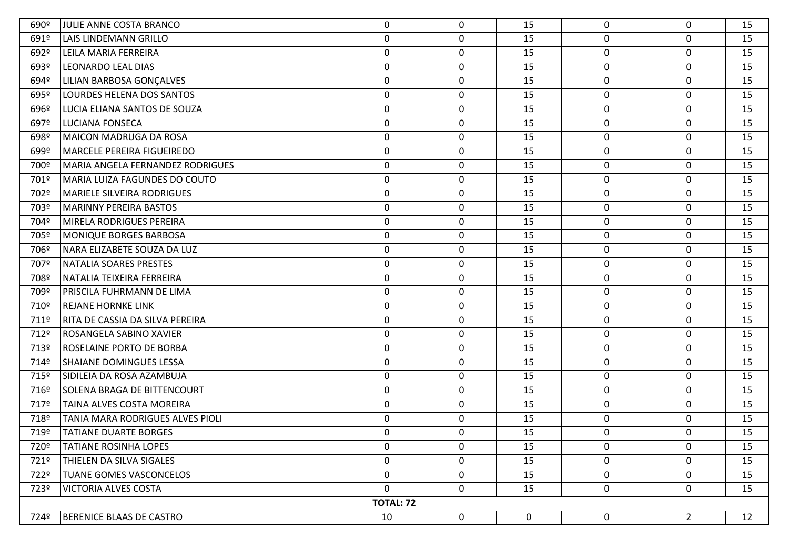| 690º | JULIE ANNE COSTA BRANCO           | 0                | 0           | 15          | $\mathbf 0$      | $\mathbf 0$    | 15 |
|------|-----------------------------------|------------------|-------------|-------------|------------------|----------------|----|
| 691º | LAIS LINDEMANN GRILLO             | $\pmb{0}$        | $\mathbf 0$ | 15          | $\mathbf 0$      | 0              | 15 |
| 692º | LEILA MARIA FERREIRA              | $\mathbf 0$      | $\mathbf 0$ | 15          | $\mathbf 0$      | 0              | 15 |
| 693º | LEONARDO LEAL DIAS                | $\boldsymbol{0}$ | $\mathbf 0$ | 15          | $\pmb{0}$        | 0              | 15 |
| 694º | LILIAN BARBOSA GONÇALVES          | $\mathbf 0$      | $\mathbf 0$ | 15          | 0                | 0              | 15 |
| 695º | LOURDES HELENA DOS SANTOS         | $\mathbf 0$      | $\mathbf 0$ | 15          | $\pmb{0}$        | 0              | 15 |
| 696º | LUCIA ELIANA SANTOS DE SOUZA      | $\mathbf 0$      | $\mathbf 0$ | 15          | 0                | $\mathbf 0$    | 15 |
| 697º | LUCIANA FONSECA                   | $\boldsymbol{0}$ | $\mathbf 0$ | 15          | $\mathbf 0$      | $\mathbf 0$    | 15 |
| 698º | MAICON MADRUGA DA ROSA            | $\boldsymbol{0}$ | $\mathbf 0$ | 15          | 0                | 0              | 15 |
| 699º | MARCELE PEREIRA FIGUEIREDO        | $\pmb{0}$        | $\mathbf 0$ | 15          | $\pmb{0}$        | 0              | 15 |
| 700º | MARIA ANGELA FERNANDEZ RODRIGUES  | $\boldsymbol{0}$ | $\mathbf 0$ | 15          | 0                | 0              | 15 |
| 701º | MARIA LUIZA FAGUNDES DO COUTO     | $\mathbf 0$      | $\mathbf 0$ | 15          | $\pmb{0}$        | 0              | 15 |
| 702º | <b>MARIELE SILVEIRA RODRIGUES</b> | $\mathbf 0$      | $\mathbf 0$ | 15          | 0                | 0              | 15 |
| 703º | MARINNY PEREIRA BASTOS            | $\pmb{0}$        | $\mathbf 0$ | 15          | $\pmb{0}$        | 0              | 15 |
| 704º | MIRELA RODRIGUES PEREIRA          | $\mathbf 0$      | $\mathbf 0$ | 15          | $\mathbf 0$      | $\mathbf 0$    | 15 |
| 705º | MONIQUE BORGES BARBOSA            | $\boldsymbol{0}$ | $\mathbf 0$ | 15          | $\mathbf 0$      | 0              | 15 |
| 706º | NARA ELIZABETE SOUZA DA LUZ       | 0                | 0           | 15          | 0                | 0              | 15 |
| 707º | NATALIA SOARES PRESTES            | $\pmb{0}$        | $\mathbf 0$ | 15          | $\pmb{0}$        | $\mathbf 0$    | 15 |
| 708º | NATALIA TEIXEIRA FERREIRA         | 0                | $\mathbf 0$ | 15          | $\boldsymbol{0}$ | 0              | 15 |
| 709º | PRISCILA FUHRMANN DE LIMA         | $\boldsymbol{0}$ | $\mathbf 0$ | 15          | $\mathbf 0$      | 0              | 15 |
| 710º | <b>REJANE HORNKE LINK</b>         | 0                | $\mathbf 0$ | 15          | 0                | 0              | 15 |
| 711º | RITA DE CASSIA DA SILVA PEREIRA   | $\pmb{0}$        | $\mathbf 0$ | 15          | $\pmb{0}$        | $\mathbf 0$    | 15 |
| 712º | ROSANGELA SABINO XAVIER           | $\pmb{0}$        | $\mathbf 0$ | 15          | 0                | 0              | 15 |
| 713º | <b>ROSELAINE PORTO DE BORBA</b>   | $\boldsymbol{0}$ | $\mathbf 0$ | 15          | $\mathbf 0$      | 0              | 15 |
| 714º | SHAIANE DOMINGUES LESSA           | $\boldsymbol{0}$ | $\mathbf 0$ | 15          | 0                | 0              | 15 |
| 715º | SIDILEIA DA ROSA AZAMBUJA         | $\pmb{0}$        | $\mathbf 0$ | 15          | $\boldsymbol{0}$ | 0              | 15 |
| 716º | SOLENA BRAGA DE BITTENCOURT       | $\boldsymbol{0}$ | $\mathbf 0$ | 15          | 0                | $\mathbf 0$    | 15 |
| 717º | TAINA ALVES COSTA MOREIRA         | $\pmb{0}$        | $\mathbf 0$ | 15          | $\mathbf 0$      | $\mathbf 0$    | 15 |
| 718º | TANIA MARA RODRIGUES ALVES PIOLI  | 0                | $\mathbf 0$ | 15          | 0                | 0              | 15 |
| 719º | <b>TATIANE DUARTE BORGES</b>      | $\mathbf 0$      | 0           | 15          | $\mathbf 0$      | $\mathbf 0$    | 15 |
| 720º | <b>TATIANE ROSINHA LOPES</b>      | 0                | 0           | 15          | $\mathbf 0$      | $\Omega$       | 15 |
| 721º | THIELEN DA SILVA SIGALES          | $\boldsymbol{0}$ | 0           | 15          | $\pmb{0}$        | 0              | 15 |
| 722º | <b>TUANE GOMES VASCONCELOS</b>    | $\mathbf 0$      | $\mathbf 0$ | 15          | 0                | $\mathbf 0$    | 15 |
| 723º | VICTORIA ALVES COSTA              | $\mathbf 0$      | $\mathbf 0$ | 15          | $\mathbf 0$      | 0              | 15 |
|      |                                   | <b>TOTAL: 72</b> |             |             |                  |                |    |
| 724º | <b>BERENICE BLAAS DE CASTRO</b>   | 10               | 0           | $\mathbf 0$ | 0                | $\overline{2}$ | 12 |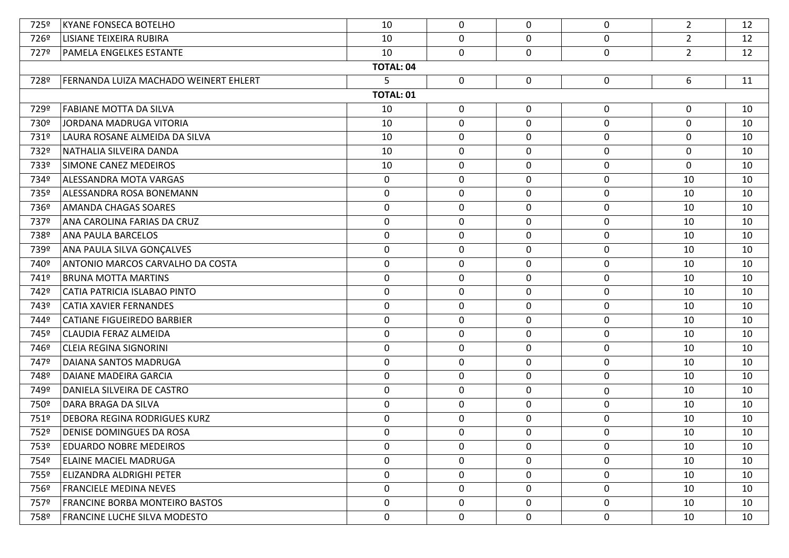| 725º | <b>KYANE FONSECA BOTELHO</b>          | 10               | 0           | $\mathbf{0}$ | 0           | $\overline{2}$ | 12 |
|------|---------------------------------------|------------------|-------------|--------------|-------------|----------------|----|
| 726º | <b>LISIANE TEIXEIRA RUBIRA</b>        | 10               | 0           | 0            | $\mathbf 0$ | $\overline{2}$ | 12 |
| 727º | <b>PAMELA ENGELKES ESTANTE</b>        | 10               | 0           | 0            | 0           | $2^{\circ}$    | 12 |
|      |                                       | <b>TOTAL: 04</b> |             |              |             |                |    |
| 728º | FERNANDA LUIZA MACHADO WEINERT EHLERT | 5                | $\mathbf 0$ | $\mathbf 0$  | 0           | 6              | 11 |
|      |                                       | <b>TOTAL: 01</b> |             |              |             |                |    |
| 729º | <b>FABIANE MOTTA DA SILVA</b>         | 10               | 0           | 0            | 0           | $\mathbf 0$    | 10 |
| 730º | JORDANA MADRUGA VITORIA               | 10               | 0           | $\mathbf 0$  | $\mathbf 0$ | 0              | 10 |
| 731º | LAURA ROSANE ALMEIDA DA SILVA         | 10               | 0           | $\mathbf 0$  | 0           | 0              | 10 |
| 732º | NATHALIA SILVEIRA DANDA               | 10               | 0           | 0            | 0           | 0              | 10 |
| 733º | SIMONE CANEZ MEDEIROS                 | 10               | 0           | 0            | 0           | 0              | 10 |
| 734º | ALESSANDRA MOTA VARGAS                | 0                | 0           | 0            | $\mathbf 0$ | 10             | 10 |
| 735º | ALESSANDRA ROSA BONEMANN              | 0                | 0           | 0            | 0           | 10             | 10 |
| 736º | <b>AMANDA CHAGAS SOARES</b>           | $\mathbf 0$      | 0           | $\mathbf 0$  | 0           | 10             | 10 |
| 737º | ANA CAROLINA FARIAS DA CRUZ           | 0                | 0           | 0            | 0           | 10             | 10 |
| 738º | <b>ANA PAULA BARCELOS</b>             | $\mathbf 0$      | 0           | $\mathbf 0$  | $\mathbf 0$ | 10             | 10 |
| 739º | ANA PAULA SILVA GONÇALVES             | 0                | 0           | 0            | 0           | 10             | 10 |
| 740º | ANTONIO MARCOS CARVALHO DA COSTA      | 0                | 0           | 0            | 0           | 10             | 10 |
| 741º | <b>BRUNA MOTTA MARTINS</b>            | 0                | 0           | 0            | 0           | 10             | 10 |
| 742º | CATIA PATRICIA ISLABAO PINTO          | 0                | 0           | 0            | 0           | 10             | 10 |
| 743º | <b>CATIA XAVIER FERNANDES</b>         | 0                | 0           | 0            | 0           | 10             | 10 |
| 744º | <b>CATIANE FIGUEIREDO BARBIER</b>     | 0                | 0           | 0            | 0           | 10             | 10 |
| 745º | CLAUDIA FERAZ ALMEIDA                 | 0                | 0           | 0            | 0           | 10             | 10 |
| 746º | <b>CLEIA REGINA SIGNORINI</b>         | 0                | 0           | 0            | 0           | 10             | 10 |
| 747º | DAIANA SANTOS MADRUGA                 | 0                | 0           | 0            | 0           | 10             | 10 |
| 748º | DAIANE MADEIRA GARCIA                 | 0                | 0           | 0            | 0           | 10             | 10 |
| 749º | DANIELA SILVEIRA DE CASTRO            | 0                | 0           | 0            | 0           | 10             | 10 |
| 750º | DARA BRAGA DA SILVA                   | 0                | 0           | 0            | 0           | 10             | 10 |
| 751º | <b>DEBORA REGINA RODRIGUES KURZ</b>   | 0                | 0           | 0            | 0           | 10             | 10 |
| 752º | <b>DENISE DOMINGUES DA ROSA</b>       | 0                | 0           | 0            | 0           | 10             | 10 |
| 753º | <b>EDUARDO NOBRE MEDEIROS</b>         | 0                | 0           | 0            | 0           | 10             | 10 |
| 754º | <b>ELAINE MACIEL MADRUGA</b>          | 0                | 0           | $\mathbf 0$  | 0           | 10             | 10 |
| 755º | ELIZANDRA ALDRIGHI PETER              | 0                | 0           | $\mathbf{0}$ | 0           | 10             | 10 |
| 756º | <b>FRANCIELE MEDINA NEVES</b>         | 0                | 0           | $\mathbf 0$  | 0           | 10             | 10 |
| 757º | <b>FRANCINE BORBA MONTEIRO BASTOS</b> | 0                | 0           | $\mathbf 0$  | 0           | 10             | 10 |
| 758º | <b>FRANCINE LUCHE SILVA MODESTO</b>   | 0                | 0           | $\mathbf 0$  | 0           | 10             | 10 |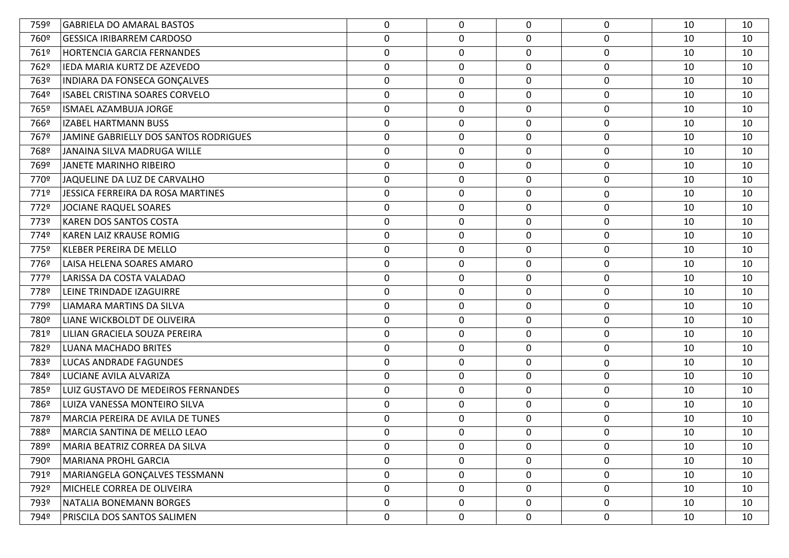| 759º | <b>GABRIELA DO AMARAL BASTOS</b>      | 0                | 0           | $\mathbf{0}$ | 0                | 10 | 10 |
|------|---------------------------------------|------------------|-------------|--------------|------------------|----|----|
| 760º | <b>GESSICA IRIBARREM CARDOSO</b>      | 0                | 0           | 0            | 0                | 10 | 10 |
| 761º | <b>HORTENCIA GARCIA FERNANDES</b>     | $\boldsymbol{0}$ | 0           | 0            | $\pmb{0}$        | 10 | 10 |
| 762º | IEDA MARIA KURTZ DE AZEVEDO           | $\boldsymbol{0}$ | 0           | 0            | $\pmb{0}$        | 10 | 10 |
| 763º | INDIARA DA FONSECA GONÇALVES          | 0                | 0           | 0            | $\mathbf 0$      | 10 | 10 |
| 764º | ISABEL CRISTINA SOARES CORVELO        | $\boldsymbol{0}$ | 0           | 0            | $\pmb{0}$        | 10 | 10 |
| 765º | <b>ISMAEL AZAMBUJA JORGE</b>          | 0                | 0           | 0            | $\pmb{0}$        | 10 | 10 |
| 766º | IZABEL HARTMANN BUSS                  | $\boldsymbol{0}$ | $\mathbf 0$ | 0            | $\mathbf 0$      | 10 | 10 |
| 767º | JAMINE GABRIELLY DOS SANTOS RODRIGUES | 0                | 0           | 0            | $\mathbf 0$      | 10 | 10 |
| 768º | JANAINA SILVA MADRUGA WILLE           | $\boldsymbol{0}$ | 0           | 0            | $\pmb{0}$        | 10 | 10 |
| 769º | JANETE MARINHO RIBEIRO                | 0                | 0           | 0            | $\mathbf 0$      | 10 | 10 |
| 770º | JAQUELINE DA LUZ DE CARVALHO          | $\boldsymbol{0}$ | 0           | 0            | $\pmb{0}$        | 10 | 10 |
| 771º | JESSICA FERREIRA DA ROSA MARTINES     | 0                | 0           | $\mathbf 0$  | 0                | 10 | 10 |
| 772º | JOCIANE RAQUEL SOARES                 | $\boldsymbol{0}$ | 0           | 0            | $\pmb{0}$        | 10 | 10 |
| 773º | <b>KAREN DOS SANTOS COSTA</b>         | 0                | 0           | 0            | $\mathbf 0$      | 10 | 10 |
| 774º | KAREN LAIZ KRAUSE ROMIG               | $\boldsymbol{0}$ | $\mathbf 0$ | 0            | $\mathbf 0$      | 10 | 10 |
| 775º | KLEBER PEREIRA DE MELLO               | 0                | 0           | 0            | $\mathbf 0$      | 10 | 10 |
| 776º | LAISA HELENA SOARES AMARO             | $\boldsymbol{0}$ | 0           | 0            | $\pmb{0}$        | 10 | 10 |
| 777º | LARISSA DA COSTA VALADAO              | 0                | 0           | 0            | $\mathbf 0$      | 10 | 10 |
| 778º | LEINE TRINDADE IZAGUIRRE              | $\boldsymbol{0}$ | 0           | 0            | $\pmb{0}$        | 10 | 10 |
| 779º | LIAMARA MARTINS DA SILVA              | 0                | 0           | 0            | 0                | 10 | 10 |
| 780º | LIANE WICKBOLDT DE OLIVEIRA           | 0                | 0           | 0            | $\mathbf 0$      | 10 | 10 |
| 781º | LILIAN GRACIELA SOUZA PEREIRA         | $\boldsymbol{0}$ | 0           | 0            | $\mathbf 0$      | 10 | 10 |
| 782º | LUANA MACHADO BRITES                  | 0                | 0           | 0            | 0                | 10 | 10 |
| 783º | LUCAS ANDRADE FAGUNDES                | 0                | 0           | 0            | 0                | 10 | 10 |
| 784º | LUCIANE AVILA ALVARIZA                | 0                | 0           | 0            | $\mathbf 0$      | 10 | 10 |
| 785º | LUIZ GUSTAVO DE MEDEIROS FERNANDES    | 0                | 0           | 0            | $\mathbf 0$      | 10 | 10 |
| 786º | LUIZA VANESSA MONTEIRO SILVA          | $\mathbf 0$      | 0           | 0            | $\mathbf 0$      | 10 | 10 |
| 787º | MARCIA PEREIRA DE AVILA DE TUNES      | 0                | 0           | 0            | 0                | 10 | 10 |
| 788º | MARCIA SANTINA DE MELLO LEAO          | 0                | 0           | 0            | 0                | 10 | 10 |
| 789º | MARIA BEATRIZ CORREA DA SILVA         | 0                | 0           | 0            | 0                | 10 | 10 |
| 790º | <b>MARIANA PROHL GARCIA</b>           | 0                | 0           | 0            | 0                | 10 | 10 |
| 791º | MARIANGELA GONÇALVES TESSMANN         | 0                | 0           | 0            | 0                | 10 | 10 |
| 792º | MICHELE CORREA DE OLIVEIRA            | 0                | 0           | 0            | 0                | 10 | 10 |
| 793º | NATALIA BONEMANN BORGES               | 0                | 0           | 0            | $\boldsymbol{0}$ | 10 | 10 |
| 794º | PRISCILA DOS SANTOS SALIMEN           | $\mathbf 0$      | 0           | $\mathbf 0$  | $\pmb{0}$        | 10 | 10 |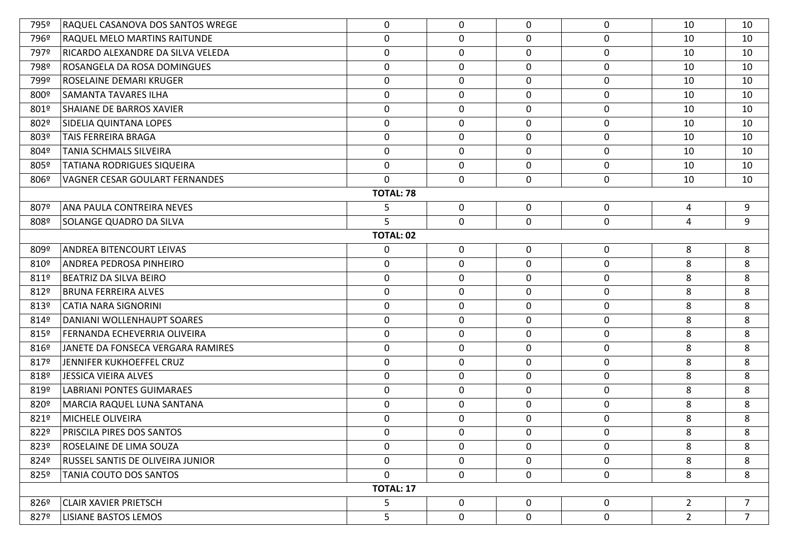| 795º | RAQUEL CASANOVA DOS SANTOS WREGE  | 0                | $\mathbf{0}$ | 0           | $\mathbf 0$      | 10             | 10             |
|------|-----------------------------------|------------------|--------------|-------------|------------------|----------------|----------------|
| 796º | RAQUEL MELO MARTINS RAITUNDE      | $\mathbf 0$      | $\mathbf 0$  | 0           | $\mathbf 0$      | 10             | 10             |
| 797º | RICARDO ALEXANDRE DA SILVA VELEDA | $\mathbf 0$      | $\mathbf 0$  | $\mathbf 0$ | $\mathbf 0$      | 10             | 10             |
| 798º | ROSANGELA DA ROSA DOMINGUES       | $\mathbf 0$      | 0            | $\mathbf 0$ | $\mathbf 0$      | 10             | 10             |
| 799º | ROSELAINE DEMARI KRUGER           | $\mathbf 0$      | 0            | $\mathbf 0$ | $\mathbf 0$      | 10             | 10             |
| 800º | <b>SAMANTA TAVARES ILHA</b>       | 0                | 0            | $\mathbf 0$ | $\boldsymbol{0}$ | 10             | 10             |
| 801º | SHAIANE DE BARROS XAVIER          | $\mathbf 0$      | 0            | $\mathbf 0$ | $\mathbf 0$      | 10             | 10             |
| 802º | SIDELIA QUINTANA LOPES            | $\mathbf 0$      | 0            | $\mathbf 0$ | $\mathbf 0$      | 10             | 10             |
| 803º | TAIS FERREIRA BRAGA               | $\mathbf 0$      | 0            | $\mathbf 0$ | $\mathbf 0$      | 10             | 10             |
| 804º | <b>TANIA SCHMALS SILVEIRA</b>     | $\mathbf 0$      | 0            | $\mathbf 0$ | $\mathbf 0$      | 10             | 10             |
| 805º | TATIANA RODRIGUES SIQUEIRA        | $\mathbf 0$      | $\mathbf 0$  | 0           | $\mathbf 0$      | 10             | 10             |
| 806º | VAGNER CESAR GOULART FERNANDES    | $\mathbf 0$      | $\mathbf 0$  | 0           | $\mathbf 0$      | 10             | 10             |
|      |                                   | <b>TOTAL: 78</b> |              |             |                  |                |                |
| 807º | ANA PAULA CONTREIRA NEVES         | 5                | $\mathbf 0$  | $\mathbf 0$ | $\mathbf 0$      | $\overline{4}$ | 9              |
| 808º | SOLANGE QUADRO DA SILVA           | 5                | 0            | 0           | $\mathbf 0$      | $\overline{4}$ | 9              |
|      |                                   | <b>TOTAL: 02</b> |              |             |                  |                |                |
| 809º | <b>ANDREA BITENCOURT LEIVAS</b>   | 0                | $\mathbf 0$  | 0           | $\mathbf 0$      | 8              | 8              |
| 810º | ANDREA PEDROSA PINHEIRO           | $\mathbf 0$      | 0            | $\mathbf 0$ | $\boldsymbol{0}$ | 8              | 8              |
| 811º | BEATRIZ DA SILVA BEIRO            | $\mathbf 0$      | 0            | $\mathbf 0$ | $\mathbf 0$      | 8              | 8              |
| 812º | <b>BRUNA FERREIRA ALVES</b>       | $\mathbf 0$      | 0            | $\mathbf 0$ | $\mathbf 0$      | 8              | 8              |
| 813º | <b>CATIA NARA SIGNORINI</b>       | $\mathbf 0$      | 0            | $\mathbf 0$ | $\mathbf 0$      | 8              | 8              |
| 814º | DANIANI WOLLENHAUPT SOARES        | $\mathbf 0$      | 0            | 0           | $\boldsymbol{0}$ | 8              | 8              |
| 815º | FERNANDA ECHEVERRIA OLIVEIRA      | $\mathbf 0$      | $\mathbf 0$  | $\mathbf 0$ | $\mathbf 0$      | 8              | 8              |
| 816º | JANETE DA FONSECA VERGARA RAMIRES | $\mathbf 0$      | 0            | $\mathbf 0$ | $\mathbf 0$      | 8              | 8              |
| 817º | JENNIFER KUKHOEFFEL CRUZ          | $\mathbf 0$      | $\mathbf 0$  | $\mathbf 0$ | $\mathbf 0$      | 8              | 8              |
| 818º | <b>JESSICA VIEIRA ALVES</b>       | $\mathbf 0$      | 0            | 0           | $\mathbf 0$      | 8              | 8              |
| 819º | <b>LABRIANI PONTES GUIMARAES</b>  | $\mathbf 0$      | $\mathbf 0$  | $\mathbf 0$ | $\mathbf 0$      | 8              | 8              |
| 820º | MARCIA RAQUEL LUNA SANTANA        | $\mathbf 0$      | $\mathbf 0$  | 0           | $\mathbf 0$      | 8              | 8              |
| 821º | <b>MICHELE OLIVEIRA</b>           | $\mathbf 0$      | $\mathbf 0$  | 0           | $\mathbf 0$      | 8              | 8              |
| 822º | PRISCILA PIRES DOS SANTOS         | $\mathbf 0$      | $\mathbf 0$  | 0           | $\mathbf 0$      | 8              | 8              |
| 823º | ROSELAINE DE LIMA SOUZA           | 0                | $\mathbf 0$  | $\mathbf 0$ | $\mathbf 0$      | 8              | 8              |
| 824º | RUSSEL SANTIS DE OLIVEIRA JUNIOR  | $\mathbf 0$      | 0            | $\mathbf 0$ | $\mathbf 0$      | 8              | 8              |
| 825º | TANIA COUTO DOS SANTOS            | $\mathbf 0$      | $\mathbf 0$  | $\mathbf 0$ | $\mathbf 0$      | 8              | 8              |
|      |                                   | <b>TOTAL: 17</b> |              |             |                  |                |                |
| 826º | <b>CLAIR XAVIER PRIETSCH</b>      | 5                | $\mathbf 0$  | $\mathbf 0$ | $\mathbf 0$      | $\overline{2}$ | $\overline{7}$ |
| 827º | LISIANE BASTOS LEMOS              | 5                | $\mathbf 0$  | $\mathbf 0$ | $\mathbf 0$      | $2^{\circ}$    | $\overline{7}$ |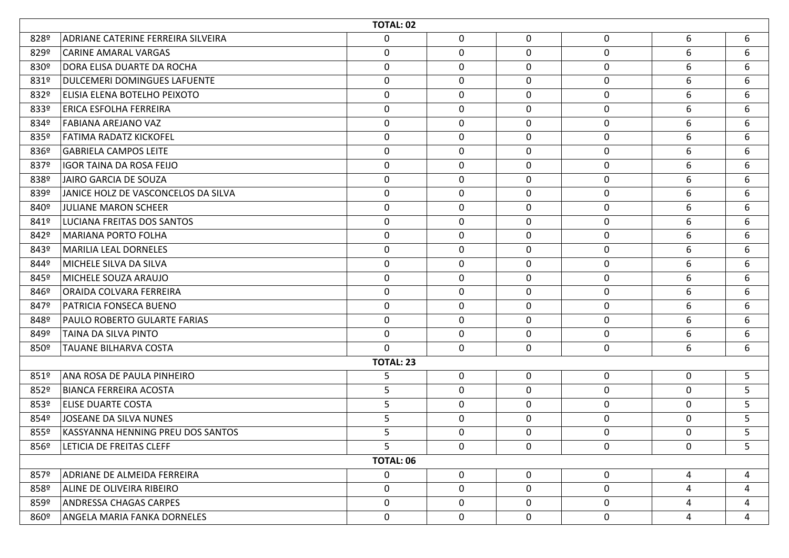|      | TOTAL: 02                           |                  |             |             |                  |                |   |  |  |  |  |
|------|-------------------------------------|------------------|-------------|-------------|------------------|----------------|---|--|--|--|--|
| 828º | ADRIANE CATERINE FERREIRA SILVEIRA  | $\mathbf 0$      | $\mathbf 0$ | 0           | $\mathbf 0$      | 6              | 6 |  |  |  |  |
| 829º | <b>CARINE AMARAL VARGAS</b>         | $\mathbf 0$      | $\mathbf 0$ | $\mathbf 0$ | $\boldsymbol{0}$ | 6              | 6 |  |  |  |  |
| 830º | DORA ELISA DUARTE DA ROCHA          | $\mathbf 0$      | 0           | 0           | $\mathbf 0$      | 6              | 6 |  |  |  |  |
| 831º | DULCEMERI DOMINGUES LAFUENTE        | $\mathbf 0$      | $\mathbf 0$ | 0           | $\mathbf 0$      | 6              | 6 |  |  |  |  |
| 832º | ELISIA ELENA BOTELHO PEIXOTO        | $\mathbf 0$      | $\mathbf 0$ | $\mathbf 0$ | $\mathbf 0$      | 6              | 6 |  |  |  |  |
| 833º | <b>ERICA ESFOLHA FERREIRA</b>       | 0                | $\mathbf 0$ | 0           | $\boldsymbol{0}$ | 6              | 6 |  |  |  |  |
| 834º | <b>FABIANA AREJANO VAZ</b>          | $\mathbf 0$      | $\mathbf 0$ | $\mathbf 0$ | $\mathbf 0$      | 6              | 6 |  |  |  |  |
| 835º | FATIMA RADATZ KICKOFEL              | 0                | 0           | 0           | $\mathbf 0$      | 6              | 6 |  |  |  |  |
| 836º | GABRIELA CAMPOS LEITE               | 0                | 0           | $\mathbf 0$ | 0                | 6              | 6 |  |  |  |  |
| 837º | <b>IGOR TAINA DA ROSA FEIJO</b>     | $\mathbf 0$      | $\mathbf 0$ | 0           | $\mathbf 0$      | 6              | 6 |  |  |  |  |
| 838º | JAIRO GARCIA DE SOUZA               | $\mathbf 0$      | $\mathbf 0$ | 0           | $\mathbf 0$      | 6              | 6 |  |  |  |  |
| 839º | JANICE HOLZ DE VASCONCELOS DA SILVA | 0                | $\mathbf 0$ | 0           | $\boldsymbol{0}$ | 6              | 6 |  |  |  |  |
| 840º | JULIANE MARON SCHEER                | $\mathbf 0$      | $\mathbf 0$ | $\mathbf 0$ | $\pmb{0}$        | 6              | 6 |  |  |  |  |
| 841º | LUCIANA FREITAS DOS SANTOS          | $\mathbf 0$      | 0           | 0           | $\mathbf 0$      | 6              | 6 |  |  |  |  |
| 842º | MARIANA PORTO FOLHA                 | $\mathbf 0$      | $\mathbf 0$ | 0           | $\mathbf 0$      | 6              | 6 |  |  |  |  |
| 843º | MARILIA LEAL DORNELES               | 0                | 0           | 0           | $\boldsymbol{0}$ | 6              | 6 |  |  |  |  |
| 844º | <b>MICHELE SILVA DA SILVA</b>       | 0                | 0           | $\mathbf 0$ | $\boldsymbol{0}$ | 6              | 6 |  |  |  |  |
| 845° | MICHELE SOUZA ARAUJO                | $\mathbf 0$      | $\mathbf 0$ | $\mathbf 0$ | $\mathbf 0$      | 6              | 6 |  |  |  |  |
| 846º | ORAIDA COLVARA FERREIRA             | $\boldsymbol{0}$ | 0           | 0           | $\mathbf 0$      | 6              | 6 |  |  |  |  |
| 847º | PATRICIA FONSECA BUENO              | 0                | 0           | 0           | $\mathbf 0$      | 6              | 6 |  |  |  |  |
| 848º | <b>PAULO ROBERTO GULARTE FARIAS</b> | $\mathbf 0$      | $\mathbf 0$ | $\mathbf 0$ | $\mathbf 0$      | 6              | 6 |  |  |  |  |
| 849º | <b>TAINA DA SILVA PINTO</b>         | $\mathbf 0$      | $\mathbf 0$ | 0           | $\boldsymbol{0}$ | 6              | 6 |  |  |  |  |
| 850º | <b>TAUANE BILHARVA COSTA</b>        | $\mathbf 0$      | $\mathbf 0$ | 0           | $\mathbf 0$      | 6              | 6 |  |  |  |  |
|      |                                     | <b>TOTAL: 23</b> |             |             |                  |                |   |  |  |  |  |
| 851º | ANA ROSA DE PAULA PINHEIRO          | 5                | 0           | $\mathbf 0$ | 0                | 0              | 5 |  |  |  |  |
| 852º | <b>BIANCA FERREIRA ACOSTA</b>       | 5                | $\mathbf 0$ | $\mathbf 0$ | $\mathbf 0$      | 0              | 5 |  |  |  |  |
| 853º | <b>ELISE DUARTE COSTA</b>           | 5                | $\mathbf 0$ | 0           | $\mathbf 0$      | 0              | 5 |  |  |  |  |
| 854º | JOSEANE DA SILVA NUNES              | 5                | $\mathbf 0$ | 0           | $\mathbf 0$      | $\mathbf 0$    | 5 |  |  |  |  |
| 855º | KASSYANNA HENNING PREU DOS SANTOS   | 5                | $\mathbf 0$ | 0           | $\mathbf 0$      | 0              | 5 |  |  |  |  |
| 856º | LETICIA DE FREITAS CLEFF            | 5.               | $\mathbf 0$ | 0           | $\mathbf 0$      | 0              | 5 |  |  |  |  |
|      |                                     | <b>TOTAL: 06</b> |             |             |                  |                |   |  |  |  |  |
| 857º | ADRIANE DE ALMEIDA FERREIRA         | 0                | 0           | $\mathbf 0$ | $\mathbf 0$      | 4              | 4 |  |  |  |  |
| 858º | <b>ALINE DE OLIVEIRA RIBEIRO</b>    | $\mathbf 0$      | $\mathbf 0$ | $\mathbf 0$ | $\mathbf 0$      | $\overline{4}$ | 4 |  |  |  |  |
| 859º | <b>ANDRESSA CHAGAS CARPES</b>       | $\mathbf 0$      | 0           | $\mathbf 0$ | 0                | 4              | 4 |  |  |  |  |
| 860º | ANGELA MARIA FANKA DORNELES         | $\mathbf 0$      | $\mathbf 0$ | $\mathbf 0$ | $\mathbf 0$      | $\overline{4}$ | 4 |  |  |  |  |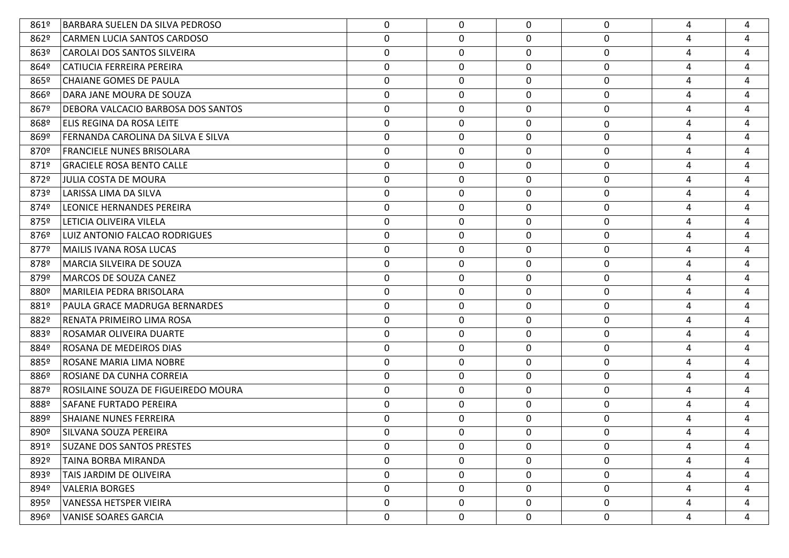| 861º | BARBARA SUELEN DA SILVA PEDROSO     | 0                | 0           | $\Omega$    | 0           | 4 | 4 |
|------|-------------------------------------|------------------|-------------|-------------|-------------|---|---|
| 862º | <b>CARMEN LUCIA SANTOS CARDOSO</b>  | 0                | 0           | 0           | 0           | 4 | 4 |
| 863º | CAROLAI DOS SANTOS SILVEIRA         | 0                | $\mathbf 0$ | 0           | 0           | 4 | 4 |
| 864º | CATIUCIA FERREIRA PEREIRA           | $\boldsymbol{0}$ | $\mathbf 0$ | 0           | 0           | 4 | 4 |
| 865º | CHAIANE GOMES DE PAULA              | 0                | $\mathbf 0$ | 0           | 0           | 4 | 4 |
| 866º | DARA JANE MOURA DE SOUZA            | $\mathbf 0$      | 0           | 0           | 0           | 4 | 4 |
| 867º | DEBORA VALCACIO BARBOSA DOS SANTOS  | $\mathbf 0$      | $\mathbf 0$ | 0           | 0           | 4 | 4 |
| 868º | ELIS REGINA DA ROSA LEITE           | 0                | 0           | 0           | $\mathbf 0$ | 4 | 4 |
| 869º | FERNANDA CAROLINA DA SILVA E SILVA  | $\mathbf 0$      | $\mathbf 0$ | $\mathbf 0$ | 0           | 4 | 4 |
| 870º | <b>FRANCIELE NUNES BRISOLARA</b>    | 0                | 0           | 0           | 0           | 4 | 4 |
| 871º | <b>GRACIELE ROSA BENTO CALLE</b>    | $\mathbf 0$      | $\mathbf 0$ | 0           | 0           | 4 | 4 |
| 872º | JULIA COSTA DE MOURA                | $\boldsymbol{0}$ | $\mathbf 0$ | 0           | 0           | 4 | 4 |
| 873º | LARISSA LIMA DA SILVA               | 0                | $\mathbf 0$ | 0           | 0           | 4 | 4 |
| 874º | LEONICE HERNANDES PEREIRA           | $\mathbf 0$      | 0           | 0           | 0           | 4 | 4 |
| 875º | LETICIA OLIVEIRA VILELA             | $\mathbf 0$      | $\mathbf 0$ | 0           | 0           | 4 | 4 |
| 876º | LUIZ ANTONIO FALCAO RODRIGUES       | $\boldsymbol{0}$ | 0           | 0           | 0           | 4 | 4 |
| 877º | MAILIS IVANA ROSA LUCAS             | $\mathbf 0$      | 0           | $\mathbf 0$ | 0           | 4 | 4 |
| 878º | MARCIA SILVEIRA DE SOUZA            | 0                | 0           | 0           | 0           | 4 | 4 |
| 879º | MARCOS DE SOUZA CANEZ               | $\mathbf 0$      | $\mathbf 0$ | 0           | 0           | 4 | 4 |
| 880º | MARILEIA PEDRA BRISOLARA            | $\boldsymbol{0}$ | $\mathbf 0$ | 0           | 0           | 4 | 4 |
| 881º | PAULA GRACE MADRUGA BERNARDES       | 0                | $\mathbf 0$ | 0           | 0           | 4 | 4 |
| 882º | RENATA PRIMEIRO LIMA ROSA           | 0                | 0           | 0           | 0           | 4 | 4 |
| 883º | ROSAMAR OLIVEIRA DUARTE             | $\mathbf 0$      | $\mathbf 0$ | 0           | 0           | 4 | 4 |
| 884º | ROSANA DE MEDEIROS DIAS             | $\boldsymbol{0}$ | $\mathbf 0$ | 0           | 0           | 4 | 4 |
| 885º | ROSANE MARIA LIMA NOBRE             | $\mathbf 0$      | 0           | $\mathbf 0$ | 0           | 4 | 4 |
| 886º | ROSIANE DA CUNHA CORREIA            | 0                | $\mathbf 0$ | 0           | 0           | 4 | 4 |
| 887º | ROSILAINE SOUZA DE FIGUEIREDO MOURA | $\mathbf 0$      | $\mathbf 0$ | 0           | 0           | 4 | 4 |
| 888º | <b>SAFANE FURTADO PEREIRA</b>       | 0                | 0           | 0           | 0           | 4 | 4 |
| 889º | <b>SHAIANE NUNES FERREIRA</b>       | 0                | 0           | 0           | 0           | 4 | 4 |
| 890º | SILVANA SOUZA PEREIRA               | 0                | 0           | 0           | 0           | 4 | 4 |
| 891º | SUZANE DOS SANTOS PRESTES           | 0                | $\mathbf 0$ | 0           | 0           | 4 | 4 |
| 892º | TAINA BORBA MIRANDA                 | $\mathbf 0$      | 0           | $\mathbf 0$ | 0           | 4 | 4 |
| 893º | TAIS JARDIM DE OLIVEIRA             | $\mathbf 0$      | 0           | $\mathbf 0$ | 0           | 4 | 4 |
| 894º | <b>VALERIA BORGES</b>               | $\mathbf 0$      | 0           | $\mathbf 0$ | 0           | 4 | 4 |
| 895º | VANESSA HETSPER VIEIRA              | $\mathbf 0$      | 0           | $\mathbf 0$ | 0           | 4 | 4 |
| 896º | <b>VANISE SOARES GARCIA</b>         | $\mathbf 0$      | 0           | $\mathbf 0$ | 0           | 4 | 4 |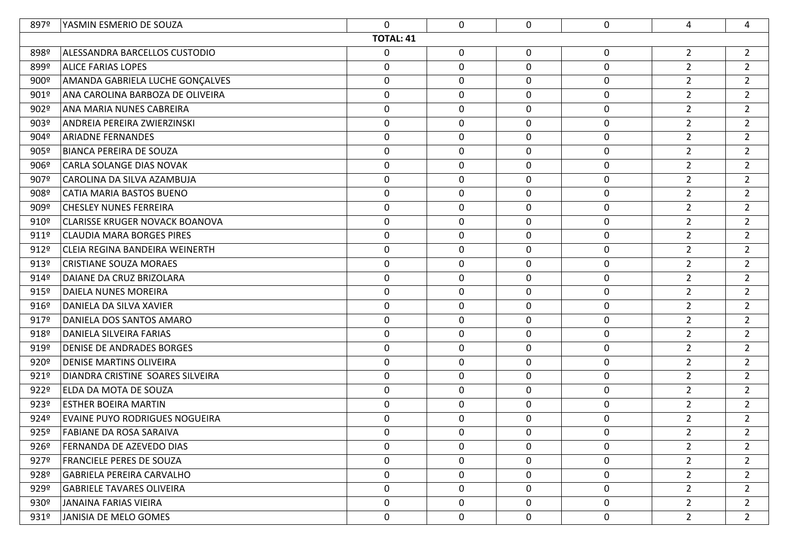| 897º          | YASMIN ESMERIO DE SOUZA               | $\Omega$         | 0           | 0            | 0           | 4              | 4              |
|---------------|---------------------------------------|------------------|-------------|--------------|-------------|----------------|----------------|
|               |                                       | <b>TOTAL: 41</b> |             |              |             |                |                |
| 898º          | ALESSANDRA BARCELLOS CUSTODIO         | 0                | 0           | $\mathbf 0$  | 0           | $\overline{2}$ | $\overline{2}$ |
| 899º          | <b>ALICE FARIAS LOPES</b>             | $\mathbf 0$      | 0           | $\mathbf 0$  | 0           | $\overline{2}$ | $\overline{2}$ |
| 900°          | AMANDA GABRIELA LUCHE GONÇALVES       | 0                | 0           | $\mathbf 0$  | 0           | $\overline{2}$ | $\overline{2}$ |
| 901º          | ANA CAROLINA BARBOZA DE OLIVEIRA      | 0                | 0           | $\mathbf 0$  | 0           | $\overline{2}$ | $\overline{2}$ |
| 902°          | ANA MARIA NUNES CABREIRA              | 0                | 0           | $\mathbf 0$  | 0           | $2^{\circ}$    | $\overline{2}$ |
| 903°          | ANDREIA PEREIRA ZWIERZINSKI           | 0                | 0           | 0            | 0           | $\overline{2}$ | $\overline{2}$ |
| 904º          | <b>ARIADNE FERNANDES</b>              | 0                | 0           | $\mathbf 0$  | 0           | $2^{\circ}$    | $\overline{2}$ |
| 905º          | BIANCA PEREIRA DE SOUZA               | 0                | 0           | $\mathbf 0$  | 0           | $\overline{2}$ | $\overline{2}$ |
| 9069          | <b>CARLA SOLANGE DIAS NOVAK</b>       | 0                | $\mathbf 0$ | $\mathbf 0$  | 0           | $2^{\circ}$    | $\overline{2}$ |
| 907º          | CAROLINA DA SILVA AZAMBUJA            | 0                | 0           | $\mathbf 0$  | 0           | $\overline{2}$ | $\overline{2}$ |
| 908º          | CATIA MARIA BASTOS BUENO              | $\mathbf 0$      | 0           | $\mathbf 0$  | 0           | $2^{\circ}$    | $\overline{2}$ |
| 909º          | CHESLEY NUNES FERREIRA                | 0                | 0           | $\mathbf 0$  | 0           | $\overline{2}$ | $\mathbf{2}$   |
| 910º          | CLARISSE KRUGER NOVACK BOANOVA        | $\mathbf 0$      | 0           | $\mathbf 0$  | 0           | $2^{\circ}$    | $\overline{2}$ |
| 911°          | CLAUDIA MARA BORGES PIRES             | 0                | 0           | 0            | 0           | $\overline{2}$ | $\overline{2}$ |
| 912°          | CLEIA REGINA BANDEIRA WEINERTH        | 0                | $\mathbf 0$ | $\mathbf 0$  | 0           | $\overline{2}$ | $\overline{2}$ |
| 913°          | <b>CRISTIANE SOUZA MORAES</b>         | 0                | 0           | $\mathbf 0$  | 0           | $\overline{2}$ | $\overline{2}$ |
| 914º          | DAIANE DA CRUZ BRIZOLARA              | 0                | 0           | $\mathbf 0$  | 0           | $\overline{2}$ | $\overline{2}$ |
| $915^{\circ}$ | DAIELA NUNES MOREIRA                  | $\mathbf 0$      | 0           | 0            | 0           | $\overline{2}$ | $\overline{2}$ |
| $916^{\circ}$ | DANIELA DA SILVA XAVIER               | 0                | 0           | $\mathbf{0}$ | 0           | $2^{\circ}$    | $\overline{2}$ |
| 917º          | DANIELA DOS SANTOS AMARO              | $\mathbf 0$      | $\mathbf 0$ | $\mathbf 0$  | $\mathbf 0$ | $2^{\circ}$    | $\overline{2}$ |
| 918º          | DANIELA SILVEIRA FARIAS               | 0                | 0           | $\mathbf 0$  | 0           | $2^{\circ}$    | $\overline{2}$ |
| 919º          | <b>DENISE DE ANDRADES BORGES</b>      | $\mathbf 0$      | 0           | $\mathbf 0$  | 0           | $2^{\circ}$    | $\overline{2}$ |
| 920º          | <b>DENISE MARTINS OLIVEIRA</b>        | 0                | 0           | $\mathbf 0$  | 0           | $2^{\circ}$    | $\overline{2}$ |
| $921^{\circ}$ | DIANDRA CRISTINE SOARES SILVEIRA      | 0                | 0           | $\mathbf 0$  | 0           | $2^{\circ}$    | $\overline{2}$ |
| 922°          | ELDA DA MOTA DE SOUZA                 | $\mathbf 0$      | 0           | $\mathbf 0$  | 0           | $2^{\circ}$    | $\overline{2}$ |
| 923º          | <b>ESTHER BOEIRA MARTIN</b>           | 0                | 0           | $\mathbf 0$  | 0           | $\overline{2}$ | $\overline{2}$ |
| 924º          | <b>EVAINE PUYO RODRIGUES NOGUEIRA</b> | $\mathbf 0$      | 0           | 0            | 0           | $2^{\circ}$    | $\overline{2}$ |
| 925º          | FABIANE DA ROSA SARAIVA               | 0                | 0           | $\Omega$     | 0           | $\overline{2}$ | $\overline{2}$ |
| $926^{\circ}$ | <b>FERNANDA DE AZEVEDO DIAS</b>       | 0                | 0           | $\mathbf 0$  | 0           | $2^{\circ}$    | $\overline{2}$ |
| 927º          | <b>FRANCIELE PERES DE SOUZA</b>       | 0                | 0           | $\mathbf 0$  | 0           | $\overline{2}$ | $\mathbf{2}$   |
| 928º          | <b>GABRIELA PEREIRA CARVALHO</b>      | 0                | 0           | $\mathbf 0$  | 0           | $2^{\circ}$    | $\overline{2}$ |
| 929º          | <b>GABRIELE TAVARES OLIVEIRA</b>      | 0                | 0           | $\mathbf 0$  | 0           | $2^{\circ}$    | $\overline{2}$ |
| 930º          | JANAINA FARIAS VIEIRA                 | 0                | 0           | 0            | 0           | $\mathbf{2}$   | $\overline{2}$ |
| 931º          | JANISIA DE MELO GOMES                 | 0                | 0           | $\mathbf 0$  | 0           | $2^{\circ}$    | $\overline{2}$ |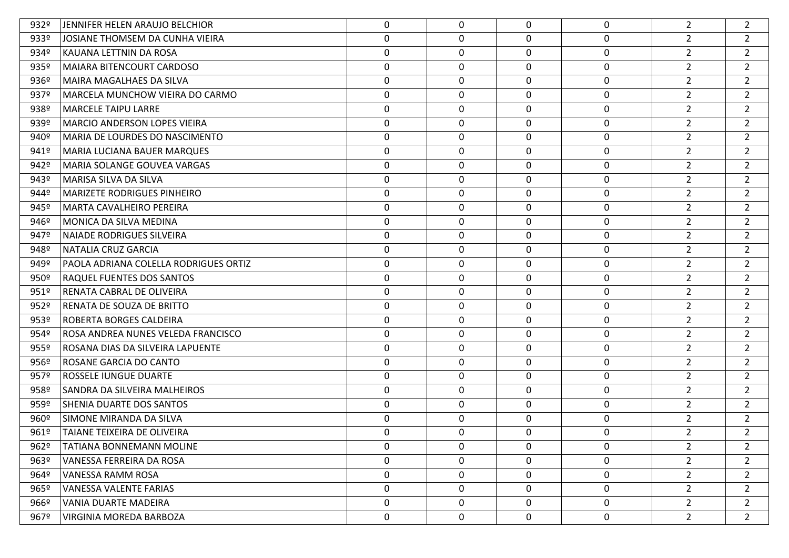| 932º | JENNIFER HELEN ARAUJO BELCHIOR        | 0                | $\mathbf 0$ | $\Omega$    | 0 | $\overline{2}$ | 2              |
|------|---------------------------------------|------------------|-------------|-------------|---|----------------|----------------|
| 933º | JOSIANE THOMSEM DA CUNHA VIEIRA       | 0                | 0           | $\Omega$    | 0 | $\overline{2}$ | $\overline{2}$ |
| 934º | KAUANA LETTNIN DA ROSA                | 0                | $\mathbf 0$ | 0           | 0 | $\overline{2}$ | $\overline{2}$ |
| 935º | <b>MAIARA BITENCOURT CARDOSO</b>      | 0                | 0           | 0           | 0 | $\overline{2}$ | $\overline{2}$ |
| 936º | <b>MAIRA MAGALHAES DA SILVA</b>       | 0                | $\mathbf 0$ | 0           | 0 | $\overline{2}$ | $\overline{2}$ |
| 937º | MARCELA MUNCHOW VIEIRA DO CARMO       | $\mathbf 0$      | 0           | 0           | 0 | $\overline{2}$ | $\overline{2}$ |
| 938º | <b>MARCELE TAIPU LARRE</b>            | 0                | $\mathbf 0$ | 0           | 0 | $\overline{2}$ | $\overline{2}$ |
| 939º | <b>MARCIO ANDERSON LOPES VIEIRA</b>   | $\pmb{0}$        | 0           | 0           | 0 | $\overline{2}$ | $\overline{2}$ |
| 940º | MARIA DE LOURDES DO NASCIMENTO        | 0                | $\mathbf 0$ | 0           | 0 | $\overline{2}$ | $\overline{2}$ |
| 941º | <b>MARIA LUCIANA BAUER MARQUES</b>    | 0                | 0           | 0           | 0 | $\overline{2}$ | $\overline{2}$ |
| 942° | MARIA SOLANGE GOUVEA VARGAS           | 0                | 0           | 0           | 0 | $\overline{2}$ | $\overline{2}$ |
| 943º | MARISA SILVA DA SILVA                 | $\mathbf 0$      | 0           | 0           | 0 | $\overline{2}$ | $\overline{2}$ |
| 944º | <b>MARIZETE RODRIGUES PINHEIRO</b>    | 0                | 0           | 0           | 0 | $\overline{2}$ | $\overline{2}$ |
| 945° | <b>MARTA CAVALHEIRO PEREIRA</b>       | $\mathbf 0$      | 0           | 0           | 0 | $\overline{2}$ | $\overline{2}$ |
| 946º | MONICA DA SILVA MEDINA                | 0                | 0           | 0           | 0 | $\overline{2}$ | $\overline{2}$ |
| 947º | <b>NAIADE RODRIGUES SILVEIRA</b>      | $\pmb{0}$        | 0           | 0           | 0 | $\overline{2}$ | $\overline{2}$ |
| 948º | <b>NATALIA CRUZ GARCIA</b>            | 0                | 0           | 0           | 0 | $\overline{2}$ | $\overline{2}$ |
| 949º | PAOLA ADRIANA COLELLA RODRIGUES ORTIZ | $\pmb{0}$        | 0           | 0           | 0 | $\overline{2}$ | $\overline{2}$ |
| 950º | RAQUEL FUENTES DOS SANTOS             | 0                | 0           | 0           | 0 | $\overline{2}$ | $\overline{2}$ |
| 951º | RENATA CABRAL DE OLIVEIRA             | $\pmb{0}$        | 0           | 0           | 0 | $\overline{2}$ | $\overline{2}$ |
| 952º | RENATA DE SOUZA DE BRITTO             | 0                | 0           | 0           | 0 | $\overline{2}$ | $\overline{2}$ |
| 953º | ROBERTA BORGES CALDEIRA               | 0                | 0           | 0           | 0 | $\overline{2}$ | $\overline{2}$ |
| 954º | ROSA ANDREA NUNES VELEDA FRANCISCO    | 0                | 0           | 0           | 0 | $\overline{2}$ | $\overline{2}$ |
| 955º | ROSANA DIAS DA SILVEIRA LAPUENTE      | 0                | 0           | $\mathbf 0$ | 0 | $\overline{2}$ | $\overline{2}$ |
| 956º | ROSANE GARCIA DO CANTO                | 0                | 0           | 0           | 0 | $\overline{2}$ | $\overline{2}$ |
| 957º | ROSSELE IUNGUE DUARTE                 | 0                | 0           | 0           | 0 | $\overline{2}$ | $\overline{2}$ |
| 958º | SANDRA DA SILVEIRA MALHEIROS          | 0                | 0           | 0           | 0 | $\overline{2}$ | $\overline{2}$ |
| 959º | SHENIA DUARTE DOS SANTOS              | 0                | 0           | 0           | 0 | $\overline{2}$ | $\overline{2}$ |
| 960º | SIMONE MIRANDA DA SILVA               | $\mathbf 0$      | $\mathbf 0$ | $\Omega$    | 0 | $\overline{2}$ | $\overline{2}$ |
| 961º | TAIANE TEIXEIRA DE OLIVEIRA           | $\Omega$         | 0           | $\Omega$    | 0 | $2^{\circ}$    | $\overline{2}$ |
| 962º | <b>TATIANA BONNEMANN MOLINE</b>       | $\mathbf{0}$     | $\mathbf 0$ | $\Omega$    | 0 | $\overline{2}$ | 2              |
| 963º | VANESSA FERREIRA DA ROSA              | 0                | 0           | 0           | 0 | $2^{\circ}$    | $\overline{2}$ |
| 964º | VANESSA RAMM ROSA                     | 0                | 0           | 0           | 0 | $\overline{2}$ | $\overline{2}$ |
| 965º | <b>VANESSA VALENTE FARIAS</b>         | 0                | 0           | 0           | 0 | $\overline{2}$ | $\overline{2}$ |
| 966º | VANIA DUARTE MADEIRA                  | $\mathbf 0$      | 0           | 0           | 0 | $\overline{2}$ | $\mathbf{2}$   |
| 967º | VIRGINIA MOREDA BARBOZA               | $\boldsymbol{0}$ | 0           | $\mathbf 0$ | 0 | $\overline{2}$ | $2^{\circ}$    |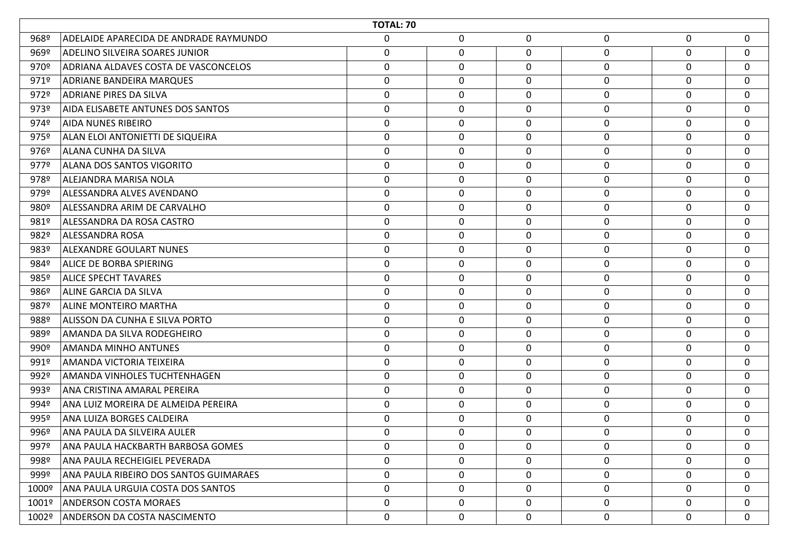|                  | <b>TOTAL: 70</b>                       |                  |             |             |                  |              |              |  |  |  |
|------------------|----------------------------------------|------------------|-------------|-------------|------------------|--------------|--------------|--|--|--|
| 968º             | ADELAIDE APARECIDA DE ANDRADE RAYMUNDO | $\mathbf 0$      | $\mathbf 0$ | $\mathbf 0$ | $\mathbf 0$      | 0            | $\mathbf 0$  |  |  |  |
| 969º             | <b>ADELINO SILVEIRA SOARES JUNIOR</b>  | $\mathbf 0$      | $\mathbf 0$ | 0           | $\boldsymbol{0}$ | 0            | $\mathbf 0$  |  |  |  |
| 970º             | ADRIANA ALDAVES COSTA DE VASCONCELOS   | $\mathbf 0$      | 0           | 0           | $\mathbf 0$      | 0            | $\mathbf 0$  |  |  |  |
| 971º             | ADRIANE BANDEIRA MARQUES               | 0                | 0           | 0           | 0                | 0            | $\mathbf{0}$ |  |  |  |
| 972º             | ADRIANE PIRES DA SILVA                 | $\boldsymbol{0}$ | $\mathbf 0$ | $\mathbf 0$ | $\mathbf 0$      | 0            | $\mathbf 0$  |  |  |  |
| 973º             | AIDA ELISABETE ANTUNES DOS SANTOS      | $\mathbf 0$      | 0           | 0           | $\mathbf 0$      | 0            | $\mathbf 0$  |  |  |  |
| 974º             | <b>AIDA NUNES RIBEIRO</b>              | $\boldsymbol{0}$ | $\mathbf 0$ | $\mathbf 0$ | $\mathbf 0$      | 0            | $\mathbf 0$  |  |  |  |
| 975º             | ALAN ELOI ANTONIETTI DE SIQUEIRA       | 0                | 0           | 0           | 0                | 0            | $\mathbf{0}$ |  |  |  |
| 976º             | <b>ALANA CUNHA DA SILVA</b>            | $\boldsymbol{0}$ | 0           | $\mathbf 0$ | $\boldsymbol{0}$ | $\mathbf 0$  | $\mathbf 0$  |  |  |  |
| 977º             | <b>ALANA DOS SANTOS VIGORITO</b>       | $\mathbf 0$      | $\mathbf 0$ | 0           | $\boldsymbol{0}$ | 0            | $\mathbf 0$  |  |  |  |
| 978º             | ALEJANDRA MARISA NOLA                  | $\boldsymbol{0}$ | 0           | 0           | $\mathbf 0$      | 0            | $\mathbf 0$  |  |  |  |
| 979º             | ALESSANDRA ALVES AVENDANO              | 0                | 0           | 0           | 0                | 0            | $\mathbf{0}$ |  |  |  |
| 980 <sup>o</sup> | ALESSANDRA ARIM DE CARVALHO            | $\boldsymbol{0}$ | $\mathbf 0$ | $\mathbf 0$ | $\pmb{0}$        | 0            | $\mathbf 0$  |  |  |  |
| 981º             | ALESSANDRA DA ROSA CASTRO              | $\mathbf 0$      | 0           | 0           | $\mathbf 0$      | 0            | $\mathbf 0$  |  |  |  |
| 982º             | <b>ALESSANDRA ROSA</b>                 | $\boldsymbol{0}$ | 0           | 0           | $\mathbf 0$      | 0            | $\mathbf 0$  |  |  |  |
| 983º             | ALEXANDRE GOULART NUNES                | 0                | 0           | 0           | 0                | 0            | $\mathbf{0}$ |  |  |  |
| 984º             | <b>ALICE DE BORBA SPIERING</b>         | $\boldsymbol{0}$ | 0           | 0           | $\boldsymbol{0}$ | 0            | $\mathbf 0$  |  |  |  |
| 985º             | <b>ALICE SPECHT TAVARES</b>            | $\mathbf 0$      | $\mathbf 0$ | 0           | $\boldsymbol{0}$ | 0            | $\mathbf 0$  |  |  |  |
| 986º             | ALINE GARCIA DA SILVA                  | $\boldsymbol{0}$ | 0           | 0           | $\mathbf 0$      | 0            | $\mathbf 0$  |  |  |  |
| 987º             | <b>ALINE MONTEIRO MARTHA</b>           | 0                | 0           | 0           | $\mathbf 0$      | $\mathbf 0$  | $\mathbf{0}$ |  |  |  |
| 988º             | ALISSON DA CUNHA E SILVA PORTO         | $\mathbf 0$      | $\mathbf 0$ | $\mathbf 0$ | $\pmb{0}$        | 0            | $\mathbf 0$  |  |  |  |
| 989º             | AMANDA DA SILVA RODEGHEIRO             | $\mathbf 0$      | $\mathbf 0$ | 0           | $\mathbf 0$      | $\mathbf 0$  | $\mathbf 0$  |  |  |  |
| 990º             | AMANDA MINHO ANTUNES                   | $\boldsymbol{0}$ | $\mathbf 0$ | $\mathbf 0$ | $\mathbf 0$      | 0            | $\mathbf 0$  |  |  |  |
| 991º             | AMANDA VICTORIA TEIXEIRA               | $\mathbf 0$      | 0           | 0           | $\mathbf 0$      | $\mathbf 0$  | $\mathbf{0}$ |  |  |  |
| 992º             | AMANDA VINHOLES TUCHTENHAGEN           | $\mathbf 0$      | 0           | 0           | $\boldsymbol{0}$ | 0            | $\mathbf 0$  |  |  |  |
| 993º             | ANA CRISTINA AMARAL PEREIRA            | $\mathbf 0$      | $\mathbf 0$ | $\mathbf 0$ | $\mathbf 0$      | 0            | $\mathbf{0}$ |  |  |  |
| 994º             | ANA LUIZ MOREIRA DE ALMEIDA PEREIRA    | $\mathbf 0$      | $\mathbf 0$ | 0           | $\mathbf 0$      | 0            | $\mathbf{0}$ |  |  |  |
| 995º             | ANA LUIZA BORGES CALDEIRA              | 0                | 0           | 0           | $\mathbf 0$      | $\mathbf{0}$ | $\mathbf{0}$ |  |  |  |
| 996º             | ANA PAULA DA SILVEIRA AULER            | $\mathbf 0$      | $\mathbf 0$ | 0           | $\mathbf 0$      | 0            | $\mathbf 0$  |  |  |  |
| 997º             | ANA PAULA HACKBARTH BARBOSA GOMES      | $\mathbf{0}$     | 0           | 0           | $\mathbf 0$      | $\Omega$     | $\mathbf 0$  |  |  |  |
| 998º             | ANA PAULA RECHEIGIEL PEVERADA          | $\mathbf 0$      | $\pmb{0}$   | 0           | $\mathbf 0$      | 0            | $\mathbf 0$  |  |  |  |
| 999º             | ANA PAULA RIBEIRO DOS SANTOS GUIMARAES | $\mathbf 0$      | 0           | 0           | $\mathbf 0$      | 0            | $\mathbf{0}$ |  |  |  |
| 1000º            | ANA PAULA URGUIA COSTA DOS SANTOS      | $\mathbf 0$      | 0           | $\mathbf 0$ | $\mathbf 0$      | 0            | $\mathbf{0}$ |  |  |  |
| 1001º            | <b>ANDERSON COSTA MORAES</b>           | 0                | 0           | 0           | 0                | 0            | $\mathbf{0}$ |  |  |  |
|                  | 1002º   ANDERSON DA COSTA NASCIMENTO   | 0                | 0           | $\mathbf 0$ | 0                | 0            | $\mathbf 0$  |  |  |  |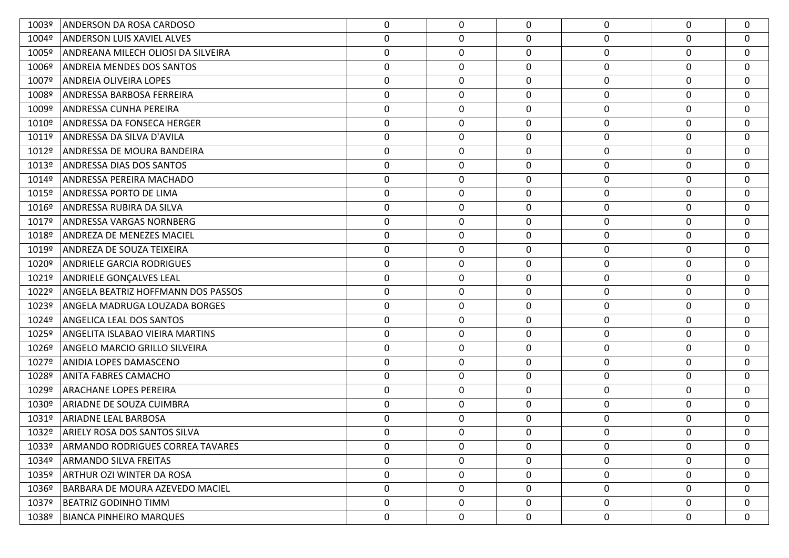| 1003º | ANDERSON DA ROSA CARDOSO                | 0                | 0                | $\Omega$     | 0 | $\Omega$     | $\Omega$    |
|-------|-----------------------------------------|------------------|------------------|--------------|---|--------------|-------------|
| 1004º | <b>ANDERSON LUIS XAVIEL ALVES</b>       | 0                | 0                | $\Omega$     | 0 | 0            | 0           |
| 1005º | ANDREANA MILECH OLIOSI DA SILVEIRA      | $\boldsymbol{0}$ | $\boldsymbol{0}$ | 0            | 0 | 0            | 0           |
| 1006º | <b>ANDREIA MENDES DOS SANTOS</b>        | $\boldsymbol{0}$ | 0                | 0            | 0 | 0            | 0           |
| 1007º | ANDREIA OLIVEIRA LOPES                  | 0                | $\mathbf 0$      | 0            | 0 | 0            | 0           |
| 1008º | ANDRESSA BARBOSA FERREIRA               | $\boldsymbol{0}$ | $\pmb{0}$        | 0            | 0 | 0            | 0           |
| 1009º | ANDRESSA CUNHA PEREIRA                  | 0                | $\mathbf 0$      | 0            | 0 | $\mathbf 0$  | $\mathbf 0$ |
| 1010º | <b>ANDRESSA DA FONSECA HERGER</b>       | $\mathbf 0$      | $\boldsymbol{0}$ | 0            | 0 | 0            | 0           |
| 1011º | ANDRESSA DA SILVA D'AVILA               | 0                | $\mathbf 0$      | 0            | 0 | 0            | $\mathbf 0$ |
| 1012º | ANDRESSA DE MOURA BANDEIRA              | $\boldsymbol{0}$ | $\pmb{0}$        | 0            | 0 | 0            | $\mathbf 0$ |
| 1013º | ANDRESSA DIAS DOS SANTOS                | 0                | $\mathbf 0$      | 0            | 0 | 0            | $\mathbf 0$ |
| 1014º | <b>ANDRESSA PEREIRA MACHADO</b>         | $\boldsymbol{0}$ | $\boldsymbol{0}$ | 0            | 0 | 0            | 0           |
| 1015º | <b>ANDRESSA PORTO DE LIMA</b>           | $\mathbf 0$      | $\mathbf 0$      | 0            | 0 | 0            | 0           |
| 1016º | ANDRESSA RUBIRA DA SILVA                | $\boldsymbol{0}$ | 0                | 0            | 0 | 0            | $\mathbf 0$ |
| 1017º | ANDRESSA VARGAS NORNBERG                | 0                | $\mathbf 0$      | 0            | 0 | 0            | 0           |
| 1018º | <b>ANDREZA DE MENEZES MACIEL</b>        | $\mathbf 0$      | $\boldsymbol{0}$ | 0            | 0 | 0            | 0           |
| 1019º | ANDREZA DE SOUZA TEIXEIRA               | 0                | $\mathbf 0$      | 0            | 0 | $\mathbf 0$  | $\mathbf 0$ |
| 1020º | <b>ANDRIELE GARCIA RODRIGUES</b>        | 0                | $\pmb{0}$        | 0            | 0 | 0            | 0           |
| 1021º | ANDRIELE GONÇALVES LEAL                 | 0                | $\mathbf 0$      | 0            | 0 | $\mathbf 0$  | $\mathbf 0$ |
| 1022º | ANGELA BEATRIZ HOFFMANN DOS PASSOS      | $\boldsymbol{0}$ | 0                | 0            | 0 | 0            | 0           |
| 1023º | ANGELA MADRUGA LOUZADA BORGES           | 0                | $\mathbf 0$      | 0            | 0 | 0            | 0           |
| 1024º | <b>ANGELICA LEAL DOS SANTOS</b>         | 0                | 0                | 0            | 0 | $\mathbf 0$  | 0           |
| 1025º | ANGELITA ISLABAO VIEIRA MARTINS         | 0                | 0                | 0            | 0 | 0            | 0           |
| 1026º | <b>ANGELO MARCIO GRILLO SILVEIRA</b>    | 0                | 0                | 0            | 0 | $\mathbf 0$  | 0           |
| 1027º | ANIDIA LOPES DAMASCENO                  | 0                | 0                | 0            | 0 | 0            | 0           |
| 1028º | <b>ANITA FABRES CAMACHO</b>             | 0                | 0                | 0            | 0 | 0            | 0           |
| 1029º | <b>ARACHANE LOPES PEREIRA</b>           | 0                | 0                | 0            | 0 | 0            | $\mathbf 0$ |
| 1030º | <b>ARIADNE DE SOUZA CUIMBRA</b>         | 0                | 0                | 0            | 0 | 0            | 0           |
| 1031º | <b>ARIADNE LEAL BARBOSA</b>             | 0                | $\mathbf 0$      | $\Omega$     | 0 | $\mathbf 0$  | $\mathbf 0$ |
| 1032º | <b>ARIELY ROSA DOS SANTOS SILVA</b>     | $\Omega$         | 0                | 0            | 0 | $\Omega$     | $\mathbf 0$ |
| 1033º | <b>ARMANDO RODRIGUES CORREA TAVARES</b> | $\mathbf{0}$     | 0                | $\Omega$     | 0 | $\Omega$     | 0           |
| 1034º | <b>ARMANDO SILVA FREITAS</b>            | $\mathbf{0}$     | 0                | $\mathbf{0}$ | 0 | $\mathbf{0}$ | $\mathbf 0$ |
| 1035º | ARTHUR OZI WINTER DA ROSA               | 0                | 0                | 0            | 0 | $\mathbf 0$  | $\mathbf 0$ |
| 1036º | <b>BARBARA DE MOURA AZEVEDO MACIEL</b>  | 0                | 0                | 0            | 0 | $\mathbf 0$  | $\mathbf 0$ |
| 1037º | <b>BEATRIZ GODINHO TIMM</b>             | 0                | 0                | 0            | 0 | $\mathbf 0$  | 0           |
| 1038º | <b>BIANCA PINHEIRO MARQUES</b>          | $\mathbf 0$      | 0                | 0            | 0 | $\mathbf 0$  | $\mathbf 0$ |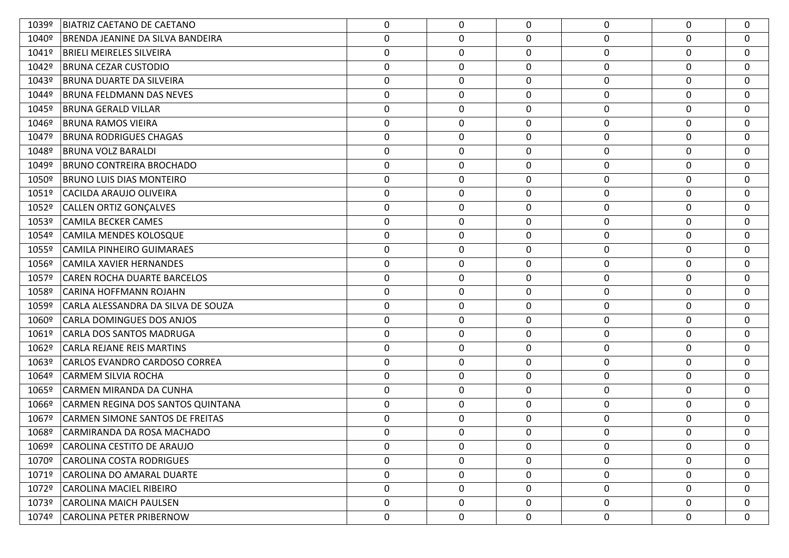| 1039º | BIATRIZ CAETANO DE CAETANO              | 0                | 0           | $\mathbf{0}$     | 0                | $\mathbf 0$ | $\mathbf 0$      |
|-------|-----------------------------------------|------------------|-------------|------------------|------------------|-------------|------------------|
| 1040º | <b>BRENDA JEANINE DA SILVA BANDEIRA</b> | $\pmb{0}$        | 0           | $\mathbf 0$      | $\pmb{0}$        | 0           | $\mathbf 0$      |
| 1041º | <b>BRIELI MEIRELES SILVEIRA</b>         | $\boldsymbol{0}$ | $\mathbf 0$ | $\mathbf 0$      | $\boldsymbol{0}$ | 0           | $\mathbf 0$      |
| 1042º | <b>BRUNA CEZAR CUSTODIO</b>             | $\boldsymbol{0}$ | 0           | 0                | $\pmb{0}$        | 0           | $\mathbf 0$      |
| 1043º | <b>BRUNA DUARTE DA SILVEIRA</b>         | $\boldsymbol{0}$ | $\mathbf 0$ | 0                | 0                | 0           | $\mathbf{0}$     |
| 1044º | BRUNA FELDMANN DAS NEVES                | $\pmb{0}$        | $\mathbf 0$ | $\mathbf 0$      | $\boldsymbol{0}$ | $\mathbf 0$ | $\mathbf 0$      |
| 1045º | <b>BRUNA GERALD VILLAR</b>              | $\boldsymbol{0}$ | $\mathbf 0$ | 0                | 0                | 0           | 0                |
| 1046º | <b>BRUNA RAMOS VIEIRA</b>               | $\boldsymbol{0}$ | 0           | $\mathbf 0$      | $\boldsymbol{0}$ | 0           | $\mathbf 0$      |
| 1047º | <b>BRUNA RODRIGUES CHAGAS</b>           | $\boldsymbol{0}$ | $\mathbf 0$ | 0                | 0                | 0           | $\mathbf 0$      |
| 1048º | <b>BRUNA VOLZ BARALDI</b>               | $\pmb{0}$        | 0           | $\mathbf 0$      | $\pmb{0}$        | 0           | $\mathbf 0$      |
| 1049º | <b>BRUNO CONTREIRA BROCHADO</b>         | $\boldsymbol{0}$ | $\mathbf 0$ | 0                | 0                | 0           | $\mathbf 0$      |
| 1050º | <b>BRUNO LUIS DIAS MONTEIRO</b>         | $\boldsymbol{0}$ | 0           | $\mathbf 0$      | $\pmb{0}$        | 0           | $\mathbf 0$      |
| 1051º | CACILDA ARAUJO OLIVEIRA                 | $\boldsymbol{0}$ | $\mathbf 0$ | $\mathbf 0$      | 0                | 0           | $\mathbf{0}$     |
| 1052º | CALLEN ORTIZ GONÇALVES                  | $\pmb{0}$        | 0           | $\mathbf 0$      | $\pmb{0}$        | $\mathbf 0$ | $\mathbf 0$      |
| 1053º | <b>CAMILA BECKER CAMES</b>              | $\boldsymbol{0}$ | $\mathbf 0$ | 0                | $\boldsymbol{0}$ | 0           | $\mathbf 0$      |
| 1054º | CAMILA MENDES KOLOSQUE                  | $\boldsymbol{0}$ | 0           | 0                | $\boldsymbol{0}$ | 0           | $\mathbf 0$      |
| 1055º | <b>CAMILA PINHEIRO GUIMARAES</b>        | 0                | 0           | 0                | 0                | 0           | $\mathbf{0}$     |
| 1056º | CAMILA XAVIER HERNANDES                 | $\pmb{0}$        | 0           | $\boldsymbol{0}$ | $\pmb{0}$        | $\mathbf 0$ | $\mathbf 0$      |
| 1057º | <b>CAREN ROCHA DUARTE BARCELOS</b>      | 0                | $\mathbf 0$ | $\mathbf 0$      | $\boldsymbol{0}$ | $\mathbf 0$ | 0                |
| 1058º | CARINA HOFFMANN ROJAHN                  | $\boldsymbol{0}$ | 0           | $\mathbf 0$      | $\boldsymbol{0}$ | 0           | $\mathbf 0$      |
| 1059º | CARLA ALESSANDRA DA SILVA DE SOUZA      | 0                | $\mathbf 0$ | 0                | 0                | 0           | $\mathbf 0$      |
| 1060º | CARLA DOMINGUES DOS ANJOS               | $\pmb{0}$        | 0           | $\boldsymbol{0}$ | $\pmb{0}$        | $\mathbf 0$ | $\mathbf 0$      |
| 1061º | CARLA DOS SANTOS MADRUGA                | $\boldsymbol{0}$ | $\mathbf 0$ | 0                | 0                | $\mathbf 0$ | $\mathbf 0$      |
| 1062º | CARLA REJANE REIS MARTINS               | $\boldsymbol{0}$ | 0           | 0                | 0                | 0           | $\mathbf{0}$     |
| 1063º | <b>CARLOS EVANDRO CARDOSO CORREA</b>    | $\boldsymbol{0}$ | $\mathbf 0$ | 0                | 0                | 0           | $\mathbf{0}$     |
| 1064º | <b>CARMEM SILVIA ROCHA</b>              | $\pmb{0}$        | $\mathbf 0$ | $\mathbf 0$      | $\boldsymbol{0}$ | $\mathbf 0$ | $\mathbf 0$      |
| 1065º | CARMEN MIRANDA DA CUNHA                 | $\boldsymbol{0}$ | $\mathbf 0$ | 0                | 0                | 0           | $\mathbf{0}$     |
| 1066º | CARMEN REGINA DOS SANTOS QUINTANA       | $\boldsymbol{0}$ | 0           | 0                | $\boldsymbol{0}$ | 0           | $\mathbf{0}$     |
| 1067º | <b>CARMEN SIMONE SANTOS DE FREITAS</b>  | 0                | $\mathbf 0$ | 0                | 0                | 0           | 0                |
| 1068º | CARMIRANDA DA ROSA MACHADO              | $\mathbf 0$      | 0           | $\mathbf 0$      | $\mathbf 0$      | $\mathbf 0$ | $\mathbf 0$      |
| 1069º | CAROLINA CESTITO DE ARAUJO              | $\mathbf 0$      | $\mathbf 0$ | 0                | 0                | $\mathbf 0$ | $\mathbf 0$      |
| 1070º | <b>CAROLINA COSTA RODRIGUES</b>         | 0                | 0           | $\mathbf 0$      | $\pmb{0}$        | $\mathbf 0$ | $\mathbf 0$      |
| 1071º | CAROLINA DO AMARAL DUARTE               | $\mathbf 0$      | 0           | $\mathbf 0$      | 0                | 0           | $\mathbf 0$      |
| 1072º | <b>CAROLINA MACIEL RIBEIRO</b>          | 0                | 0           | $\mathbf 0$      | $\pmb{0}$        | $\mathbf 0$ | $\mathbf 0$      |
| 1073º | CAROLINA MAICH PAULSEN                  | 0                | $\mathbf 0$ | $\mathbf 0$      | 0                | $\mathbf 0$ | $\mathbf 0$      |
| 1074º | <b>CAROLINA PETER PRIBERNOW</b>         | 0                | 0           | $\mathbf 0$      | $\pmb{0}$        | 0           | $\boldsymbol{0}$ |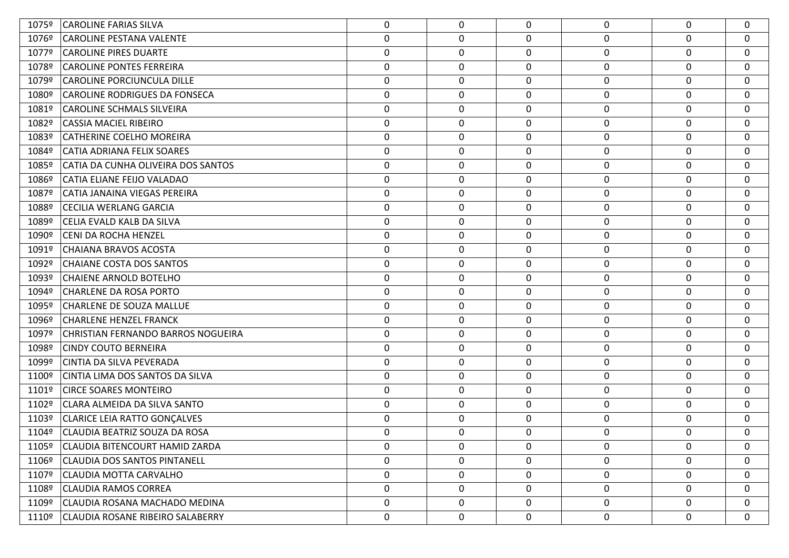| 1075º | <b>CAROLINE FARIAS SILVA</b>         | 0                | 0 | $\mathbf{0}$ | $\mathbf 0$      | 0                | $\mathbf 0$ |
|-------|--------------------------------------|------------------|---|--------------|------------------|------------------|-------------|
| 1076º | <b>CAROLINE PESTANA VALENTE</b>      | $\boldsymbol{0}$ | 0 | 0            | 0                | 0                | $\mathbf 0$ |
| 1077º | <b>CAROLINE PIRES DUARTE</b>         | 0                | 0 | 0            | 0                | 0                | $\mathbf 0$ |
| 1078º | <b>CAROLINE PONTES FERREIRA</b>      | $\boldsymbol{0}$ | 0 | 0            | $\boldsymbol{0}$ | 0                | $\mathbf 0$ |
| 1079º | <b>CAROLINE PORCIUNCULA DILLE</b>    | 0                | 0 | 0            | 0                | 0                | $\mathbf 0$ |
| 1080º | <b>CAROLINE RODRIGUES DA FONSECA</b> | 0                | 0 | 0            | 0                | 0                | 0           |
| 1081º | <b>CAROLINE SCHMALS SILVEIRA</b>     | 0                | 0 | 0            | $\mathbf 0$      | 0                | $\mathbf 0$ |
| 1082º | <b>CASSIA MACIEL RIBEIRO</b>         | 0                | 0 | 0            | $\mathbf 0$      | 0                | $\mathbf 0$ |
| 1083º | <b>CATHERINE COELHO MOREIRA</b>      | 0                | 0 | 0            | 0                | 0                | $\mathbf 0$ |
| 1084º | CATIA ADRIANA FELIX SOARES           | 0                | 0 | 0            | $\boldsymbol{0}$ | $\boldsymbol{0}$ | 0           |
| 1085º | CATIA DA CUNHA OLIVEIRA DOS SANTOS   | 0                | 0 | $\mathbf 0$  | $\mathbf 0$      | 0                | $\mathbf 0$ |
| 1086º | CATIA ELIANE FEIJO VALADAO           | $\boldsymbol{0}$ | 0 | 0            | $\boldsymbol{0}$ | 0                | $\mathbf 0$ |
| 1087º | CATIA JANAINA VIEGAS PEREIRA         | 0                | 0 | 0            | 0                | 0                | $\mathbf 0$ |
| 1088º | <b>CECILIA WERLANG GARCIA</b>        | $\boldsymbol{0}$ | 0 | 0            | 0                | $\mathbf 0$      | $\mathbf 0$ |
| 1089º | CELIA EVALD KALB DA SILVA            | 0                | 0 | $\mathbf 0$  | $\mathbf 0$      | $\mathbf 0$      | $\mathbf 0$ |
| 1090º | CENI DA ROCHA HENZEL                 | 0                | 0 | 0            | 0                | $\mathbf 0$      | $\mathbf 0$ |
| 1091º | <b>CHAIANA BRAVOS ACOSTA</b>         | $\boldsymbol{0}$ | 0 | 0            | 0                | 0                | $\mathbf 0$ |
| 1092º | <b>CHAIANE COSTA DOS SANTOS</b>      | 0                | 0 | 0            | $\boldsymbol{0}$ | $\mathbf 0$      | 0           |
| 1093º | <b>CHAIENE ARNOLD BOTELHO</b>        | $\mathbf 0$      | 0 | 0            | $\mathbf 0$      | $\mathbf 0$      | $\mathbf 0$ |
| 1094º | <b>CHARLENE DA ROSA PORTO</b>        | $\boldsymbol{0}$ | 0 | 0            | 0                | 0                | $\mathbf 0$ |
| 1095º | CHARLENE DE SOUZA MALLUE             | 0                | 0 | 0            | 0                | $\mathbf 0$      | $\mathbf 0$ |
| 1096º | <b>CHARLENE HENZEL FRANCK</b>        | $\boldsymbol{0}$ | 0 | 0            | $\pmb{0}$        | $\mathbf 0$      | $\mathbf 0$ |
| 1097º | CHRISTIAN FERNANDO BARROS NOGUEIRA   | 0                | 0 | $\mathbf 0$  | $\mathbf 0$      | $\mathbf 0$      | $\mathbf 0$ |
| 1098º | <b>CINDY COUTO BERNEIRA</b>          | $\boldsymbol{0}$ | 0 | 0            | $\boldsymbol{0}$ | 0                | $\mathbf 0$ |
| 1099º | CINTIA DA SILVA PEVERADA             | 0                | 0 | 0            | $\mathbf 0$      | 0                | $\mathbf 0$ |
| 1100º | CINTIA LIMA DOS SANTOS DA SILVA      | $\boldsymbol{0}$ | 0 | $\mathbf 0$  | $\boldsymbol{0}$ | 0                | $\mathbf 0$ |
| 1101º | <b>CIRCE SOARES MONTEIRO</b>         | $\boldsymbol{0}$ | 0 | $\mathbf 0$  | $\mathbf 0$      | $\mathbf 0$      | $\mathbf 0$ |
| 1102º | CLARA ALMEIDA DA SILVA SANTO         | $\boldsymbol{0}$ | 0 | 0            | 0                | 0                | $\mathbf 0$ |
| 1103º | <b>CLARICE LEIA RATTO GONÇALVES</b>  | 0                | 0 | 0            | 0                | 0                | $\mathbf 0$ |
| 1104º | CLAUDIA BEATRIZ SOUZA DA ROSA        | 0                | 0 | $\mathbf{0}$ | 0                | 0                | 0           |
| 1105º | CLAUDIA BITENCOURT HAMID ZARDA       | 0                | 0 | $\mathbf{0}$ | $\mathbf 0$      | $\mathbf 0$      | $\mathbf 0$ |
| 1106º | <b>CLAUDIA DOS SANTOS PINTANELL</b>  | 0                | 0 | 0            | $\boldsymbol{0}$ | 0                | $\mathbf 0$ |
| 1107º | <b>CLAUDIA MOTTA CARVALHO</b>        | 0                | 0 | $\mathbf 0$  | $\boldsymbol{0}$ | 0                | $\mathbf 0$ |
| 1108º | <b>CLAUDIA RAMOS CORREA</b>          | $\mathbf 0$      | 0 | $\mathbf 0$  | $\mathbf 0$      | 0                | $\mathbf 0$ |
| 1109º | CLAUDIA ROSANA MACHADO MEDINA        | 0                | 0 | 0            | $\mathbf 0$      | 0                | $\mathbf 0$ |
| 1110º | CLAUDIA ROSANE RIBEIRO SALABERRY     | 0                | 0 | 0            | $\boldsymbol{0}$ | 0                | $\bf{0}$    |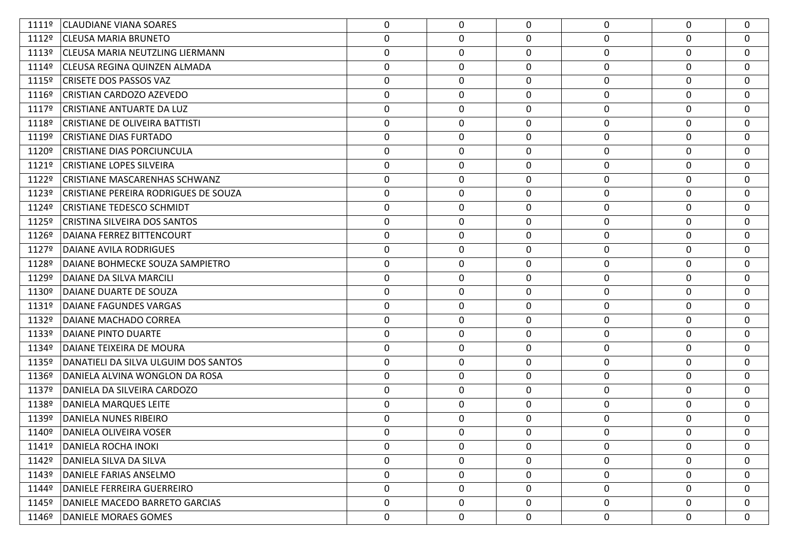| 1111º | <b>CLAUDIANE VIANA SOARES</b>          | 0                | 0           | 0           | 0                | $\Omega$    | $\mathbf 0$ |
|-------|----------------------------------------|------------------|-------------|-------------|------------------|-------------|-------------|
| 1112º | <b>CLEUSA MARIA BRUNETO</b>            | $\boldsymbol{0}$ | 0           | 0           | $\pmb{0}$        | 0           | $\mathbf 0$ |
| 1113º | <b>CLEUSA MARIA NEUTZLING LIERMANN</b> | $\boldsymbol{0}$ | 0           | 0           | $\boldsymbol{0}$ | 0           | 0           |
|       | 1114º CLEUSA REGINA QUINZEN ALMADA     | $\boldsymbol{0}$ | 0           | 0           | 0                | 0           | $\mathbf 0$ |
| 1115º | <b>CRISETE DOS PASSOS VAZ</b>          | $\boldsymbol{0}$ | 0           | 0           | 0                | 0           | 0           |
| 1116º | CRISTIAN CARDOZO AZEVEDO               | $\boldsymbol{0}$ | 0           | 0           | 0                | 0           | $\mathbf 0$ |
| 1117º | <b>CRISTIANE ANTUARTE DA LUZ</b>       | 0                | 0           | 0           | 0                | 0           | 0           |
| 1118º | <b>CRISTIANE DE OLIVEIRA BATTISTI</b>  | $\boldsymbol{0}$ | 0           | 0           | $\boldsymbol{0}$ | 0           | 0           |
| 1119º | <b>CRISTIANE DIAS FURTADO</b>          | 0                | 0           | 0           | 0                | 0           | 0           |
| 1120º | <b>CRISTIANE DIAS PORCIUNCULA</b>      | $\boldsymbol{0}$ | 0           | 0           | $\boldsymbol{0}$ | 0           | $\mathbf 0$ |
| 1121º | <b>CRISTIANE LOPES SILVEIRA</b>        | 0                | 0           | 0           | 0                | 0           | 0           |
| 1122º | <b>CRISTIANE MASCARENHAS SCHWANZ</b>   | $\boldsymbol{0}$ | 0           | 0           | 0                | 0           | $\mathbf 0$ |
| 1123º | CRISTIANE PEREIRA RODRIGUES DE SOUZA   | $\boldsymbol{0}$ | 0           | 0           | 0                | 0           | 0           |
| 1124º | <b>CRISTIANE TEDESCO SCHMIDT</b>       | 0                | 0           | 0           | $\boldsymbol{0}$ | 0           | 0           |
| 1125º | CRISTINA SILVEIRA DOS SANTOS           | $\boldsymbol{0}$ | 0           | 0           | 0                | 0           | $\mathbf 0$ |
| 1126º | DAIANA FERREZ BITTENCOURT              | $\boldsymbol{0}$ | 0           | 0           | 0                | 0           | $\mathbf 0$ |
| 1127º | DAIANE AVILA RODRIGUES                 | 0                | 0           | 0           | 0                | 0           | 0           |
| 1128º | DAIANE BOHMECKE SOUZA SAMPIETRO        | $\boldsymbol{0}$ | 0           | 0           | $\boldsymbol{0}$ | 0           | $\mathbf 0$ |
| 1129º | DAIANE DA SILVA MARCILI                | 0                | 0           | 0           | 0                | 0           | 0           |
| 1130º | DAIANE DUARTE DE SOUZA                 | $\boldsymbol{0}$ | 0           | 0           | $\boldsymbol{0}$ | 0           | 0           |
| 1131º | DAIANE FAGUNDES VARGAS                 | 0                | 0           | 0           | 0                | 0           | 0           |
| 1132º | DAIANE MACHADO CORREA                  | $\boldsymbol{0}$ | 0           | 0           | $\pmb{0}$        | 0           | $\mathbf 0$ |
| 1133º | DAIANE PINTO DUARTE                    | $\boldsymbol{0}$ | 0           | 0           | 0                | $\mathbf 0$ | 0           |
| 1134º | DAIANE TEIXEIRA DE MOURA               | $\boldsymbol{0}$ | 0           | 0           | $\mathbf 0$      | $\mathbf 0$ | $\mathbf 0$ |
| 1135º | DANATIELI DA SILVA ULGUIM DOS SANTOS   | $\boldsymbol{0}$ | 0           | 0           | 0                | $\mathbf 0$ | 0           |
| 1136º | DANIELA ALVINA WONGLON DA ROSA         | $\boldsymbol{0}$ | 0           | 0           | $\boldsymbol{0}$ | 0           | $\mathbf 0$ |
| 1137º | DANIELA DA SILVEIRA CARDOZO            | $\boldsymbol{0}$ | 0           | 0           | $\mathbf 0$      | $\mathbf 0$ | 0           |
| 1138º | DANIELA MARQUES LEITE                  | $\boldsymbol{0}$ | 0           | 0           | $\pmb{0}$        | 0           | $\mathbf 0$ |
| 1139º | <b>DANIELA NUNES RIBEIRO</b>           | 0                | 0           | 0           | 0                | $\Omega$    | 0           |
| 1140º | DANIELA OLIVEIRA VOSER                 | $\mathbf 0$      | $\mathbf 0$ | 0           | 0                | $\Omega$    | $\mathbf 0$ |
| 1141º | DANIELA ROCHA INOKI                    | 0                | 0           | 0           | 0                | $\Omega$    | 0           |
| 1142º | DANIELA SILVA DA SILVA                 | $\mathbf 0$      | 0           | 0           | $\pmb{0}$        | 0           | $\mathbf 0$ |
| 1143º | DANIELE FARIAS ANSELMO                 | 0                | 0           | 0           | 0                | 0           | 0           |
| 1144º | DANIELE FERREIRA GUERREIRO             | $\mathbf 0$      | 0           | 0           | $\boldsymbol{0}$ | 0           | $\mathbf 0$ |
| 1145º | DANIELE MACEDO BARRETO GARCIAS         | 0                | 0           | $\mathbf 0$ | $\mathbf 0$      | 0           | 0           |
|       | 1146º   DANIELE MORAES GOMES           | 0                | 0           | 0           | 0                | 0           | 0           |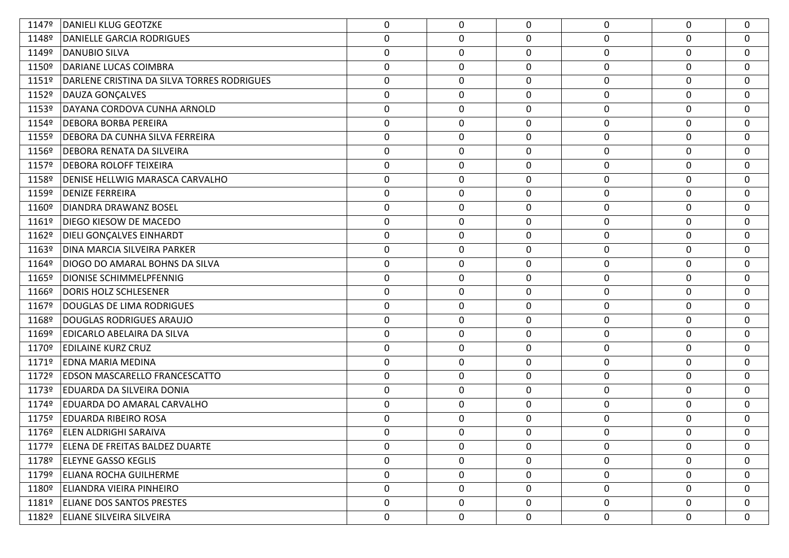| 1147º | DANIELI KLUG GEOTZKE                       | 0                | 0           | 0           | 0                | $\mathbf 0$ | $\mathbf 0$      |
|-------|--------------------------------------------|------------------|-------------|-------------|------------------|-------------|------------------|
| 1148º | <b>DANIELLE GARCIA RODRIGUES</b>           | $\pmb{0}$        | $\pmb{0}$   | 0           | $\boldsymbol{0}$ | 0           | $\mathbf 0$      |
| 1149º | <b>DANUBIO SILVA</b>                       | $\boldsymbol{0}$ | $\mathbf 0$ | $\mathbf 0$ | $\boldsymbol{0}$ | 0           | $\mathbf 0$      |
| 1150º | DARIANE LUCAS COIMBRA                      | $\pmb{0}$        | 0           | 0           | $\pmb{0}$        | 0           | $\mathbf 0$      |
| 1151º | DARLENE CRISTINA DA SILVA TORRES RODRIGUES | $\boldsymbol{0}$ | $\mathbf 0$ | $\mathbf 0$ | $\boldsymbol{0}$ | 0           | $\mathbf 0$      |
| 1152º | DAUZA GONÇALVES                            | $\pmb{0}$        | $\pmb{0}$   | 0           | $\boldsymbol{0}$ | 0           | $\mathbf 0$      |
| 1153º | DAYANA CORDOVA CUNHA ARNOLD                | $\pmb{0}$        | $\mathbf 0$ | $\mathbf 0$ | $\boldsymbol{0}$ | 0           | 0                |
| 1154º | <b>DEBORA BORBA PEREIRA</b>                | $\pmb{0}$        | 0           | 0           | $\boldsymbol{0}$ | 0           | $\mathbf 0$      |
| 1155º | DEBORA DA CUNHA SILVA FERREIRA             | $\boldsymbol{0}$ | $\mathbf 0$ | 0           | $\boldsymbol{0}$ | 0           | $\mathbf 0$      |
| 1156º | <b>DEBORA RENATA DA SILVEIRA</b>           | $\pmb{0}$        | $\pmb{0}$   | 0           | $\pmb{0}$        | 0           | $\boldsymbol{0}$ |
| 1157º | <b>DEBORA ROLOFF TEIXEIRA</b>              | $\boldsymbol{0}$ | $\mathbf 0$ | $\mathbf 0$ | $\boldsymbol{0}$ | 0           | $\mathbf 0$      |
| 1158º | <b>DENISE HELLWIG MARASCA CARVALHO</b>     | $\pmb{0}$        | 0           | 0           | $\pmb{0}$        | 0           | $\mathbf 0$      |
| 1159º | <b>DENIZE FERREIRA</b>                     | $\boldsymbol{0}$ | $\mathbf 0$ | 0           | 0                | 0           | 0                |
| 1160º | DIANDRA DRAWANZ BOSEL                      | $\pmb{0}$        | $\pmb{0}$   | 0           | $\boldsymbol{0}$ | $\mathbf 0$ | $\mathbf 0$      |
| 1161º | DIEGO KIESOW DE MACEDO                     | $\boldsymbol{0}$ | 0           | $\mathbf 0$ | $\boldsymbol{0}$ | 0           | $\mathbf 0$      |
| 1162º | <b>DIELI GONÇALVES EINHARDT</b>            | $\pmb{0}$        | 0           | $\mathbf 0$ | $\boldsymbol{0}$ | 0           | $\mathbf 0$      |
| 1163º | DINA MARCIA SILVEIRA PARKER                | $\boldsymbol{0}$ | $\mathbf 0$ | 0           | $\boldsymbol{0}$ | 0           | $\mathbf 0$      |
| 1164º | DIOGO DO AMARAL BOHNS DA SILVA             | $\pmb{0}$        | 0           | 0           | $\pmb{0}$        | $\mathbf 0$ | $\mathbf 0$      |
| 1165º | <b>DIONISE SCHIMMELPFENNIG</b>             | $\pmb{0}$        | $\mathbf 0$ | $\mathbf 0$ | $\boldsymbol{0}$ | 0           | $\mathbf 0$      |
| 1166º | <b>DORIS HOLZ SCHLESENER</b>               | $\boldsymbol{0}$ | 0           | $\mathbf 0$ | $\mathbf 0$      | 0           | $\mathbf 0$      |
| 1167º | <b>DOUGLAS DE LIMA RODRIGUES</b>           | 0                | $\mathbf 0$ | 0           | 0                | 0           | 0                |
| 1168º | DOUGLAS RODRIGUES ARAUJO                   | $\pmb{0}$        | $\pmb{0}$   | $\mathbf 0$ | $\boldsymbol{0}$ | $\mathbf 0$ | $\mathbf 0$      |
| 1169º | EDICARLO ABELAIRA DA SILVA                 | $\pmb{0}$        | $\mathbf 0$ | $\mathbf 0$ | $\mathbf 0$      | 0           | 0                |
| 1170º | <b>EDILAINE KURZ CRUZ</b>                  | $\pmb{0}$        | $\mathbf 0$ | $\mathbf 0$ | $\boldsymbol{0}$ | 0           | $\mathbf 0$      |
| 1171º | <b>EDNA MARIA MEDINA</b>                   | $\boldsymbol{0}$ | $\mathbf 0$ | 0           | $\mathbf 0$      | 0           | 0                |
| 1172º | <b>EDSON MASCARELLO FRANCESCATTO</b>       | $\pmb{0}$        | $\pmb{0}$   | $\mathbf 0$ | $\pmb{0}$        | $\mathbf 0$ | $\mathbf 0$      |
| 1173º | EDUARDA DA SILVEIRA DONIA                  | $\pmb{0}$        | $\mathbf 0$ | $\mathbf 0$ | $\boldsymbol{0}$ | $\mathbf 0$ | $\mathbf 0$      |
| 1174º | <b>EDUARDA DO AMARAL CARVALHO</b>          | $\pmb{0}$        | $\mathbf 0$ | $\mathbf 0$ | $\pmb{0}$        | 0           | 0                |
| 1175º | <b>EDUARDA RIBEIRO ROSA</b>                | 0                | $\mathbf 0$ | 0           | 0                | 0           | 0                |
| 1176º | <b>ELEN ALDRIGHI SARAIVA</b>               | 0                | $\mathbf 0$ | 0           | $\mathbf 0$      | $\mathbf 0$ | $\mathbf 0$      |
|       | 1177º   ELENA DE FREITAS BALDEZ DUARTE     | $\mathbf{0}$     | 0           | 0           | 0                | 0           | $\mathbf 0$      |
|       | 1178º ELEYNE GASSO KEGLIS                  | $\mathbf 0$      | $\pmb{0}$   | $\mathbf 0$ | $\mathbf 0$      | 0           | $\mathbf 0$      |
| 1179º | ELIANA ROCHA GUILHERME                     | $\mathbf 0$      | 0           | $\mathbf 0$ | $\mathbf 0$      | 0           | $\mathbf{0}$     |
|       | 1180º ELIANDRA VIEIRA PINHEIRO             | $\mathbf 0$      | 0           | $\mathbf 0$ | $\mathbf 0$      | 0           | $\mathbf 0$      |
|       | 1181º   ELIANE DOS SANTOS PRESTES          | 0                | 0           | $\mathbf 0$ | 0                | 0           | $\mathbf 0$      |
|       | 1182º ELIANE SILVEIRA SILVEIRA             | $\mathbf 0$      | 0           | 0           | $\mathbf 0$      | 0           | 0                |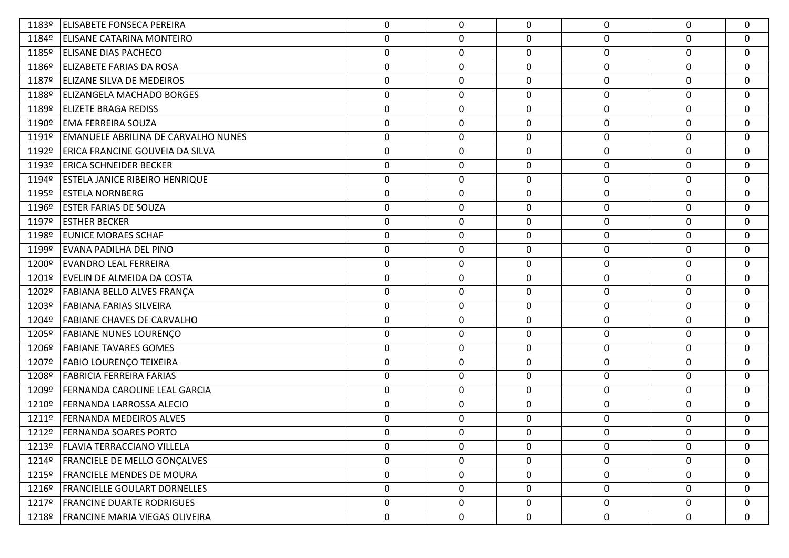| 1183º | <b>ELISABETE FONSECA PEREIRA</b>       | 0                | $\mathbf 0$ | $\Omega$    | 0                | $\Omega$     | 0                |
|-------|----------------------------------------|------------------|-------------|-------------|------------------|--------------|------------------|
| 1184º | <b>ELISANE CATARINA MONTEIRO</b>       | $\boldsymbol{0}$ | 0           | 0           | 0                | 0            | $\mathbf 0$      |
| 1185º | <b>ELISANE DIAS PACHECO</b>            | $\boldsymbol{0}$ | $\mathbf 0$ | 0           | $\boldsymbol{0}$ | $\mathbf 0$  | 0                |
| 1186º | ELIZABETE FARIAS DA ROSA               | $\boldsymbol{0}$ | 0           | 0           | $\mathbf 0$      | 0            | $\mathbf 0$      |
| 1187º | <b>ELIZANE SILVA DE MEDEIROS</b>       | $\boldsymbol{0}$ | 0           | 0           | $\mathbf 0$      | 0            | $\mathbf 0$      |
| 1188º | <b>ELIZANGELA MACHADO BORGES</b>       | $\mathbf 0$      | 0           | 0           | $\boldsymbol{0}$ | 0            | $\mathbf 0$      |
| 1189º | <b>ELIZETE BRAGA REDISS</b>            | $\boldsymbol{0}$ | 0           | 0           | $\mathbf 0$      | 0            | $\mathbf 0$      |
| 1190º | <b>EMA FERREIRA SOUZA</b>              | $\mathbf 0$      | 0           | 0           | $\mathbf 0$      | 0            | $\mathbf 0$      |
| 1191º | EMANUELE ABRILINA DE CARVALHO NUNES    | $\boldsymbol{0}$ | 0           | 0           | $\mathbf 0$      | $\mathbf 0$  | 0                |
| 1192º | <b>ERICA FRANCINE GOUVEIA DA SILVA</b> | $\boldsymbol{0}$ | 0           | 0           | $\mathbf 0$      | 0            | $\mathbf 0$      |
| 1193º | <b>ERICA SCHNEIDER BECKER</b>          | $\boldsymbol{0}$ | 0           | 0           | $\mathbf 0$      | $\mathbf 0$  | $\mathbf 0$      |
| 1194º | <b>ESTELA JANICE RIBEIRO HENRIQUE</b>  | $\boldsymbol{0}$ | 0           | 0           | $\mathbf 0$      | 0            | $\mathbf 0$      |
| 1195º | <b>ESTELA NORNBERG</b>                 | $\boldsymbol{0}$ | 0           | 0           | $\mathbf 0$      | 0            | $\mathbf 0$      |
| 1196º | <b>ESTER FARIAS DE SOUZA</b>           | $\mathbf 0$      | 0           | 0           | $\boldsymbol{0}$ | 0            | 0                |
| 1197º | <b>ESTHER BECKER</b>                   | $\boldsymbol{0}$ | 0           | 0           | $\mathbf 0$      | 0            | $\mathbf 0$      |
| 1198º | EUNICE MORAES SCHAF                    | $\mathbf 0$      | 0           | 0           | $\mathbf 0$      | 0            | $\mathbf 0$      |
| 1199º | EVANA PADILHA DEL PINO                 | 0                | 0           | 0           | $\mathbf 0$      | $\mathbf 0$  | 0                |
| 1200º | <b>EVANDRO LEAL FERREIRA</b>           | $\mathbf 0$      | 0           | 0           | $\mathbf 0$      | 0            | $\mathbf 0$      |
| 1201º | EVELIN DE ALMEIDA DA COSTA             | $\boldsymbol{0}$ | 0           | 0           | $\mathbf 0$      | 0            | $\mathbf 0$      |
|       | 1202º FABIANA BELLO ALVES FRANÇA       | $\mathbf 0$      | 0           | 0           | $\mathbf 0$      | 0            | $\mathbf 0$      |
| 1203º | <b>FABIANA FARIAS SILVEIRA</b>         | $\boldsymbol{0}$ | $\mathbf 0$ | 0           | $\mathbf 0$      | 0            | $\mathbf 0$      |
|       | 1204º   FABIANE CHAVES DE CARVALHO     | $\boldsymbol{0}$ | 0           | 0           | $\pmb{0}$        | 0            | $\mathbf 0$      |
| 1205º | <b>FABIANE NUNES LOURENÇO</b>          | $\boldsymbol{0}$ | $\mathbf 0$ | $\mathbf 0$ | $\pmb{0}$        | 0            | $\mathbf 0$      |
| 1206º | <b>FABIANE TAVARES GOMES</b>           | $\boldsymbol{0}$ | 0           | 0           | $\mathbf 0$      | 0            | $\mathbf 0$      |
| 1207º | <b>FABIO LOURENÇO TEIXEIRA</b>         | 0                | 0           | 0           | $\mathbf 0$      | 0            | 0                |
| 1208º | <b>FABRICIA FERREIRA FARIAS</b>        | $\boldsymbol{0}$ | 0           | 0           | $\mathbf 0$      | 0            | $\mathbf 0$      |
| 1209º | FERNANDA CAROLINE LEAL GARCIA          | $\boldsymbol{0}$ | 0           | 0           | $\mathbf 0$      | 0            | $\mathbf 0$      |
| 1210º | <b>FERNANDA LARROSSA ALECIO</b>        | $\boldsymbol{0}$ | 0           | 0           | $\mathbf 0$      | 0            | $\mathbf 0$      |
| 1211º | <b>FERNANDA MEDEIROS ALVES</b>         | $\boldsymbol{0}$ | $\mathbf 0$ | 0           | $\mathbf 0$      | $\Omega$     | 0                |
| 1212º | <b>FERNANDA SOARES PORTO</b>           | 0                | 0           | $\Omega$    | 0                | $\Omega$     | $\mathbf 0$      |
| 1213º | <b>FLAVIA TERRACCIANO VILLELA</b>      | 0                | 0           | 0           | $\mathbf 0$      | 0            | 0                |
| 1214º | <b>FRANCIELE DE MELLO GONÇALVES</b>    | $\mathbf 0$      | 0           | $\mathbf 0$ | $\mathbf 0$      | $\Omega$     | $\mathbf 0$      |
| 1215º | <b>FRANCIELE MENDES DE MOURA</b>       | 0                | 0           | 0           | $\boldsymbol{0}$ | $\mathbf{0}$ | 0                |
| 1216º | <b>FRANCIELLE GOULART DORNELLES</b>    | $\mathbf 0$      | 0           | $\mathbf 0$ | $\boldsymbol{0}$ | 0            | 0                |
| 1217º | <b>FRANCINE DUARTE RODRIGUES</b>       | $\mathbf 0$      | 0           | $\mathbf 0$ | $\pmb{0}$        | $\mathbf 0$  | $\mathbf 0$      |
|       | 1218º   FRANCINE MARIA VIEGAS OLIVEIRA | 0                | 0           | 0           | $\mathbf 0$      | 0            | $\boldsymbol{0}$ |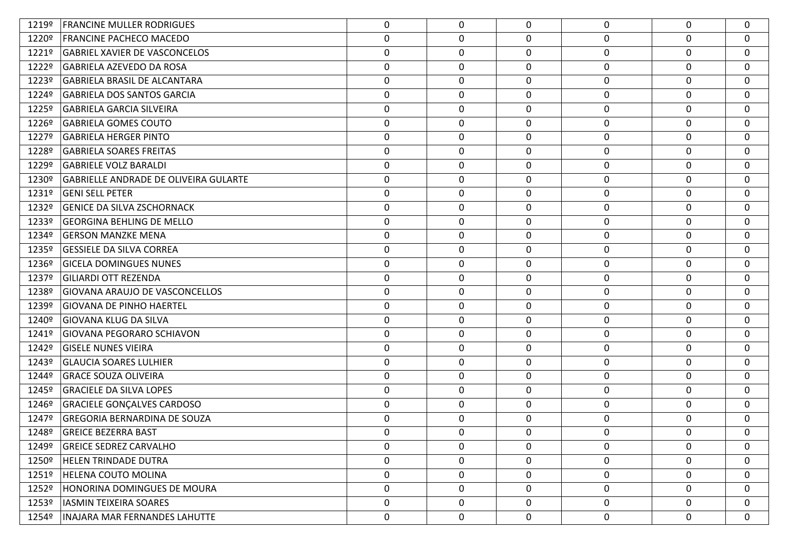| 1219º | <b>FRANCINE MULLER RODRIGUES</b>             | 0                | $\mathbf 0$ | $\Omega$ | 0                | $\mathbf{0}$ | $\Omega$    |
|-------|----------------------------------------------|------------------|-------------|----------|------------------|--------------|-------------|
| 1220º | <b>FRANCINE PACHECO MACEDO</b>               | 0                | 0           | 0        | $\mathbf 0$      | $\Omega$     | 0           |
| 1221º | <b>GABRIEL XAVIER DE VASCONCELOS</b>         | $\boldsymbol{0}$ | 0           | 0        | $\mathbf 0$      | 0            | 0           |
| 1222º | GABRIELA AZEVEDO DA ROSA                     | $\boldsymbol{0}$ | 0           | 0        | $\mathbf 0$      | 0            | 0           |
| 1223º | GABRIELA BRASIL DE ALCANTARA                 | $\boldsymbol{0}$ | 0           | 0        | $\mathbf 0$      | 0            | $\mathbf 0$ |
| 1224º | <b>GABRIELA DOS SANTOS GARCIA</b>            | $\mathbf 0$      | 0           | 0        | $\mathbf 0$      | 0            | $\mathbf 0$ |
| 1225º | <b>GABRIELA GARCIA SILVEIRA</b>              | 0                | 0           | 0        | $\mathbf 0$      | $\mathbf 0$  | 0           |
| 1226º | <b>GABRIELA GOMES COUTO</b>                  | $\boldsymbol{0}$ | 0           | 0        | $\mathbf 0$      | 0            | 0           |
| 1227º | <b>GABRIELA HERGER PINTO</b>                 | $\boldsymbol{0}$ | 0           | 0        | $\mathbf 0$      | 0            | 0           |
| 1228º | <b>GABRIELA SOARES FREITAS</b>               | $\mathbf 0$      | 0           | 0        | $\boldsymbol{0}$ | 0            | $\mathbf 0$ |
| 1229º | <b>GABRIELE VOLZ BARALDI</b>                 | $\boldsymbol{0}$ | 0           | 0        | $\mathbf 0$      | 0            | 0           |
| 1230º | <b>GABRIELLE ANDRADE DE OLIVEIRA GULARTE</b> | $\boldsymbol{0}$ | 0           | 0        | $\mathbf 0$      | 0            | 0           |
| 1231º | <b>GENI SELL PETER</b>                       | $\boldsymbol{0}$ | 0           | 0        | $\mathbf 0$      | 0            | $\mathbf 0$ |
| 1232º | <b>GENICE DA SILVA ZSCHORNACK</b>            | $\mathbf 0$      | 0           | 0        | $\mathbf 0$      | 0            | $\mathbf 0$ |
| 1233º | <b>GEORGINA BEHLING DE MELLO</b>             | $\boldsymbol{0}$ | 0           | 0        | $\mathbf 0$      | 0            | 0           |
| 1234º | <b>GERSON MANZKE MENA</b>                    | $\mathbf 0$      | 0           | 0        | $\mathbf 0$      | 0            | 0           |
| 1235º | <b>GESSIELE DA SILVA CORREA</b>              | $\boldsymbol{0}$ | $\mathbf 0$ | 0        | $\mathbf 0$      | 0            | 0           |
| 1236º | <b>GICELA DOMINGUES NUNES</b>                | $\mathbf 0$      | 0           | 0        | $\mathbf 0$      | 0            | $\mathbf 0$ |
| 1237º | <b>GILIARDI OTT REZENDA</b>                  | $\boldsymbol{0}$ | 0           | 0        | $\mathbf 0$      | 0            | 0           |
| 1238º | GIOVANA ARAUJO DE VASCONCELLOS               | $\mathbf 0$      | 0           | 0        | $\mathbf 0$      | 0            | 0           |
| 1239º | GIOVANA DE PINHO HAERTEL                     | 0                | 0           | 0        | $\mathbf 0$      | $\mathbf 0$  | $\mathbf 0$ |
| 1240º | GIOVANA KLUG DA SILVA                        | $\boldsymbol{0}$ | 0           | 0        | 0                | 0            | $\mathbf 0$ |
| 1241º | <b>GIOVANA PEGORARO SCHIAVON</b>             | 0                | 0           | 0        | $\mathbf 0$      | $\mathbf 0$  | 0           |
| 1242º | <b>GISELE NUNES VIEIRA</b>                   | 0                | 0           | 0        | $\mathbf 0$      | 0            | 0           |
| 1243º | GLAUCIA SOARES LULHIER                       | 0                | 0           | 0        | $\mathbf 0$      | 0            | 0           |
| 1244º | <b>GRACE SOUZA OLIVEIRA</b>                  | 0                | 0           | 0        | $\mathbf 0$      | $\mathbf 0$  | 0           |
| 1245º | <b>GRACIELE DA SILVA LOPES</b>               | $\boldsymbol{0}$ | 0           | 0        | $\mathbf 0$      | 0            | 0           |
| 1246º | <b>GRACIELE GONÇALVES CARDOSO</b>            | $\boldsymbol{0}$ | 0           | 0        | $\mathbf 0$      | 0            | 0           |
| 1247º | <b>GREGORIA BERNARDINA DE SOUZA</b>          | 0                | 0           | 0        | 0                | $\mathbf 0$  | $\mathbf 0$ |
| 1248º | <b>GREICE BEZERRA BAST</b>                   | 0                | 0           | $\Omega$ | $\Omega$         | $\mathbf{0}$ | $\mathbf 0$ |
| 1249º | <b>GREICE SEDREZ CARVALHO</b>                | 0                | $\mathbf 0$ | $\Omega$ | 0                | $\Omega$     | 0           |
| 1250º | <b>HELEN TRINDADE DUTRA</b>                  | 0                | 0           | 0        | 0                | $\mathbf{0}$ | $\mathbf 0$ |
| 1251º | <b>HELENA COUTO MOLINA</b>                   | 0                | 0           | 0        | 0                | $\mathbf 0$  | 0           |
| 1252º | HONORINA DOMINGUES DE MOURA                  | 0                | 0           | 0        | 0                | 0            | 0           |
| 1253º | IASMIN TEIXEIRA SOARES                       | 0                | 0           | 0        | 0                | $\mathbf 0$  | 0           |
| 1254º | INAJARA MAR FERNANDES LAHUTTE                | 0                | 0           | 0        | $\pmb{0}$        | 0            | $\mathbf 0$ |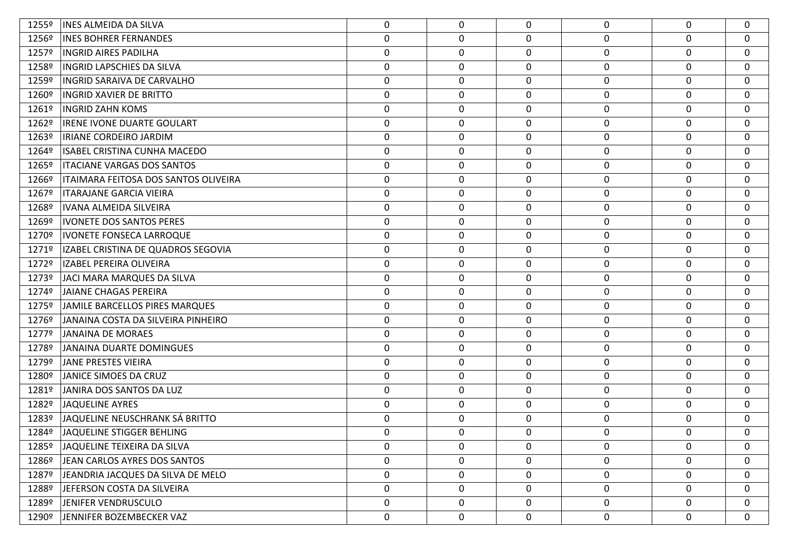| 1255º | INES ALMEIDA DA SILVA                | 0                | 0           | $\Omega$     | 0                | $\mathbf 0$  | $\Omega$         |
|-------|--------------------------------------|------------------|-------------|--------------|------------------|--------------|------------------|
| 1256º | <b>INES BOHRER FERNANDES</b>         | $\boldsymbol{0}$ | 0           | 0            | 0                | 0            | $\mathbf{0}$     |
| 1257º | INGRID AIRES PADILHA                 | $\boldsymbol{0}$ | $\mathbf 0$ | $\mathbf 0$  | 0                | 0            | $\mathbf 0$      |
| 1258º | <b>INGRID LAPSCHIES DA SILVA</b>     | $\pmb{0}$        | 0           | $\mathbf 0$  | $\boldsymbol{0}$ | 0            | $\mathbf 0$      |
| 1259º | INGRID SARAIVA DE CARVALHO           | 0                | $\mathbf 0$ | $\mathbf 0$  | 0                | $\mathbf 0$  | $\mathbf 0$      |
| 1260º | <b>INGRID XAVIER DE BRITTO</b>       | 0                | 0           | $\mathbf 0$  | 0                | 0            | $\mathbf{0}$     |
| 1261º | <b>INGRID ZAHN KOMS</b>              | 0                | $\mathbf 0$ | $\mathbf 0$  | 0                | 0            | $\mathbf 0$      |
| 1262º | IRENE IVONE DUARTE GOULART           | $\mathbf 0$      | 0           | $\mathbf 0$  | 0                | 0            | $\mathbf{0}$     |
| 1263º | IRIANE CORDEIRO JARDIM               | 0                | $\mathbf 0$ | $\mathbf 0$  | 0                | $\mathbf 0$  | $\mathbf 0$      |
| 1264º | ISABEL CRISTINA CUNHA MACEDO         | $\pmb{0}$        | 0           | $\mathbf 0$  | $\boldsymbol{0}$ | $\mathbf 0$  | $\mathbf 0$      |
| 1265º | <b>ITACIANE VARGAS DOS SANTOS</b>    | 0                | $\mathbf 0$ | $\mathbf 0$  | 0                | 0            | $\mathbf 0$      |
| 1266º | ITAIMARA FEITOSA DOS SANTOS OLIVEIRA | $\pmb{0}$        | 0           | $\mathbf 0$  | $\boldsymbol{0}$ | 0            | $\mathbf 0$      |
| 1267º | ITARAJANE GARCIA VIEIRA              | 0                | $\mathbf 0$ | 0            | 0                | $\mathbf 0$  | 0                |
| 1268º | IVANA ALMEIDA SILVEIRA               | $\pmb{0}$        | 0           | $\mathbf 0$  | $\boldsymbol{0}$ | $\mathbf 0$  | $\mathbf{0}$     |
| 1269º | <b>IVONETE DOS SANTOS PERES</b>      | 0                | $\mathbf 0$ | $\mathbf 0$  | $\mathbf 0$      | $\mathbf 0$  | $\mathbf 0$      |
| 1270º | <b>IVONETE FONSECA LARROQUE</b>      | 0                | 0           | $\mathbf 0$  | 0                | 0            | $\mathbf{0}$     |
| 1271º | IZABEL CRISTINA DE QUADROS SEGOVIA   | $\boldsymbol{0}$ | $\mathbf 0$ | $\mathbf 0$  | 0                | 0            | $\mathbf 0$      |
| 1272º | <b>IZABEL PEREIRA OLIVEIRA</b>       | $\mathbf 0$      | 0           | $\mathbf 0$  | $\boldsymbol{0}$ | $\mathbf 0$  | $\boldsymbol{0}$ |
| 1273º | JACI MARA MARQUES DA SILVA           | $\boldsymbol{0}$ | $\mathbf 0$ | $\mathbf 0$  | 0                | 0            | $\mathbf 0$      |
| 12749 | JAIANE CHAGAS PEREIRA                | $\pmb{0}$        | 0           | $\mathbf 0$  | $\boldsymbol{0}$ | 0            | $\mathbf 0$      |
| 1275º | JAMILE BARCELLOS PIRES MARQUES       | 0                | $\mathbf 0$ | $\mathbf 0$  | 0                | $\mathbf 0$  | $\mathbf{0}$     |
| 1276º | JANAINA COSTA DA SILVEIRA PINHEIRO   | $\boldsymbol{0}$ | 0           | 0            | $\pmb{0}$        | $\mathbf 0$  | $\boldsymbol{0}$ |
| 1277º | JANAINA DE MORAES                    | 0                | $\mathbf 0$ | $\mathbf 0$  | 0                | $\mathbf 0$  | $\mathbf{0}$     |
| 1278º | JANAINA DUARTE DOMINGUES             | $\pmb{0}$        | 0           | 0            | $\boldsymbol{0}$ | 0            | $\mathbf 0$      |
| 1279º | JANE PRESTES VIEIRA                  | 0                | $\mathbf 0$ | $\mathbf 0$  | 0                | $\mathbf 0$  | $\mathbf{0}$     |
| 1280º | JANICE SIMOES DA CRUZ                | $\boldsymbol{0}$ | 0           | $\mathbf 0$  | 0                | 0            | $\mathbf 0$      |
| 1281º | JANIRA DOS SANTOS DA LUZ             | $\boldsymbol{0}$ | $\mathbf 0$ | $\mathbf 0$  | $\mathbf 0$      | 0            | $\mathbf{0}$     |
| 1282º | JAQUELINE AYRES                      | $\pmb{0}$        | 0           | $\mathbf 0$  | 0                | 0            | $\mathbf{0}$     |
| 1283º | JAQUELINE NEUSCHRANK SÁ BRITTO       | 0                | $\mathbf 0$ | $\mathbf{0}$ | 0                | 0            | $\mathbf 0$      |
| 1284º | JAQUELINE STIGGER BEHLING            | 0                | 0           | $\mathbf{0}$ | 0                | $\Omega$     | 0                |
| 1285º | JAQUELINE TEIXEIRA DA SILVA          | $\mathbf{0}$     | 0           | $\Omega$     | 0                | $\Omega$     | $\mathbf 0$      |
| 1286º | JEAN CARLOS AYRES DOS SANTOS         | $\mathbf 0$      | 0           | $\mathbf 0$  | $\mathbf 0$      | $\mathbf{0}$ | $\mathbf 0$      |
| 1287º | JEANDRIA JACQUES DA SILVA DE MELO    | $\mathbf 0$      | 0           | 0            | 0                | $\mathbf 0$  | $\mathbf{0}$     |
| 1288º | JEFERSON COSTA DA SILVEIRA           | $\mathbf 0$      | 0           | $\mathbf 0$  | $\mathbf 0$      | 0            | $\mathbf 0$      |
| 1289º | JENIFER VENDRUSCULO                  | $\mathbf 0$      | 0           | 0            | 0                | $\mathbf 0$  | $\boldsymbol{0}$ |
| 1290º | JENNIFER BOZEMBECKER VAZ             | 0                | 0           | 0            | 0                | 0            | $\boldsymbol{0}$ |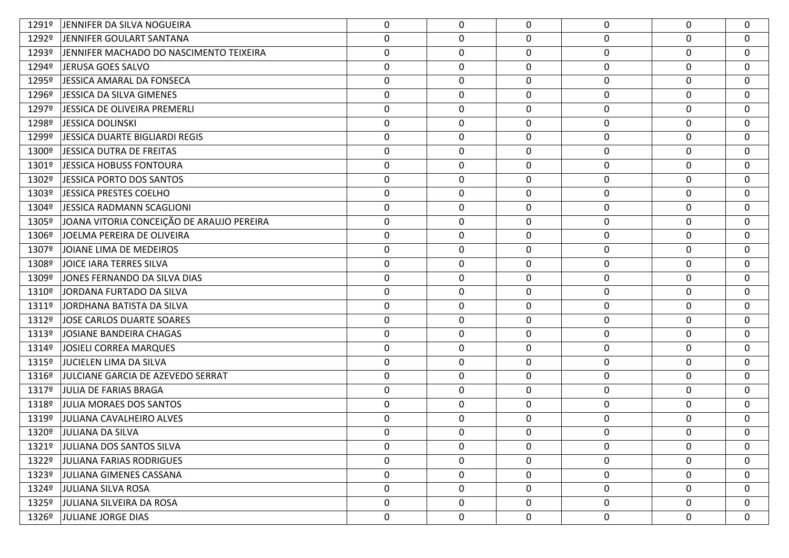| 1291º | JENNIFER DA SILVA NOGUEIRA                | 0                | $\mathbf 0$ | 0                | 0                | $\mathbf{0}$ | $\mathbf 0$ |
|-------|-------------------------------------------|------------------|-------------|------------------|------------------|--------------|-------------|
| 1292º | JENNIFER GOULART SANTANA                  | $\boldsymbol{0}$ | 0           | $\mathbf 0$      | $\boldsymbol{0}$ | 0            | $\mathbf 0$ |
| 1293º | JENNIFER MACHADO DO NASCIMENTO TEIXEIRA   | $\pmb{0}$        | 0           | $\mathbf 0$      | $\mathbf 0$      | 0            | $\mathbf 0$ |
| 1294º | JERUSA GOES SALVO                         | $\boldsymbol{0}$ | 0           | 0                | $\mathbf 0$      | 0            | $\mathbf 0$ |
| 1295º | JESSICA AMARAL DA FONSECA                 | $\boldsymbol{0}$ | $\mathbf 0$ | $\mathbf 0$      | 0                | 0            | $\mathbf 0$ |
| 1296º | JESSICA DA SILVA GIMENES                  | $\boldsymbol{0}$ | 0           | $\mathbf 0$      | $\boldsymbol{0}$ | 0            | $\mathbf 0$ |
| 1297º | JESSICA DE OLIVEIRA PREMERLI              | $\boldsymbol{0}$ | 0           | $\mathbf 0$      | 0                | 0            | $\mathbf 0$ |
| 1298º | JESSICA DOLINSKI                          | $\pmb{0}$        | 0           | $\mathbf 0$      | $\mathbf 0$      | $\mathbf 0$  | $\mathbf 0$ |
| 1299º | JESSICA DUARTE BIGLIARDI REGIS            | $\boldsymbol{0}$ | 0           | 0                | 0                | 0            | $\mathbf 0$ |
| 1300º | JESSICA DUTRA DE FREITAS                  | $\boldsymbol{0}$ | 0           | $\mathbf 0$      | $\pmb{0}$        | 0            | $\mathbf 0$ |
| 1301º | JESSICA HOBUSS FONTOURA                   | $\boldsymbol{0}$ | 0           | 0                | 0                | 0            | $\mathbf 0$ |
| 1302º | JESSICA PORTO DOS SANTOS                  | $\boldsymbol{0}$ | 0           | $\mathbf 0$      | $\mathbf 0$      | 0            | $\mathbf 0$ |
| 1303º | JESSICA PRESTES COELHO                    | $\boldsymbol{0}$ | 0           | $\mathbf 0$      | 0                | 0            | $\mathbf 0$ |
| 1304º | JESSICA RADMANN SCAGLIONI                 | $\boldsymbol{0}$ | 0           | $\mathbf 0$      | $\boldsymbol{0}$ | 0            | $\mathbf 0$ |
| 1305º | JOANA VITORIA CONCEIÇÃO DE ARAUJO PEREIRA | $\boldsymbol{0}$ | 0           | $\mathbf 0$      | $\boldsymbol{0}$ | 0            | $\mathbf 0$ |
| 1306º | JOELMA PEREIRA DE OLIVEIRA                | $\boldsymbol{0}$ | 0           | 0                | $\mathbf 0$      | 0            | $\mathbf 0$ |
| 1307º | JOIANE LIMA DE MEDEIROS                   | $\boldsymbol{0}$ | 0           | 0                | 0                | 0            | $\mathbf 0$ |
| 1308º | JOICE IARA TERRES SILVA                   | $\boldsymbol{0}$ | 0           | $\mathbf 0$      | $\boldsymbol{0}$ | $\mathbf 0$  | $\mathbf 0$ |
| 1309º | JONES FERNANDO DA SILVA DIAS              | $\boldsymbol{0}$ | 0           | $\mathbf 0$      | 0                | 0            | $\mathbf 0$ |
| 1310º | JORDANA FURTADO DA SILVA                  | $\boldsymbol{0}$ | 0           | $\mathbf 0$      | $\boldsymbol{0}$ | 0            | $\mathbf 0$ |
| 1311º | JORDHANA BATISTA DA SILVA                 | $\boldsymbol{0}$ | 0           | 0                | 0                | 0            | $\mathbf 0$ |
| 1312º | JOSE CARLOS DUARTE SOARES                 | $\boldsymbol{0}$ | 0           | $\mathbf 0$      | $\mathbf 0$      | 0            | $\mathbf 0$ |
| 1313º | JOSIANE BANDEIRA CHAGAS                   | $\boldsymbol{0}$ | 0           | $\mathbf 0$      | 0                | 0            | $\mathbf 0$ |
| 1314º | JOSIELI CORREA MARQUES                    | $\boldsymbol{0}$ | 0           | 0                | $\mathbf 0$      | 0            | $\mathbf 0$ |
| 1315º | JUCIELEN LIMA DA SILVA                    | $\boldsymbol{0}$ | 0           | $\mathbf 0$      | 0                | 0            | $\mathbf 0$ |
| 1316º | JULCIANE GARCIA DE AZEVEDO SERRAT         | $\boldsymbol{0}$ | 0           | $\mathbf 0$      | $\boldsymbol{0}$ | 0            | $\mathbf 0$ |
| 1317º | JULIA DE FARIAS BRAGA                     | $\boldsymbol{0}$ | 0           | $\mathbf 0$      | $\mathbf 0$      | 0            | $\mathbf 0$ |
| 1318º | JULIA MORAES DOS SANTOS                   | $\boldsymbol{0}$ | 0           | $\boldsymbol{0}$ | $\mathbf 0$      | 0            | $\mathbf 0$ |
| 1319º | JULIANA CAVALHEIRO ALVES                  | $\boldsymbol{0}$ | 0           | 0                | $\mathbf 0$      | 0            | $\mathbf 0$ |
| 1320º | JULIANA DA SILVA                          | $\boldsymbol{0}$ | 0           | 0                | $\mathbf 0$      | 0            | $\mathbf 0$ |
|       | 1321º JULIANA DOS SANTOS SILVA            | 0                | 0           | 0                | 0                | $\mathbf{0}$ | 0           |
|       | 1322º JULIANA FARIAS RODRIGUES            | $\mathbf 0$      | 0           | $\mathbf 0$      | $\pmb{0}$        | $\mathbf 0$  | $\mathbf 0$ |
|       | 1323º JULIANA GIMENES CASSANA             | 0                | 0           | 0                | 0                | $\mathbf{0}$ | 0           |
|       | 1324º JULIANA SILVA ROSA                  | $\mathbf 0$      | 0           | $\mathbf 0$      | $\mathbf 0$      | $\mathbf 0$  | $\mathbf 0$ |
|       | 1325º JULIANA SILVEIRA DA ROSA            | $\mathbf 0$      | 0           | $\mathbf 0$      | 0                | $\mathbf{0}$ | $\mathbf 0$ |
|       | 1326º JULIANE JORGE DIAS                  | 0                | 0           | 0                | $\mathbf 0$      | 0            | $\bf{0}$    |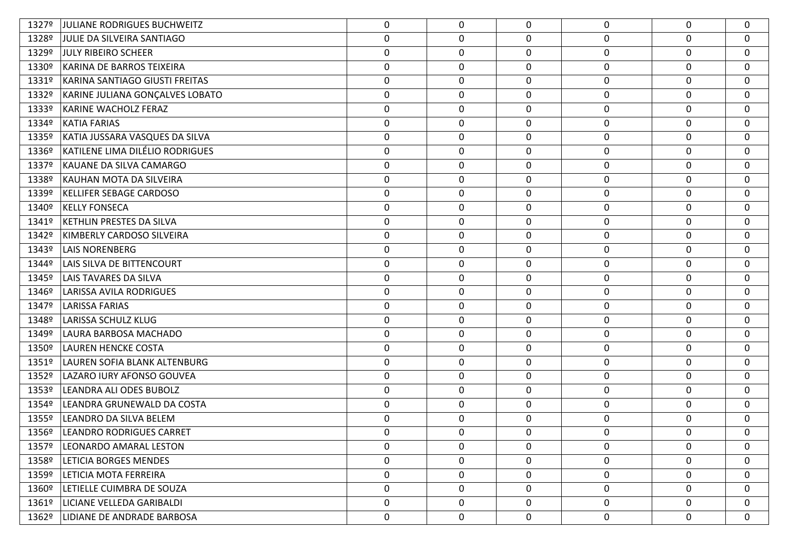| 1327º | JULIANE RODRIGUES BUCHWEITZ      | 0                | 0           | $\Omega$    | 0                | $\mathbf{0}$ | 0           |
|-------|----------------------------------|------------------|-------------|-------------|------------------|--------------|-------------|
| 1328º | JULIE DA SILVEIRA SANTIAGO       | $\boldsymbol{0}$ | 0           | 0           | 0                | 0            | $\mathbf 0$ |
| 1329º | <b>JULY RIBEIRO SCHEER</b>       | $\boldsymbol{0}$ | 0           | 0           | 0                | 0            | 0           |
| 1330º | <b>KARINA DE BARROS TEIXEIRA</b> | $\boldsymbol{0}$ | $\mathbf 0$ | 0           | 0                | 0            | $\mathbf 0$ |
| 1331º | KARINA SANTIAGO GIUSTI FREITAS   | $\boldsymbol{0}$ | 0           | 0           | 0                | 0            | $\mathbf 0$ |
| 1332º | KARINE JULIANA GONÇALVES LOBATO  | $\boldsymbol{0}$ | 0           | 0           | 0                | 0            | $\mathbf 0$ |
| 1333º | <b>KARINE WACHOLZ FERAZ</b>      | $\boldsymbol{0}$ | 0           | 0           | 0                | 0            | $\mathbf 0$ |
| 1334º | <b>KATIA FARIAS</b>              | $\boldsymbol{0}$ | 0           | 0           | $\pmb{0}$        | 0            | $\mathbf 0$ |
| 1335º | KATIA JUSSARA VASQUES DA SILVA   | $\boldsymbol{0}$ | 0           | 0           | $\pmb{0}$        | 0            | 0           |
| 1336º | KATILENE LIMA DILÉLIO RODRIGUES  | $\boldsymbol{0}$ | 0           | 0           | 0                | 0            | $\mathbf 0$ |
| 1337º | KAUANE DA SILVA CAMARGO          | $\boldsymbol{0}$ | 0           | 0           | 0                | $\mathbf 0$  | $\mathbf 0$ |
| 1338º | KAUHAN MOTA DA SILVEIRA          | $\boldsymbol{0}$ | $\mathbf 0$ | 0           | 0                | 0            | $\mathbf 0$ |
| 1339º | <b>KELLIFER SEBAGE CARDOSO</b>   | $\mathbf 0$      | 0           | 0           | 0                | 0            | 0           |
| 1340º | <b>KELLY FONSECA</b>             | $\boldsymbol{0}$ | 0           | 0           | 0                | 0            | $\mathbf 0$ |
| 1341º | KETHLIN PRESTES DA SILVA         | $\boldsymbol{0}$ | 0           | 0           | 0                | 0            | $\mathbf 0$ |
| 1342º | KIMBERLY CARDOSO SILVEIRA        | $\boldsymbol{0}$ | 0           | 0           | $\pmb{0}$        | 0            | $\mathbf 0$ |
| 1343º | <b>LAIS NORENBERG</b>            | $\boldsymbol{0}$ | $\mathbf 0$ | 0           | 0                | 0            | $\mathbf 0$ |
| 1344º | LAIS SILVA DE BITTENCOURT        | $\boldsymbol{0}$ | 0           | 0           | 0                | 0            | $\mathbf 0$ |
| 1345º | <b>LAIS TAVARES DA SILVA</b>     | $\boldsymbol{0}$ | $\mathbf 0$ | $\mathbf 0$ | 0                | 0            | $\mathbf 0$ |
| 1346º | LARISSA AVILA RODRIGUES          | $\boldsymbol{0}$ | $\mathbf 0$ | 0           | 0                | 0            | $\mathbf 0$ |
| 1347º | LARISSA FARIAS                   | 0                | 0           | 0           | $\mathbf 0$      | $\mathbf 0$  | 0           |
| 1348º | LARISSA SCHULZ KLUG              | $\boldsymbol{0}$ | 0           | 0           | 0                | 0            | $\mathbf 0$ |
| 1349º | LAURA BARBOSA MACHADO            | $\boldsymbol{0}$ | 0           | 0           | $\pmb{0}$        | 0            | $\mathbf 0$ |
| 1350º | LAUREN HENCKE COSTA              | $\boldsymbol{0}$ | $\mathbf 0$ | 0           | 0                | 0            | $\mathbf 0$ |
| 1351º | LAUREN SOFIA BLANK ALTENBURG     | 0                | 0           | 0           | $\mathbf 0$      | 0            | $\mathbf 0$ |
| 1352º | LAZARO IURY AFONSO GOUVEA        | $\boldsymbol{0}$ | 0           | 0           | 0                | 0            | $\mathbf 0$ |
| 1353º | LEANDRA ALI ODES BUBOLZ          | $\boldsymbol{0}$ | $\mathbf 0$ | $\mathbf 0$ | $\pmb{0}$        | 0            | $\mathbf 0$ |
| 1354º | LEANDRA GRUNEWALD DA COSTA       | $\boldsymbol{0}$ | $\mathbf 0$ | 0           | 0                | 0            | $\mathbf 0$ |
| 1355º | LEANDRO DA SILVA BELEM           | $\boldsymbol{0}$ | $\mathbf 0$ | 0           | $\pmb{0}$        | $\Omega$     | 0           |
| 1356º | LEANDRO RODRIGUES CARRET         | $\mathbf 0$      | 0           | 0           | 0                | $\Omega$     | $\mathbf 0$ |
| 1357º | LEONARDO AMARAL LESTON           | 0                | 0           | 0           | $\mathbf 0$      | $\Omega$     | 0           |
| 1358º | <b>LETICIA BORGES MENDES</b>     | $\mathbf 0$      | 0           | 0           | 0                | 0            | $\mathbf 0$ |
| 1359º | LETICIA MOTA FERREIRA            | 0                | 0           | 0           | $\boldsymbol{0}$ | 0            | 0           |
| 1360º | LETIELLE CUIMBRA DE SOUZA        | $\boldsymbol{0}$ | 0           | 0           | 0                | 0            | 0           |
| 1361º | LICIANE VELLEDA GARIBALDI        | 0                | 0           | 0           | 0                | 0            | 0           |
| 1362º | LIDIANE DE ANDRADE BARBOSA       | 0                | 0           | 0           | $\pmb{0}$        | 0            | 0           |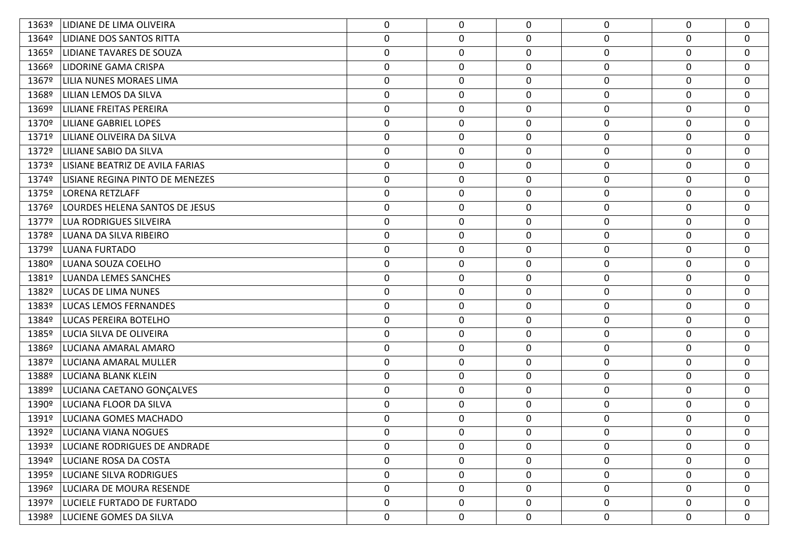| 1363º | LIDIANE DE LIMA OLIVEIRA            | 0                | 0           | 0           | 0                | $\Omega$ | 0           |
|-------|-------------------------------------|------------------|-------------|-------------|------------------|----------|-------------|
| 1364º | <b>LIDIANE DOS SANTOS RITTA</b>     | $\boldsymbol{0}$ | 0           | 0           | 0                | 0        | $\mathbf 0$ |
| 1365º | LIDIANE TAVARES DE SOUZA            | $\boldsymbol{0}$ | 0           | 0           | 0                | 0        | $\mathbf 0$ |
| 1366º | <b>LIDORINE GAMA CRISPA</b>         | $\boldsymbol{0}$ | 0           | 0           | $\pmb{0}$        | 0        | $\mathbf 0$ |
| 1367º | LILIA NUNES MORAES LIMA             | $\boldsymbol{0}$ | 0           | 0           | $\boldsymbol{0}$ | 0        | $\mathbf 0$ |
| 1368º | LILIAN LEMOS DA SILVA               | $\boldsymbol{0}$ | 0           | 0           | $\pmb{0}$        | 0        | 0           |
| 1369º | <b>LILIANE FREITAS PEREIRA</b>      | $\boldsymbol{0}$ | 0           | 0           | $\pmb{0}$        | 0        | $\mathbf 0$ |
| 1370º | <b>LILIANE GABRIEL LOPES</b>        | $\boldsymbol{0}$ | $\mathbf 0$ | 0           | $\pmb{0}$        | 0        | $\mathbf 0$ |
| 1371º | LILIANE OLIVEIRA DA SILVA           | $\boldsymbol{0}$ | 0           | 0           | $\boldsymbol{0}$ | 0        | $\mathbf 0$ |
| 1372º | <b>LILIANE SABIO DA SILVA</b>       | $\boldsymbol{0}$ | 0           | 0           | $\pmb{0}$        | 0        | $\mathbf 0$ |
| 1373º | LISIANE BEATRIZ DE AVILA FARIAS     | $\boldsymbol{0}$ | 0           | 0           | $\pmb{0}$        | 0        | $\mathbf 0$ |
| 1374º | LISIANE REGINA PINTO DE MENEZES     | $\boldsymbol{0}$ | 0           | 0           | $\boldsymbol{0}$ | 0        | $\mathbf 0$ |
| 1375º | LORENA RETZLAFF                     | $\boldsymbol{0}$ | 0           | 0           | $\boldsymbol{0}$ | 0        | $\mathbf 0$ |
| 1376º | LOURDES HELENA SANTOS DE JESUS      | $\boldsymbol{0}$ | 0           | 0           | $\pmb{0}$        | 0        | 0           |
| 1377º | <b>LUA RODRIGUES SILVEIRA</b>       | $\boldsymbol{0}$ | 0           | 0           | $\pmb{0}$        | 0        | $\mathbf 0$ |
| 1378º | LUANA DA SILVA RIBEIRO              | $\boldsymbol{0}$ | 0           | 0           | $\pmb{0}$        | 0        | $\mathbf 0$ |
| 1379º | LUANA FURTADO                       | 0                | 0           | 0           | $\mathbf 0$      | 0        | 0           |
| 1380º | LUANA SOUZA COELHO                  | $\boldsymbol{0}$ | 0           | 0           | $\pmb{0}$        | 0        | $\mathbf 0$ |
| 1381º | <b>LUANDA LEMES SANCHES</b>         | $\boldsymbol{0}$ | 0           | 0           | $\pmb{0}$        | 0        | $\mathbf 0$ |
| 1382º | <b>LUCAS DE LIMA NUNES</b>          | $\boldsymbol{0}$ | $\mathbf 0$ | 0           | $\pmb{0}$        | 0        | $\mathbf 0$ |
| 1383º | <b>LUCAS LEMOS FERNANDES</b>        | $\boldsymbol{0}$ | 0           | 0           | 0                | 0        | $\mathbf 0$ |
| 1384º | <b>LUCAS PEREIRA BOTELHO</b>        | $\boldsymbol{0}$ | 0           | 0           | $\pmb{0}$        | 0        | 0           |
| 1385º | LUCIA SILVA DE OLIVEIRA             | $\boldsymbol{0}$ | 0           | 0           | 0                | 0        | $\mathbf 0$ |
| 1386º | LUCIANA AMARAL AMARO                | $\boldsymbol{0}$ | 0           | 0           | $\pmb{0}$        | 0        | $\mathbf 0$ |
| 1387º | LUCIANA AMARAL MULLER               | $\boldsymbol{0}$ | 0           | 0           | $\boldsymbol{0}$ | 0        | $\mathbf 0$ |
| 1388º | LUCIANA BLANK KLEIN                 | $\boldsymbol{0}$ | 0           | 0           | $\pmb{0}$        | 0        | 0           |
| 1389º | LUCIANA CAETANO GONÇALVES           | $\boldsymbol{0}$ | 0           | 0           | $\pmb{0}$        | 0        | $\mathbf 0$ |
| 1390º | LUCIANA FLOOR DA SILVA              | $\boldsymbol{0}$ | 0           | 0           | $\pmb{0}$        | 0        | $\mathbf 0$ |
| 1391º | LUCIANA GOMES MACHADO               | $\boldsymbol{0}$ | 0           | 0           | $\mathbf 0$      | 0        | $\mathbf 0$ |
| 1392º | LUCIANA VIANA NOGUES                | $\boldsymbol{0}$ | $\mathbf 0$ | 0           | 0                | 0        | $\mathbf 0$ |
| 1393º | <b>LUCIANE RODRIGUES DE ANDRADE</b> | 0                | 0           | 0           | 0                | $\Omega$ | 0           |
|       | 1394º   LUCIANE ROSA DA COSTA       | $\mathbf 0$      | 0           | 0           | $\pmb{0}$        | 0        | 0           |
| 1395º | <b>LUCIANE SILVA RODRIGUES</b>      | 0                | 0           | $\mathbf 0$ | 0                | 0        | 0           |
|       | 1396º   LUCIARA DE MOURA RESENDE    | $\mathbf 0$      | 0           | 0           | $\pmb{0}$        | 0        | $\mathbf 0$ |
|       | 1397º   LUCIELE FURTADO DE FURTADO  | 0                | 0           | 0           | 0                | 0        | 0           |
|       | 1398º   LUCIENE GOMES DA SILVA      | 0                | 0           | 0           | $\mathbf 0$      | 0        | 0           |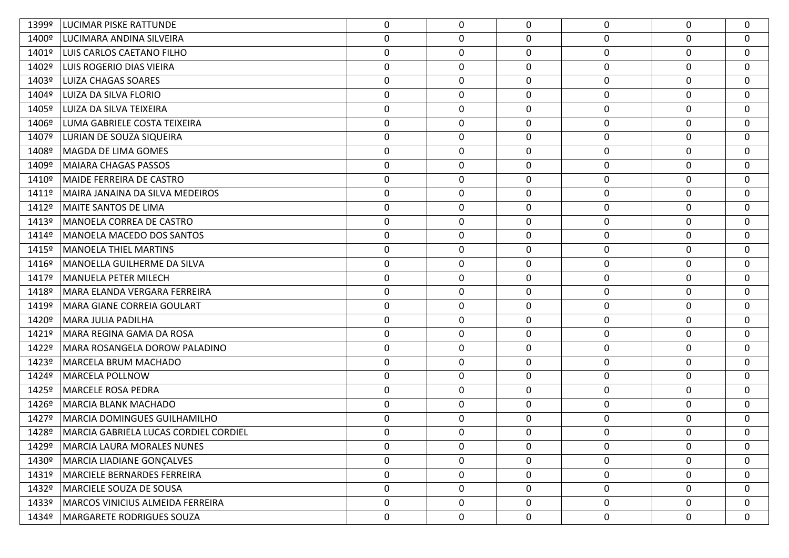| 1399º | LUCIMAR PISKE RATTUNDE                | 0                | 0           | $\Omega$    | $\mathbf 0$      | $\mathbf 0$ | $\Omega$         |
|-------|---------------------------------------|------------------|-------------|-------------|------------------|-------------|------------------|
| 1400º | LUCIMARA ANDINA SILVEIRA              | $\boldsymbol{0}$ | 0           | 0           | 0                | 0           | $\mathbf{0}$     |
| 1401º | LUIS CARLOS CAETANO FILHO             | $\boldsymbol{0}$ | 0           | 0           | 0                | 0           | $\mathbf 0$      |
| 1402º | LUIS ROGERIO DIAS VIEIRA              | $\pmb{0}$        | 0           | 0           | $\boldsymbol{0}$ | 0           | $\mathbf 0$      |
| 1403º | LUIZA CHAGAS SOARES                   | 0                | $\mathbf 0$ | 0           | 0                | $\mathbf 0$ | $\mathbf 0$      |
| 1404º | LUIZA DA SILVA FLORIO                 | 0                | 0           | 0           | 0                | 0           | $\mathbf{0}$     |
| 1405º | LUIZA DA SILVA TEIXEIRA               | 0                | $\mathbf 0$ | $\mathbf 0$ | 0                | $\mathbf 0$ | $\mathbf 0$      |
| 1406º | LUMA GABRIELE COSTA TEIXEIRA          | $\mathbf 0$      | 0           | 0           | 0                | 0           | $\mathbf{0}$     |
| 1407º | LURIAN DE SOUZA SIQUEIRA              | 0                | $\mathbf 0$ | 0           | 0                | $\mathbf 0$ | $\mathbf 0$      |
| 1408º | MAGDA DE LIMA GOMES                   | $\pmb{0}$        | 0           | 0           | $\boldsymbol{0}$ | $\mathbf 0$ | 0                |
| 1409º | MAIARA CHAGAS PASSOS                  | 0                | $\mathbf 0$ | $\mathbf 0$ | 0                | 0           | $\mathbf 0$      |
| 1410º | MAIDE FERREIRA DE CASTRO              | $\pmb{0}$        | 0           | 0           | $\boldsymbol{0}$ | 0           | $\mathbf 0$      |
| 1411º | MAIRA JANAINA DA SILVA MEDEIROS       | 0                | $\mathbf 0$ | 0           | 0                | $\mathbf 0$ | 0                |
| 1412º | <b>MAITE SANTOS DE LIMA</b>           | $\boldsymbol{0}$ | 0           | 0           | 0                | $\mathbf 0$ | $\mathbf{0}$     |
| 1413º | MANOELA CORREA DE CASTRO              | 0                | $\mathbf 0$ | $\mathbf 0$ | 0                | $\mathbf 0$ | $\mathbf 0$      |
| 1414º | MANOELA MACEDO DOS SANTOS             | $\boldsymbol{0}$ | 0           | $\mathbf 0$ | 0                | 0           | $\mathbf{0}$     |
| 1415º | MANOELA THIEL MARTINS                 | 0                | $\mathbf 0$ | 0           | 0                | 0           | $\mathbf 0$      |
| 1416º | MANOELLA GUILHERME DA SILVA           | $\pmb{0}$        | 0           | 0           | $\boldsymbol{0}$ | $\mathbf 0$ | $\mathbf 0$      |
| 1417º | MANUELA PETER MILECH                  | $\boldsymbol{0}$ | $\mathbf 0$ | $\mathbf 0$ | 0                | $\mathbf 0$ | $\mathbf 0$      |
| 1418º | MARA ELANDA VERGARA FERREIRA          | $\pmb{0}$        | 0           | 0           | $\boldsymbol{0}$ | 0           | $\mathbf 0$      |
| 1419º | MARA GIANE CORREIA GOULART            | 0                | $\mathbf 0$ | $\mathbf 0$ | 0                | $\mathbf 0$ | $\mathbf{0}$     |
| 1420º | MARA JULIA PADILHA                    | $\boldsymbol{0}$ | 0           | 0           | $\boldsymbol{0}$ | $\mathbf 0$ | $\mathbf 0$      |
| 1421º | MARA REGINA GAMA DA ROSA              | 0                | $\mathbf 0$ | $\mathbf 0$ | 0                | $\mathbf 0$ | $\mathbf{0}$     |
| 1422º | MARA ROSANGELA DOROW PALADINO         | $\pmb{0}$        | 0           | 0           | $\boldsymbol{0}$ | 0           | $\mathbf 0$      |
| 1423º | MARCELA BRUM MACHADO                  | 0                | $\mathbf 0$ | $\mathbf 0$ | 0                | $\mathbf 0$ | $\mathbf{0}$     |
| 1424º | MARCELA POLLNOW                       | $\boldsymbol{0}$ | 0           | 0           | 0                | 0           | $\mathbf 0$      |
| 1425º | <b>MARCELE ROSA PEDRA</b>             | $\boldsymbol{0}$ | $\mathbf 0$ | $\mathbf 0$ | 0                | 0           | $\mathbf{0}$     |
| 1426º | MARCIA BLANK MACHADO                  | $\pmb{0}$        | 0           | 0           | 0                | 0           | $\mathbf{0}$     |
| 1427º | MARCIA DOMINGUES GUILHAMILHO          | 0                | $\mathbf 0$ | 0           | 0                | 0           | $\mathbf 0$      |
| 1428º | MARCIA GABRIELA LUCAS CORDIEL CORDIEL | 0                | 0           | $\Omega$    | 0                | $\Omega$    | 0                |
| 1429º | <b>MARCIA LAURA MORALES NUNES</b>     | 0                | $\mathbf 0$ | $\Omega$    | 0                | 0           | 0                |
| 1430º | MARCIA LIADIANE GONÇALVES             | $\mathbf 0$      | 0           | $\mathbf 0$ | $\mathbf 0$      | 0           | $\mathbf 0$      |
| 1431º | <b>MARCIELE BERNARDES FERREIRA</b>    | $\mathbf 0$      | 0           | 0           | 0                | 0           | $\mathbf 0$      |
| 1432º | MARCIELE SOUZA DE SOUSA               | $\boldsymbol{0}$ | 0           | $\mathbf 0$ | $\mathbf 0$      | 0           | $\mathbf 0$      |
| 1433º | MARCOS VINICIUS ALMEIDA FERREIRA      | 0                | $\mathbf 0$ | 0           | 0                | $\mathbf 0$ | $\mathbf 0$      |
| 1434º | MARGARETE RODRIGUES SOUZA             | 0                | 0           | 0           | 0                | 0           | $\boldsymbol{0}$ |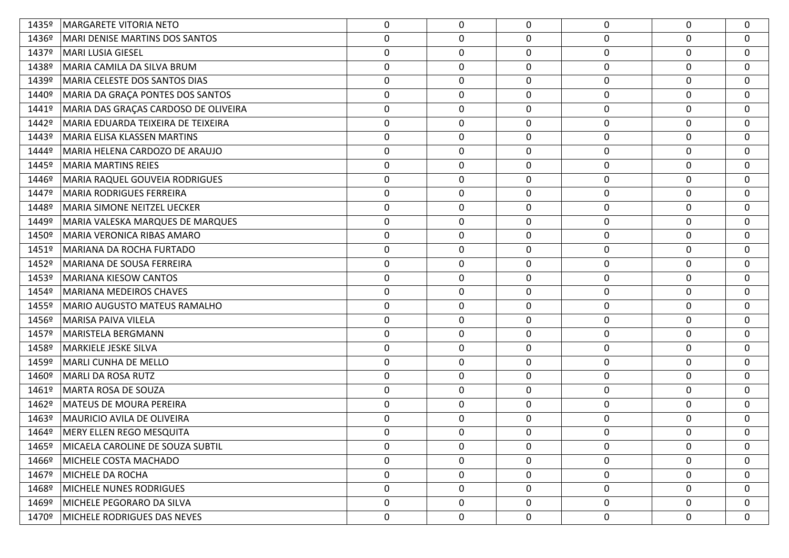| 1435º | <b>MARGARETE VITORIA NETO</b>           | 0                | 0           | $\Omega$     | 0                | 0           | $\mathbf 0$      |
|-------|-----------------------------------------|------------------|-------------|--------------|------------------|-------------|------------------|
| 1436º | MARI DENISE MARTINS DOS SANTOS          | $\pmb{0}$        | 0           | 0            | 0                | 0           | $\mathbf 0$      |
| 1437º | <b>MARI LUSIA GIESEL</b>                | $\boldsymbol{0}$ | $\mathbf 0$ | 0            | 0                | 0           | $\mathbf 0$      |
| 1438º | MARIA CAMILA DA SILVA BRUM              | $\pmb{0}$        | 0           | 0            | $\boldsymbol{0}$ | 0           | $\mathbf 0$      |
| 1439º | MARIA CELESTE DOS SANTOS DIAS           | $\mathbf 0$      | $\mathbf 0$ | 0            | 0                | $\mathbf 0$ | $\mathbf 0$      |
| 1440º | MARIA DA GRAÇA PONTES DOS SANTOS        | $\mathbf 0$      | 0           | 0            | 0                | 0           | 0                |
| 1441º | MARIA DAS GRAÇAS CARDOSO DE OLIVEIRA    | $\boldsymbol{0}$ | $\mathbf 0$ | 0            | 0                | 0           | $\mathbf 0$      |
| 1442º | MARIA EDUARDA TEIXEIRA DE TEIXEIRA      | $\mathbf 0$      | 0           | 0            | 0                | 0           | $\mathbf 0$      |
| 1443º | MARIA ELISA KLASSEN MARTINS             | 0                | $\mathbf 0$ | 0            | 0                | $\mathbf 0$ | $\mathbf 0$      |
| 1444º | MARIA HELENA CARDOZO DE ARAUJO          | $\pmb{0}$        | 0           | 0            | $\boldsymbol{0}$ | 0           | 0                |
| 1445° | MARIA MARTINS REIES                     | 0                | 0           | 0            | 0                | 0           | $\mathbf 0$      |
| 1446º | MARIA RAQUEL GOUVEIA RODRIGUES          | $\pmb{0}$        | 0           | 0            | $\boldsymbol{0}$ | 0           | $\mathbf 0$      |
| 1447º | MARIA RODRIGUES FERREIRA                | $\mathbf 0$      | $\mathbf 0$ | 0            | 0                | $\mathbf 0$ | $\mathbf 0$      |
| 1448º | MARIA SIMONE NEITZEL UECKER             | $\pmb{0}$        | 0           | $\mathbf 0$  | $\boldsymbol{0}$ | $\mathbf 0$ | $\mathbf 0$      |
| 1449º | <b>MARIA VALESKA MARQUES DE MARQUES</b> | 0                | $\mathbf 0$ | 0            | 0                | $\mathbf 0$ | $\mathbf 0$      |
| 1450º | MARIA VERONICA RIBAS AMARO              | $\pmb{0}$        | 0           | 0            | $\boldsymbol{0}$ | 0           | $\mathbf 0$      |
| 1451º | MARIANA DA ROCHA FURTADO                | $\boldsymbol{0}$ | $\mathbf 0$ | 0            | $\boldsymbol{0}$ | 0           | $\mathbf 0$      |
| 1452º | MARIANA DE SOUSA FERREIRA               | $\pmb{0}$        | 0           | 0            | $\boldsymbol{0}$ | $\mathbf 0$ | 0                |
| 1453º | <b>MARIANA KIESOW CANTOS</b>            | $\boldsymbol{0}$ | $\mathbf 0$ | $\mathbf 0$  | $\boldsymbol{0}$ | 0           | $\mathbf 0$      |
| 1454º | MARIANA MEDEIROS CHAVES                 | $\pmb{0}$        | 0           | 0            | $\boldsymbol{0}$ | 0           | $\mathbf 0$      |
| 1455º | MARIO AUGUSTO MATEUS RAMALHO            | 0                | 0           | 0            | 0                | $\mathbf 0$ | $\mathbf 0$      |
| 1456º | MARISA PAIVA VILELA                     | $\pmb{0}$        | 0           | $\mathbf 0$  | $\pmb{0}$        | 0           | $\mathbf 0$      |
| 1457º | MARISTELA BERGMANN                      | 0                | 0           | 0            | 0                | 0           | $\mathbf 0$      |
| 1458º | MARKIELE JESKE SILVA                    | $\pmb{0}$        | 0           | $\mathbf 0$  | $\boldsymbol{0}$ | 0           | $\mathbf 0$      |
| 1459º | MARLI CUNHA DE MELLO                    | 0                | $\mathbf 0$ | $\mathbf 0$  | 0                | 0           | $\mathbf 0$      |
| 1460º | MARLI DA ROSA RUTZ                      | $\pmb{0}$        | 0           | $\mathbf 0$  | $\boldsymbol{0}$ | 0           | $\mathbf 0$      |
| 1461º | MARTA ROSA DE SOUZA                     | $\boldsymbol{0}$ | $\mathbf 0$ | 0            | $\boldsymbol{0}$ | 0           | $\mathbf 0$      |
| 1462º | MATEUS DE MOURA PEREIRA                 | $\pmb{0}$        | 0           | 0            | 0                | 0           | $\mathbf 0$      |
| 1463º | <b>MAURICIO AVILA DE OLIVEIRA</b>       | $\mathbf 0$      | $\mathbf 0$ | $\mathbf{0}$ | $\boldsymbol{0}$ | 0           | $\mathbf 0$      |
| 1464º | MERY ELLEN REGO MESQUITA                | 0                | 0           | $\Omega$     | $\mathbf 0$      | $\Omega$    | 0                |
| 1465º | MICAELA CAROLINE DE SOUZA SUBTIL        | 0                | 0           | $\Omega$     | $\mathbf 0$      | $\Omega$    | $\mathbf 0$      |
| 1466º | MICHELE COSTA MACHADO                   | 0                | 0           | $\mathbf 0$  | $\mathbf 0$      | 0           | $\mathbf 0$      |
| 1467º | MICHELE DA ROCHA                        | $\mathbf 0$      | 0           | 0            | 0                | 0           | $\mathbf 0$      |
| 1468º | MICHELE NUNES RODRIGUES                 | $\boldsymbol{0}$ | 0           | $\mathbf 0$  | $\mathbf 0$      | 0           | $\mathbf 0$      |
| 1469º | MICHELE PEGORARO DA SILVA               | $\mathbf 0$      | 0           | 0            | 0                | $\mathbf 0$ | $\mathbf 0$      |
| 1470º | MICHELE RODRIGUES DAS NEVES             | 0                | 0           | $\mathbf 0$  | 0                | 0           | $\boldsymbol{0}$ |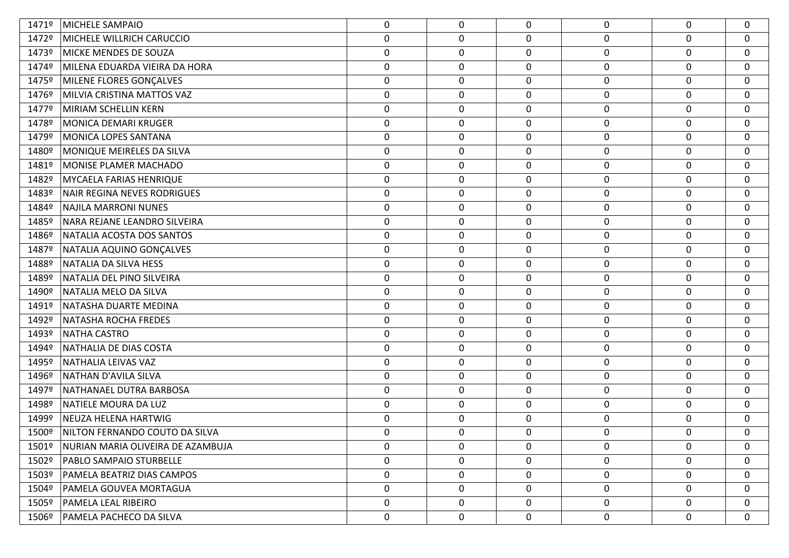| 1471º | MICHELE SAMPAIO                   | 0                | 0           | $\Omega$         | 0                | 0           | $\mathbf 0$      |
|-------|-----------------------------------|------------------|-------------|------------------|------------------|-------------|------------------|
| 1472º | MICHELE WILLRICH CARUCCIO         | $\pmb{0}$        | 0           | $\mathbf 0$      | $\pmb{0}$        | $\mathbf 0$ | $\mathbf 0$      |
| 1473º | MICKE MENDES DE SOUZA             | $\pmb{0}$        | $\mathbf 0$ | $\mathbf 0$      | $\boldsymbol{0}$ | $\mathbf 0$ | $\mathbf 0$      |
| 1474º | MILENA EDUARDA VIEIRA DA HORA     | $\pmb{0}$        | 0           | $\mathbf 0$      | $\pmb{0}$        | 0           | $\mathbf 0$      |
| 1475º | MILENE FLORES GONÇALVES           | $\boldsymbol{0}$ | $\mathbf 0$ | $\mathbf 0$      | $\boldsymbol{0}$ | 0           | $\mathbf 0$      |
| 1476º | MILVIA CRISTINA MATTOS VAZ        | $\pmb{0}$        | $\mathbf 0$ | $\mathbf 0$      | $\pmb{0}$        | $\mathbf 0$ | $\mathbf 0$      |
| 1477º | MIRIAM SCHELLIN KERN              | $\boldsymbol{0}$ | $\mathbf 0$ | $\boldsymbol{0}$ | $\pmb{0}$        | 0           | $\mathbf 0$      |
| 1478º | MONICA DEMARI KRUGER              | $\pmb{0}$        | 0           | $\mathbf 0$      | $\boldsymbol{0}$ | $\mathbf 0$ | $\mathbf 0$      |
| 1479º | MONICA LOPES SANTANA              | $\boldsymbol{0}$ | $\mathbf 0$ | $\mathbf 0$      | 0                | 0           | $\mathbf 0$      |
| 1480º | MONIQUE MEIRELES DA SILVA         | $\pmb{0}$        | 0           | $\mathbf 0$      | $\pmb{0}$        | $\mathbf 0$ | $\mathbf 0$      |
| 1481º | MONISE PLAMER MACHADO             | $\boldsymbol{0}$ | $\mathbf 0$ | $\mathbf 0$      | $\boldsymbol{0}$ | 0           | $\mathbf 0$      |
| 1482º | MYCAELA FARIAS HENRIQUE           | $\pmb{0}$        | 0           | $\mathbf 0$      | $\pmb{0}$        | $\mathbf 0$ | $\mathbf 0$      |
| 1483º | NAIR REGINA NEVES RODRIGUES       | $\boldsymbol{0}$ | $\mathbf 0$ | $\mathbf 0$      | $\boldsymbol{0}$ | 0           | $\mathbf 0$      |
| 1484º | NAJILA MARRONI NUNES              | $\pmb{0}$        | 0           | $\mathbf 0$      | $\pmb{0}$        | $\mathbf 0$ | $\boldsymbol{0}$ |
| 1485º | NARA REJANE LEANDRO SILVEIRA      | $\pmb{0}$        | $\mathbf 0$ | $\boldsymbol{0}$ | $\boldsymbol{0}$ | $\mathbf 0$ | $\mathbf 0$      |
| 1486º | NATALIA ACOSTA DOS SANTOS         | $\boldsymbol{0}$ | 0           | $\mathbf 0$      | $\boldsymbol{0}$ | 0           | $\mathbf 0$      |
| 1487º | NATALIA AQUINO GONÇALVES          | $\boldsymbol{0}$ | $\mathbf 0$ | $\mathbf 0$      | 0                | 0           | $\mathbf 0$      |
| 1488º | NATALIA DA SILVA HESS             | $\pmb{0}$        | 0           | $\pmb{0}$        | $\pmb{0}$        | $\mathbf 0$ | $\mathbf 0$      |
| 1489º | NATALIA DEL PINO SILVEIRA         | $\boldsymbol{0}$ | $\mathbf 0$ | $\mathbf 0$      | $\pmb{0}$        | $\mathbf 0$ | $\mathbf 0$      |
| 1490º | NATALIA MELO DA SILVA             | $\pmb{0}$        | 0           | $\mathbf 0$      | $\boldsymbol{0}$ | $\mathbf 0$ | $\mathbf 0$      |
| 1491º | NATASHA DUARTE MEDINA             | $\boldsymbol{0}$ | $\mathbf 0$ | $\mathbf 0$      | $\boldsymbol{0}$ | 0           | $\mathbf 0$      |
| 1492º | NATASHA ROCHA FREDES              | $\pmb{0}$        | 0           | $\boldsymbol{0}$ | $\pmb{0}$        | $\mathbf 0$ | $\mathbf 0$      |
| 1493º | <b>NATHA CASTRO</b>               | $\boldsymbol{0}$ | $\mathbf 0$ | $\mathbf 0$      | $\boldsymbol{0}$ | $\mathbf 0$ | 0                |
| 1494º | NATHALIA DE DIAS COSTA            | $\pmb{0}$        | 0           | $\mathbf 0$      | $\boldsymbol{0}$ | 0           | $\mathbf 0$      |
| 1495º | NATHALIA LEIVAS VAZ               | $\boldsymbol{0}$ | $\mathbf 0$ | $\mathbf 0$      | $\boldsymbol{0}$ | 0           | $\mathbf 0$      |
| 1496º | NATHAN D'AVILA SILVA              | $\pmb{0}$        | 0           | $\mathbf 0$      | $\pmb{0}$        | $\mathbf 0$ | $\mathbf 0$      |
| 1497º | NATHANAEL DUTRA BARBOSA           | $\boldsymbol{0}$ | $\mathbf 0$ | $\boldsymbol{0}$ | $\boldsymbol{0}$ | $\mathbf 0$ | $\mathbf 0$      |
| 1498º | NATIELE MOURA DA LUZ              | $\pmb{0}$        | 0           | $\mathbf 0$      | $\boldsymbol{0}$ | 0           | $\mathbf 0$      |
| 1499º | NEUZA HELENA HARTWIG              | $\boldsymbol{0}$ | $\mathbf 0$ | 0                | 0                | 0           | 0                |
| 1500º | NILTON FERNANDO COUTO DA SILVA    | $\mathbf 0$      | 0           | $\mathbf 0$      | $\mathbf 0$      | $\mathbf 0$ | $\mathbf 0$      |
| 1501º | NURIAN MARIA OLIVEIRA DE AZAMBUJA | $\mathbf 0$      | 0           | $\mathbf{0}$     | 0                | $\mathbf 0$ | $\mathbf 0$      |
| 1502º | <b>PABLO SAMPAIO STURBELLE</b>    | 0                | 0           | $\mathbf 0$      | $\pmb{0}$        | 0           | $\mathbf 0$      |
| 1503º | PAMELA BEATRIZ DIAS CAMPOS        | $\mathbf 0$      | 0           | 0                | 0                | $\mathbf 0$ | $\mathbf 0$      |
| 1504º | PAMELA GOUVEA MORTAGUA            | 0                | 0           | 0                | 0                | 0           | $\mathbf 0$      |
| 1505º | <b>PAMELA LEAL RIBEIRO</b>        | 0                | $\mathbf 0$ | 0                | 0                | $\mathbf 0$ | 0                |
| 1506º | <b>PAMELA PACHECO DA SILVA</b>    | 0                | 0           | 0                | 0                | 0           | $\boldsymbol{0}$ |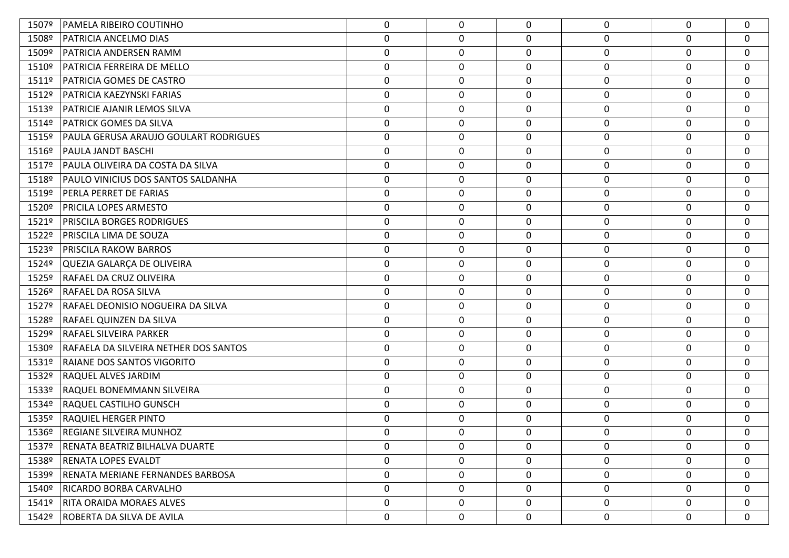| 1507º             | PAMELA RIBEIRO COUTINHO                   | 0                | 0                | $\Omega$     | 0                | $\Omega$     | 0           |
|-------------------|-------------------------------------------|------------------|------------------|--------------|------------------|--------------|-------------|
| 1508º             | PATRICIA ANCELMO DIAS                     | $\pmb{0}$        | 0                | 0            | 0                | 0            | $\mathbf 0$ |
| 1509º             | PATRICIA ANDERSEN RAMM                    | $\boldsymbol{0}$ | $\mathbf 0$      | 0            | 0                | $\mathbf 0$  | 0           |
| 1510º             | PATRICIA FERREIRA DE MELLO                | $\boldsymbol{0}$ | $\boldsymbol{0}$ | 0            | 0                | 0            | 0           |
| 1511º             | PATRICIA GOMES DE CASTRO                  | 0                | $\mathbf 0$      | 0            | $\boldsymbol{0}$ | $\mathbf 0$  | 0           |
| 1512º             | PATRICIA KAEZYNSKI FARIAS                 | $\boldsymbol{0}$ | 0                | 0            | 0                | 0            | $\mathbf 0$ |
| 1513º             | PATRICIE AJANIR LEMOS SILVA               | $\boldsymbol{0}$ | $\mathbf 0$      | $\mathbf 0$  | 0                | $\mathbf 0$  | $\mathbf 0$ |
| 1514º             | <b>PATRICK GOMES DA SILVA</b>             | $\boldsymbol{0}$ | $\pmb{0}$        | 0            | $\boldsymbol{0}$ | $\mathbf 0$  | $\mathbf 0$ |
| 1515º             | PAULA GERUSA ARAUJO GOULART RODRIGUES     | 0                | $\mathbf 0$      | 0            | 0                | $\mathbf 0$  | 0           |
| 1516º             | <b>PAULA JANDT BASCHI</b>                 | $\pmb{0}$        | 0                | 0            | 0                | 0            | $\mathbf 0$ |
| 1517º             | PAULA OLIVEIRA DA COSTA DA SILVA          | $\boldsymbol{0}$ | $\mathbf 0$      | 0            | 0                | $\mathbf 0$  | 0           |
| 1518º             | <b>PAULO VINICIUS DOS SANTOS SALDANHA</b> | $\boldsymbol{0}$ | $\boldsymbol{0}$ | 0            | 0                | 0            | 0           |
| 1519º             | PERLA PERRET DE FARIAS                    | 0                | $\mathbf 0$      | 0            | 0                | $\mathbf 0$  | 0           |
| 1520º             | <b>PRICILA LOPES ARMESTO</b>              | $\pmb{0}$        | 0                | $\mathbf 0$  | 0                | 0            | $\mathbf 0$ |
| 1521º             | <b>PRISCILA BORGES RODRIGUES</b>          | $\boldsymbol{0}$ | $\mathbf 0$      | $\mathbf 0$  | 0                | $\mathbf 0$  | $\mathbf 0$ |
| 1522º             | <b>PRISCILA LIMA DE SOUZA</b>             | $\pmb{0}$        | $\pmb{0}$        | 0            | 0                | $\mathbf 0$  | $\mathbf 0$ |
| 1523º             | <b>PRISCILA RAKOW BARROS</b>              | $\boldsymbol{0}$ | $\mathbf 0$      | 0            | 0                | 0            | 0           |
| 1524º             | QUEZIA GALARÇA DE OLIVEIRA                | $\pmb{0}$        | 0                | 0            | 0                | $\mathbf 0$  | $\mathbf 0$ |
| 1525º             | <b>RAFAEL DA CRUZ OLIVEIRA</b>            | $\boldsymbol{0}$ | $\mathbf 0$      | $\mathbf 0$  | 0                | 0            | $\mathbf 0$ |
| 1526º             | <b>RAFAEL DA ROSA SILVA</b>               | $\boldsymbol{0}$ | $\boldsymbol{0}$ | 0            | 0                | 0            | $\mathbf 0$ |
| 1527º             | RAFAEL DEONISIO NOGUEIRA DA SILVA         | 0                | $\mathbf 0$      | 0            | 0                | $\mathbf 0$  | 0           |
| 1528º             | <b>RAFAEL QUINZEN DA SILVA</b>            | $\pmb{0}$        | $\pmb{0}$        | 0            | 0                | 0            | $\mathbf 0$ |
| 1529º             | <b>RAFAEL SILVEIRA PARKER</b>             | $\boldsymbol{0}$ | $\mathbf 0$      | 0            | 0                | 0            | $\mathbf 0$ |
| 1530º             | RAFAELA DA SILVEIRA NETHER DOS SANTOS     | $\boldsymbol{0}$ | $\boldsymbol{0}$ | 0            | 0                | 0            | 0           |
| 1531º             | <b>RAIANE DOS SANTOS VIGORITO</b>         | 0                | $\mathbf 0$      | 0            | 0                | 0            | 0           |
| 1532º             | <b>RAQUEL ALVES JARDIM</b>                | $\boldsymbol{0}$ | 0                | 0            | 0                | 0            | $\mathbf 0$ |
| 1533º             | RAQUEL BONEMMANN SILVEIRA                 | $\boldsymbol{0}$ | $\mathbf 0$      | $\mathbf 0$  | $\boldsymbol{0}$ | 0            | $\mathbf 0$ |
| 1534º             | <b>RAQUEL CASTILHO GUNSCH</b>             | $\boldsymbol{0}$ | $\boldsymbol{0}$ | 0            | 0                | 0            | $\mathbf 0$ |
| 1535º             | <b>RAQUIEL HERGER PINTO</b>               | 0                | $\mathbf 0$      | 0            | $\boldsymbol{0}$ | $\mathbf{0}$ | 0           |
| 1536 <sup>o</sup> | <b>REGIANE SILVEIRA MUNHOZ</b>            | 0                | $\mathbf 0$      | 0            | 0                | $\Omega$     | $\mathbf 0$ |
| 1537º             | RENATA BEATRIZ BILHALVA DUARTE            | 0                | $\mathbf 0$      | $\mathbf{0}$ | 0                | $\Omega$     | 0           |
| 1538º             | <b>RENATA LOPES EVALDT</b>                | 0                | 0                | $\mathbf 0$  | 0                | $\Omega$     | $\mathbf 0$ |
| 1539º             | RENATA MERIANE FERNANDES BARBOSA          | 0                | 0                | 0            | 0                | $\mathbf 0$  | 0           |
| 1540º             | RICARDO BORBA CARVALHO                    | $\mathbf 0$      | $\mathbf 0$      | $\mathbf 0$  | 0                | 0            | 0           |
| 1541º             | <b>RITA ORAIDA MORAES ALVES</b>           | $\mathbf 0$      | 0                | 0            | 0                | $\mathbf 0$  | 0           |
| 1542º             | ROBERTA DA SILVA DE AVILA                 | 0                | 0                | 0            | 0                | 0            | 0           |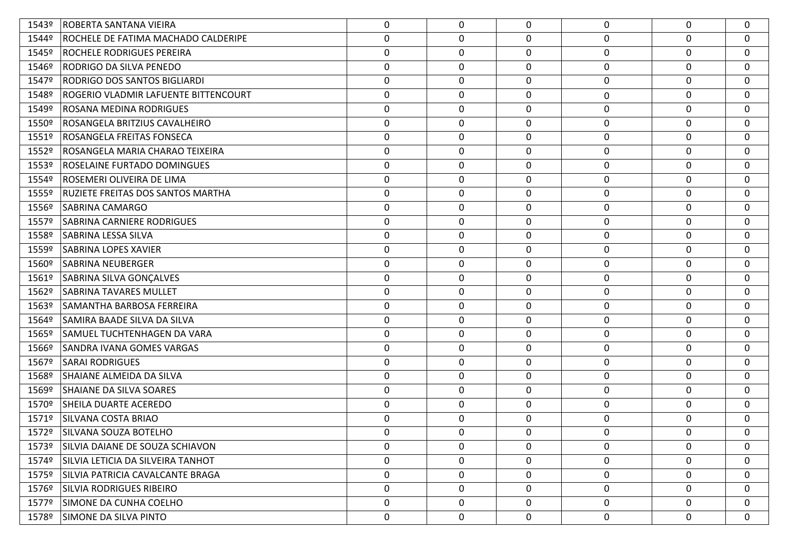| 1543º | ROBERTA SANTANA VIEIRA                  | 0                | 0 | $\mathbf{0}$ | $\mathbf 0$      | $\mathbf 0$ | $\mathbf 0$      |
|-------|-----------------------------------------|------------------|---|--------------|------------------|-------------|------------------|
| 1544º | ROCHELE DE FATIMA MACHADO CALDERIPE     | 0                | 0 | $\mathbf 0$  | $\boldsymbol{0}$ | $\mathbf 0$ | $\mathbf 0$      |
| 1545° | ROCHELE RODRIGUES PEREIRA               | $\mathbf 0$      | 0 | 0            | $\boldsymbol{0}$ | 0           | $\mathbf 0$      |
| 1546º | RODRIGO DA SILVA PENEDO                 | 0                | 0 | 0            | 0                | 0           | $\mathbf 0$      |
| 1547º | <b>RODRIGO DOS SANTOS BIGLIARDI</b>     | $\mathbf 0$      | 0 | $\mathbf 0$  | 0                | 0           | $\mathbf 0$      |
| 1548º | ROGERIO VLADMIR LAFUENTE BITTENCOURT    | 0                | 0 | 0            | $\boldsymbol{0}$ | $\mathbf 0$ | $\mathbf 0$      |
| 1549º | ROSANA MEDINA RODRIGUES                 | 0                | 0 | 0            | 0                | 0           | 0                |
| 1550º | ROSANGELA BRITZIUS CAVALHEIRO           | $\boldsymbol{0}$ | 0 | $\mathbf 0$  | $\boldsymbol{0}$ | 0           | $\mathbf 0$      |
| 1551º | ROSANGELA FREITAS FONSECA               | 0                | 0 | 0            | 0                | 0           | $\mathbf 0$      |
| 1552º | ROSANGELA MARIA CHARAO TEIXEIRA         | 0                | 0 | $\mathbf 0$  | $\pmb{0}$        | $\mathbf 0$ | $\mathbf 0$      |
| 1553º | ROSELAINE FURTADO DOMINGUES             | 0                | 0 | 0            | 0                | 0           | $\mathbf 0$      |
| 1554º | ROSEMERI OLIVEIRA DE LIMA               | $\mathbf 0$      | 0 | 0            | $\boldsymbol{0}$ | 0           | $\mathbf 0$      |
| 1555º | RUZIETE FREITAS DOS SANTOS MARTHA       | 0                | 0 | 0            | 0                | 0           | $\mathbf 0$      |
| 1556º | <b>SABRINA CAMARGO</b>                  | 0                | 0 | 0            | $\boldsymbol{0}$ | 0           | $\mathbf 0$      |
| 1557º | <b>SABRINA CARNIERE RODRIGUES</b>       | $\mathbf 0$      | 0 | 0            | $\boldsymbol{0}$ | 0           | $\mathbf 0$      |
| 1558º | SABRINA LESSA SILVA                     | 0                | 0 | 0            | 0                | 0           | $\mathbf 0$      |
| 1559º | <b>SABRINA LOPES XAVIER</b>             | 0                | 0 | 0            | 0                | $\mathbf 0$ | $\mathbf 0$      |
| 1560º | <b>SABRINA NEUBERGER</b>                | $\boldsymbol{0}$ | 0 | $\mathbf 0$  | $\boldsymbol{0}$ | 0           | $\mathbf 0$      |
| 1561º | SABRINA SILVA GONÇALVES                 | 0                | 0 | 0            | 0                | 0           | 0                |
| 1562º | <b>SABRINA TAVARES MULLET</b>           | $\boldsymbol{0}$ | 0 | $\mathbf 0$  | $\boldsymbol{0}$ | 0           | $\mathbf 0$      |
| 1563º | SAMANTHA BARBOSA FERREIRA               | 0                | 0 | 0            | 0                | 0           | $\mathbf 0$      |
| 1564º | SAMIRA BAADE SILVA DA SILVA             | $\boldsymbol{0}$ | 0 | $\mathbf 0$  | $\boldsymbol{0}$ | 0           | $\mathbf 0$      |
| 1565º | SAMUEL TUCHTENHAGEN DA VARA             | $\mathbf 0$      | 0 | 0            | 0                | 0           | $\mathbf 0$      |
| 1566º | <b>SANDRA IVANA GOMES VARGAS</b>        | 0                | 0 | 0            | $\mathbf 0$      | 0           | $\mathbf 0$      |
| 1567º | <b>SARAI RODRIGUES</b>                  | $\mathbf 0$      | 0 | 0            | 0                | 0           | $\mathbf{0}$     |
| 1568º | SHAIANE ALMEIDA DA SILVA                | 0                | 0 | 0            | $\boldsymbol{0}$ | $\mathbf 0$ | $\mathbf 0$      |
| 1569º | <b>SHAIANE DA SILVA SOARES</b>          | $\mathbf 0$      | 0 | 0            | 0                | 0           | $\mathbf 0$      |
| 1570º | <b>SHEILA DUARTE ACEREDO</b>            | $\boldsymbol{0}$ | 0 | 0            | $\mathbf 0$      | 0           | $\mathbf{0}$     |
| 1571º | SILVANA COSTA BRIAO                     | 0                | 0 | $\mathbf{0}$ | 0                | 0           | $\mathbf 0$      |
| 1572º | SILVANA SOUZA BOTELHO                   | 0                | 0 | $\Omega$     | 0                | $\mathbf 0$ | $\mathbf 0$      |
|       | 1573º SILVIA DAIANE DE SOUZA SCHIAVON   | 0                | 0 | $\mathbf{0}$ | 0                | $\mathbf 0$ | $\mathbf 0$      |
|       | 1574º SILVIA LETICIA DA SILVEIRA TANHOT | 0                | 0 | 0            | $\mathbf 0$      | 0           | $\mathbf 0$      |
|       | 1575º SILVIA PATRICIA CAVALCANTE BRAGA  | 0                | 0 | 0            | $\mathbf 0$      | 0           | $\mathbf 0$      |
|       | 1576º SILVIA RODRIGUES RIBEIRO          | 0                | 0 | 0            | $\boldsymbol{0}$ | $\mathbf 0$ | $\boldsymbol{0}$ |
|       | 1577º SIMONE DA CUNHA COELHO            | 0                | 0 | 0            | $\mathbf 0$      | $\mathbf 0$ | $\boldsymbol{0}$ |
|       | 1578º SIMONE DA SILVA PINTO             | 0                | 0 | 0            | $\boldsymbol{0}$ | 0           | $\boldsymbol{0}$ |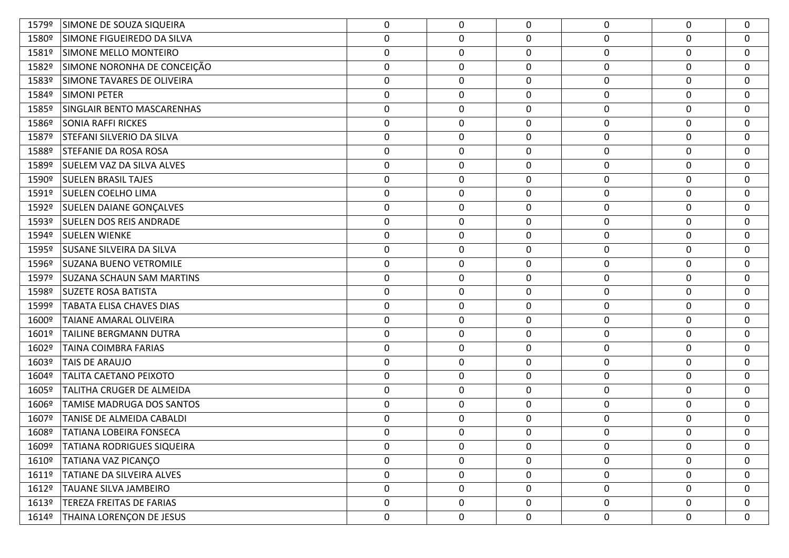| 1579º             | SIMONE DE SOUZA SIQUEIRA         | 0                | 0           | $\mathbf{0}$     | 0                | 0           | 0                |
|-------------------|----------------------------------|------------------|-------------|------------------|------------------|-------------|------------------|
| 1580º             | SIMONE FIGUEIREDO DA SILVA       | $\pmb{0}$        | 0           | $\mathbf 0$      | $\pmb{0}$        | 0           | $\mathbf 0$      |
| 1581º             | SIMONE MELLO MONTEIRO            | $\boldsymbol{0}$ | 0           | 0                | $\boldsymbol{0}$ | $\mathbf 0$ | 0                |
| 1582º             | SIMONE NORONHA DE CONCEIÇÃO      | $\pmb{0}$        | 0           | $\mathbf 0$      | $\boldsymbol{0}$ | $\mathbf 0$ | $\mathbf 0$      |
| 1583º             | SIMONE TAVARES DE OLIVEIRA       | $\pmb{0}$        | $\mathbf 0$ | 0                | 0                | $\mathbf 0$ | $\mathbf 0$      |
| 1584º             | <b>SIMONI PETER</b>              | $\pmb{0}$        | 0           | $\boldsymbol{0}$ | $\pmb{0}$        | $\mathbf 0$ | $\mathbf 0$      |
| 1585º             | SINGLAIR BENTO MASCARENHAS       | $\boldsymbol{0}$ | $\mathbf 0$ | $\boldsymbol{0}$ | $\boldsymbol{0}$ | $\mathbf 0$ | $\mathbf 0$      |
| 1586º             | <b>SONIA RAFFI RICKES</b>        | $\pmb{0}$        | 0           | 0                | $\boldsymbol{0}$ | 0           | $\mathbf 0$      |
| 1587º             | <b>STEFANI SILVERIO DA SILVA</b> | $\boldsymbol{0}$ | $\mathbf 0$ | 0                | 0                | 0           | $\mathbf 0$      |
| 1588º             | STEFANIE DA ROSA ROSA            | $\pmb{0}$        | 0           | $\boldsymbol{0}$ | $\pmb{0}$        | $\mathbf 0$ | $\mathbf 0$      |
| 1589 <sup>o</sup> | <b>SUELEM VAZ DA SILVA ALVES</b> | $\boldsymbol{0}$ | $\mathbf 0$ | $\mathbf 0$      | $\boldsymbol{0}$ | $\mathbf 0$ | 0                |
| 1590º             | <b>SUELEN BRASIL TAJES</b>       | $\pmb{0}$        | 0           | $\mathbf 0$      | $\boldsymbol{0}$ | $\mathbf 0$ | $\mathbf 0$      |
| 1591º             | <b>SUELEN COELHO LIMA</b>        | $\mathbf 0$      | $\mathbf 0$ | 0                | 0                | 0           | $\mathbf 0$      |
| 1592 <sup>o</sup> | <b>SUELEN DAIANE GONÇALVES</b>   | $\pmb{0}$        | 0           | $\boldsymbol{0}$ | $\pmb{0}$        | $\mathbf 0$ | $\mathbf 0$      |
| 1593º             | <b>SUELEN DOS REIS ANDRADE</b>   | $\pmb{0}$        | $\mathbf 0$ | $\boldsymbol{0}$ | $\boldsymbol{0}$ | $\mathbf 0$ | $\mathbf 0$      |
| 1594º             | <b>SUELEN WIENKE</b>             | $\pmb{0}$        | 0           | 0                | $\pmb{0}$        | $\mathbf 0$ | $\mathbf 0$      |
| 1595º             | <b>SUSANE SILVEIRA DA SILVA</b>  | $\boldsymbol{0}$ | $\mathbf 0$ | $\mathbf 0$      | $\boldsymbol{0}$ | 0           | $\mathbf 0$      |
| 1596 <sup>o</sup> | <b>SUZANA BUENO VETROMILE</b>    | $\pmb{0}$        | 0           | $\boldsymbol{0}$ | $\pmb{0}$        | $\mathbf 0$ | 0                |
| 1597º             | <b>SUZANA SCHAUN SAM MARTINS</b> | $\boldsymbol{0}$ | $\mathbf 0$ | $\mathbf 0$      | $\boldsymbol{0}$ | $\mathbf 0$ | $\mathbf 0$      |
| 1598º             | <b>SUZETE ROSA BATISTA</b>       | $\pmb{0}$        | 0           | $\mathbf 0$      | $\boldsymbol{0}$ | $\mathbf 0$ | $\mathbf 0$      |
| 1599º             | <b>TABATA ELISA CHAVES DIAS</b>  | 0                | $\mathbf 0$ | 0                | 0                | 0           | $\mathbf 0$      |
| 1600º             | TAIANE AMARAL OLIVEIRA           | $\pmb{0}$        | 0           | $\boldsymbol{0}$ | $\pmb{0}$        | $\mathbf 0$ | $\mathbf 0$      |
| 1601º             | TAILINE BERGMANN DUTRA           | $\pmb{0}$        | $\pmb{0}$   | $\mathbf 0$      | $\boldsymbol{0}$ | $\mathbf 0$ | $\mathbf 0$      |
| 1602º             | TAINA COIMBRA FARIAS             | $\pmb{0}$        | 0           | $\mathbf 0$      | $\boldsymbol{0}$ | 0           | $\mathbf 0$      |
| 1603º             | TAIS DE ARAUJO                   | 0                | $\mathbf 0$ | 0                | 0                | 0           | $\mathbf 0$      |
| 1604º             | TALITA CAETANO PEIXOTO           | $\pmb{0}$        | 0           | $\mathbf 0$      | $\pmb{0}$        | 0           | $\mathbf 0$      |
| 1605º             | TALITHA CRUGER DE ALMEIDA        | $\boldsymbol{0}$ | $\mathbf 0$ | $\boldsymbol{0}$ | $\boldsymbol{0}$ | $\mathbf 0$ | $\mathbf 0$      |
| 1606º             | TAMISE MADRUGA DOS SANTOS        | $\pmb{0}$        | 0           | $\mathbf 0$      | $\boldsymbol{0}$ | 0           | $\mathbf 0$      |
| 1607º             | TANISE DE ALMEIDA CABALDI        | $\pmb{0}$        | $\mathbf 0$ | $\mathbf 0$      | $\boldsymbol{0}$ | 0           | $\mathbf 0$      |
| 1608º             | <b>TATIANA LOBEIRA FONSECA</b>   | $\mathbf 0$      | 0           | 0                | $\mathbf 0$      | 0           | $\mathbf 0$      |
| 1609º             | TATIANA RODRIGUES SIQUEIRA       | 0                | $\mathbf 0$ | $\Omega$         | 0                | 0           | 0                |
| 1610º             | TATIANA VAZ PICANÇO              | $\boldsymbol{0}$ | 0           | $\mathbf 0$      | $\pmb{0}$        | 0           | $\mathbf 0$      |
| 1611º             | TATIANE DA SILVEIRA ALVES        | $\mathbf 0$      | $\mathbf 0$ | 0                | 0                | 0           | $\boldsymbol{0}$ |
| 1612º             | TAUANE SILVA JAMBEIRO            | $\boldsymbol{0}$ | 0           | $\mathbf 0$      | $\pmb{0}$        | 0           | $\mathbf 0$      |
| 1613º             | TEREZA FREITAS DE FARIAS         | 0                | 0           | 0                | $\pmb{0}$        | 0           | $\boldsymbol{0}$ |
| 1614º             | THAINA LORENÇON DE JESUS         | $\pmb{0}$        | 0           | 0                | $\pmb{0}$        | 0           | 0                |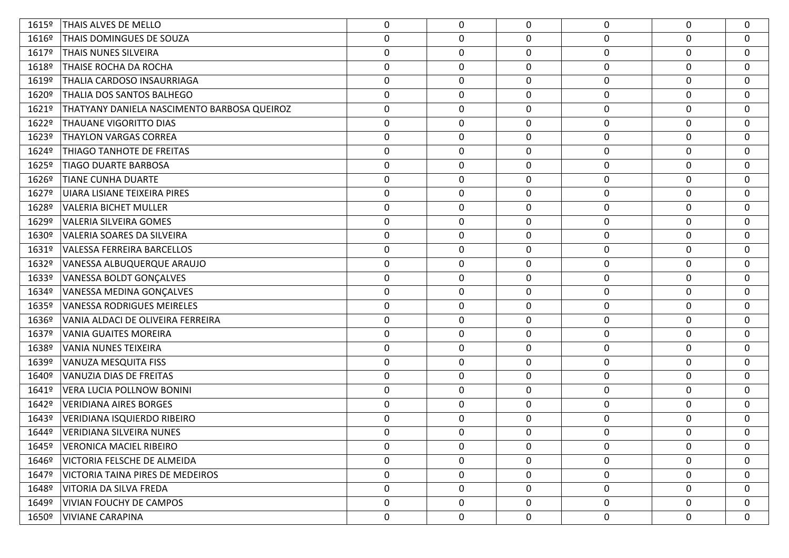| 1615º             | THAIS ALVES DE MELLO                        | 0                | 0           | $\Omega$         | 0                | 0                | $\mathbf 0$  |
|-------------------|---------------------------------------------|------------------|-------------|------------------|------------------|------------------|--------------|
| 1616 <sup>o</sup> | THAIS DOMINGUES DE SOUZA                    | $\pmb{0}$        | 0           | 0                | $\boldsymbol{0}$ | $\mathbf 0$      | $\mathbf 0$  |
| 1617º             | <b>THAIS NUNES SILVEIRA</b>                 | $\boldsymbol{0}$ | 0           | $\mathbf 0$      | $\mathbf 0$      | $\boldsymbol{0}$ | 0            |
| 1618º             | THAISE ROCHA DA ROCHA                       | $\boldsymbol{0}$ | 0           | 0                | $\mathbf 0$      | $\mathbf 0$      | $\mathbf 0$  |
| 1619º             | THALIA CARDOSO INSAURRIAGA                  | $\boldsymbol{0}$ | $\mathbf 0$ | 0                | $\mathbf 0$      | $\boldsymbol{0}$ | $\mathbf 0$  |
| 1620º             | THALIA DOS SANTOS BALHEGO                   | $\pmb{0}$        | 0           | 0                | $\mathbf 0$      | $\boldsymbol{0}$ | 0            |
| 1621º             | THATYANY DANIELA NASCIMENTO BARBOSA QUEIROZ | $\boldsymbol{0}$ | $\mathbf 0$ | $\mathbf 0$      | $\mathbf 0$      | $\mathbf 0$      | $\mathbf 0$  |
| 1622º             | THAUANE VIGORITTO DIAS                      | $\pmb{0}$        | 0           | 0                | $\mathbf 0$      | $\boldsymbol{0}$ | 0            |
| 1623º             | <b>THAYLON VARGAS CORREA</b>                | $\boldsymbol{0}$ | $\mathbf 0$ | 0                | $\mathbf 0$      | $\mathbf 0$      | $\mathbf 0$  |
| 1624º             | THIAGO TANHOTE DE FREITAS                   | $\boldsymbol{0}$ | 0           | 0                | $\boldsymbol{0}$ | $\boldsymbol{0}$ | 0            |
| 1625º             | <b>TIAGO DUARTE BARBOSA</b>                 | $\boldsymbol{0}$ | 0           | $\mathbf 0$      | $\mathbf 0$      | $\mathbf 0$      | 0            |
| 1626º             | <b>TIANE CUNHA DUARTE</b>                   | $\mathbf 0$      | 0           | 0                | $\mathbf 0$      | $\mathbf 0$      | $\mathbf 0$  |
| 1627º             | UIARA LISIANE TEIXEIRA PIRES                | $\boldsymbol{0}$ | 0           | 0                | $\mathbf 0$      | 0                | $\mathbf 0$  |
| 1628º             | <b>VALERIA BICHET MULLER</b>                | $\pmb{0}$        | 0           | 0                | $\mathbf 0$      | $\boldsymbol{0}$ | $\mathbf 0$  |
| 1629º             | <b>VALERIA SILVEIRA GOMES</b>               | $\pmb{0}$        | $\mathbf 0$ | $\mathbf 0$      | $\mathbf 0$      | $\boldsymbol{0}$ | $\mathbf 0$  |
| 1630º             | VALERIA SOARES DA SILVEIRA                  | $\pmb{0}$        | 0           | 0                | $\mathbf 0$      | $\boldsymbol{0}$ | $\mathbf 0$  |
| 1631º             | <b>VALESSA FERREIRA BARCELLOS</b>           | $\boldsymbol{0}$ | $\mathbf 0$ | $\mathbf 0$      | $\mathbf 0$      | 0                | $\mathbf 0$  |
| 1632º             | VANESSA ALBUQUERQUE ARAUJO                  | $\boldsymbol{0}$ | 0           | 0                | $\boldsymbol{0}$ | $\boldsymbol{0}$ | 0            |
| 1633º             | VANESSA BOLDT GONÇALVES                     | $\boldsymbol{0}$ | $\mathbf 0$ | $\mathbf 0$      | $\mathbf 0$      | 0                | $\mathbf 0$  |
| 1634º             | VANESSA MEDINA GONÇALVES                    | $\mathbf 0$      | 0           | 0                | $\mathbf 0$      | $\boldsymbol{0}$ | $\mathbf 0$  |
| 1635º             | <b>VANESSA RODRIGUES MEIRELES</b>           | 0                | $\mathbf 0$ | 0                | $\mathbf 0$      | $\mathbf 0$      | $\mathbf 0$  |
| 1636º             | VANIA ALDACI DE OLIVEIRA FERREIRA           | $\pmb{0}$        | 0           | $\boldsymbol{0}$ | $\pmb{0}$        | 0                | $\mathbf 0$  |
| 1637º             | <b>VANIA GUAITES MOREIRA</b>                | $\boldsymbol{0}$ | 0           | $\mathbf 0$      | $\mathbf 0$      | 0                | $\mathbf 0$  |
| 1638º             | <b>VANIA NUNES TEIXEIRA</b>                 | $\boldsymbol{0}$ | 0           | 0                | $\boldsymbol{0}$ | 0                | $\mathbf 0$  |
| 1639º             | VANUZA MESQUITA FISS                        | 0                | $\mathbf 0$ | 0                | $\mathbf 0$      | 0                | $\mathbf 0$  |
| 1640°             | VANUZIA DIAS DE FREITAS                     | $\boldsymbol{0}$ | 0           | $\mathbf 0$      | $\boldsymbol{0}$ | 0                | $\mathbf 0$  |
| 1641º             | VERA LUCIA POLLNOW BONINI                   | $\boldsymbol{0}$ | $\mathbf 0$ | $\mathbf 0$      | $\mathbf 0$      | 0                | $\mathbf 0$  |
| 1642º             | <b>VERIDIANA AIRES BORGES</b>               | $\mathbf 0$      | 0           | 0                | $\mathbf 0$      | 0                | $\mathbf 0$  |
| 1643º             | <b>VERIDIANA ISQUIERDO RIBEIRO</b>          | $\boldsymbol{0}$ | $\mathbf 0$ | 0                | $\mathbf 0$      | 0                | $\mathbf 0$  |
| 1644º             | <b>VERIDIANA SILVEIRA NUNES</b>             | $\mathbf 0$      | 0           | $\Omega$         | 0                | 0                | 0            |
| 1645º             | <b>VERONICA MACIEL RIBEIRO</b>              | $\mathbf{0}$     | 0           | $\Omega$         | $\mathbf 0$      | $\mathbf{0}$     | $\mathbf 0$  |
| 1646º             | VICTORIA FELSCHE DE ALMEIDA                 | $\mathbf 0$      | 0           | $\Omega$         | $\mathbf 0$      | 0                | $\mathbf 0$  |
| 1647º             | VICTORIA TAINA PIRES DE MEDEIROS            | 0                | 0           | 0                | $\boldsymbol{0}$ | 0                | $\mathbf{0}$ |
| 1648º             | VITORIA DA SILVA FREDA                      | 0                | 0           | $\Omega$         | $\mathbf 0$      | 0                | $\mathbf 0$  |
| 1649º             | <b>VIVIAN FOUCHY DE CAMPOS</b>              | 0                | 0           | 0                | $\mathbf 0$      | $\mathbf 0$      | $\mathbf{0}$ |
| $1650^{\circ}$    | <b>VIVIANE CARAPINA</b>                     | 0                | 0           | 0                | $\boldsymbol{0}$ | 0                | $\mathbf 0$  |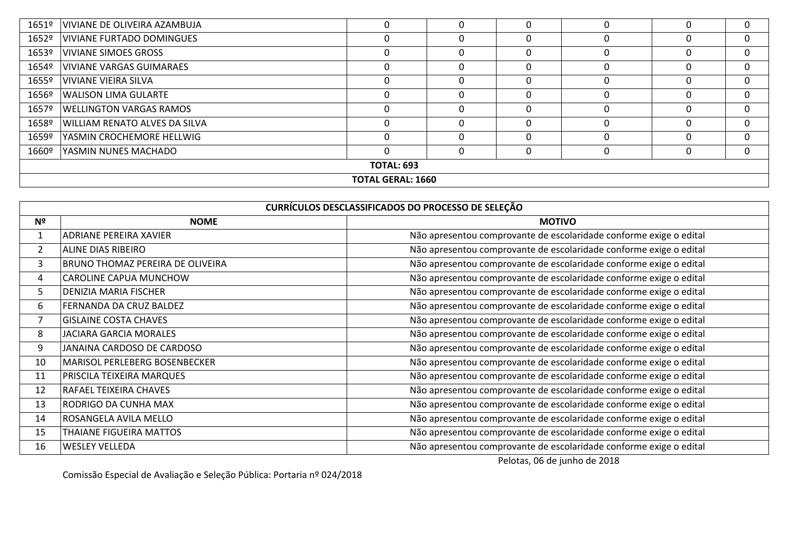| 1651º                    | VIVIANE DE OLIVEIRA AZAMBUJA   | 0        | 0 |  |  |  | 0        |
|--------------------------|--------------------------------|----------|---|--|--|--|----------|
| 1652º                    | VIVIANE FURTADO DOMINGUES      | 0        | 0 |  |  |  | $\Omega$ |
| 1653º                    | VIVIANE SIMOES GROSS           | 0        | 0 |  |  |  | $\Omega$ |
| 1654º                    | VIVIANE VARGAS GUIMARAES       | 0        |   |  |  |  | $\Omega$ |
| 1655º                    | VIVIANE VIEIRA SILVA           | 0        | 0 |  |  |  | $\Omega$ |
| 1656º                    | <b>WALISON LIMA GULARTE</b>    | 0        | 0 |  |  |  | $\Omega$ |
| 1657º                    | <b>WELLINGTON VARGAS RAMOS</b> | 0        | 0 |  |  |  | $\Omega$ |
| 1658º                    | WILLIAM RENATO ALVES DA SILVA  | 0        | 0 |  |  |  | $\Omega$ |
| 1659º                    | YASMIN CROCHEMORE HELLWIG      | $\Omega$ | 0 |  |  |  | $\Omega$ |
| 1660º                    | YASMIN NUNES MACHADO           | $\Omega$ | 0 |  |  |  | $\Omega$ |
| <b>TOTAL: 693</b>        |                                |          |   |  |  |  |          |
| <b>TOTAL GERAL: 1660</b> |                                |          |   |  |  |  |          |

| CURRÍCULOS DESCLASSIFICADOS DO PROCESSO DE SELEÇÃO |                                  |                                                                    |  |  |  |  |
|----------------------------------------------------|----------------------------------|--------------------------------------------------------------------|--|--|--|--|
| Nº                                                 | <b>NOME</b>                      | <b>MOTIVO</b>                                                      |  |  |  |  |
| 1                                                  | ADRIANE PEREIRA XAVIER           | Não apresentou comprovante de escolaridade conforme exige o edital |  |  |  |  |
| $\overline{2}$                                     | ALINE DIAS RIBEIRO               | Não apresentou comprovante de escolaridade conforme exige o edital |  |  |  |  |
| 3                                                  | BRUNO THOMAZ PEREIRA DE OLIVEIRA | Não apresentou comprovante de escolaridade conforme exige o edital |  |  |  |  |
| 4                                                  | CAROLINE CAPUA MUNCHOW           | Não apresentou comprovante de escolaridade conforme exige o edital |  |  |  |  |
| 5                                                  | DENIZIA MARIA FISCHER            | Não apresentou comprovante de escolaridade conforme exige o edital |  |  |  |  |
| 6                                                  | FERNANDA DA CRUZ BALDEZ          | Não apresentou comprovante de escolaridade conforme exige o edital |  |  |  |  |
| 7                                                  | <b>GISLAINE COSTA CHAVES</b>     | Não apresentou comprovante de escolaridade conforme exige o edital |  |  |  |  |
| 8                                                  | <b>JACIARA GARCIA MORALES</b>    | Não apresentou comprovante de escolaridade conforme exige o edital |  |  |  |  |
| 9                                                  | JANAINA CARDOSO DE CARDOSO       | Não apresentou comprovante de escolaridade conforme exige o edital |  |  |  |  |
| 10                                                 | MARISOL PERLEBERG BOSENBECKER    | Não apresentou comprovante de escolaridade conforme exige o edital |  |  |  |  |
| 11                                                 | PRISCILA TEIXEIRA MARQUES        | Não apresentou comprovante de escolaridade conforme exige o edital |  |  |  |  |
| 12                                                 | RAFAEL TEIXEIRA CHAVES           | Não apresentou comprovante de escolaridade conforme exige o edital |  |  |  |  |
| 13                                                 | RODRIGO DA CUNHA MAX             | Não apresentou comprovante de escolaridade conforme exige o edital |  |  |  |  |
| 14                                                 | ROSANGELA AVILA MELLO            | Não apresentou comprovante de escolaridade conforme exige o edital |  |  |  |  |
| 15                                                 | THAIANE FIGUEIRA MATTOS          | Não apresentou comprovante de escolaridade conforme exige o edital |  |  |  |  |
| 16                                                 | <b>WESLEY VELLEDA</b>            | Não apresentou comprovante de escolaridade conforme exige o edital |  |  |  |  |

Pelotas, 06 de junho de 2018

Comissão Especial de Avaliação e Seleção Pública: Portaria nº 024/2018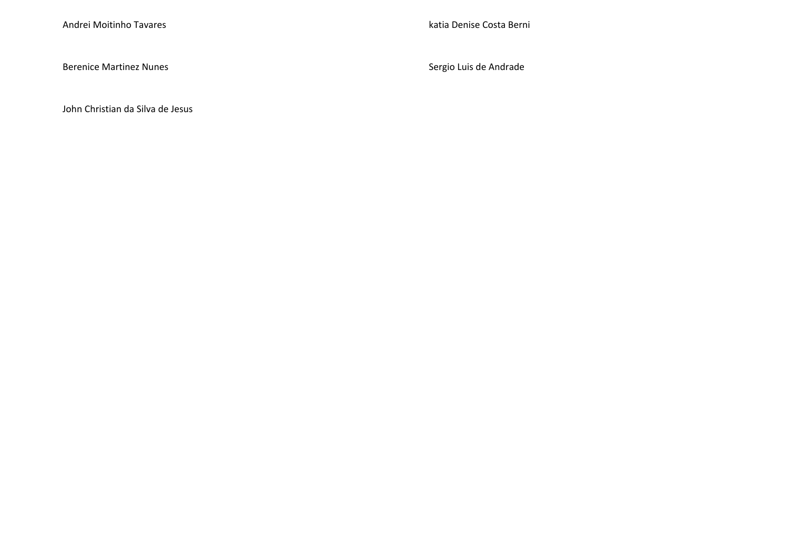Berenice Martinez Nunes **Sergio Luis de Andrade** 

John Christian da Silva de Jesus